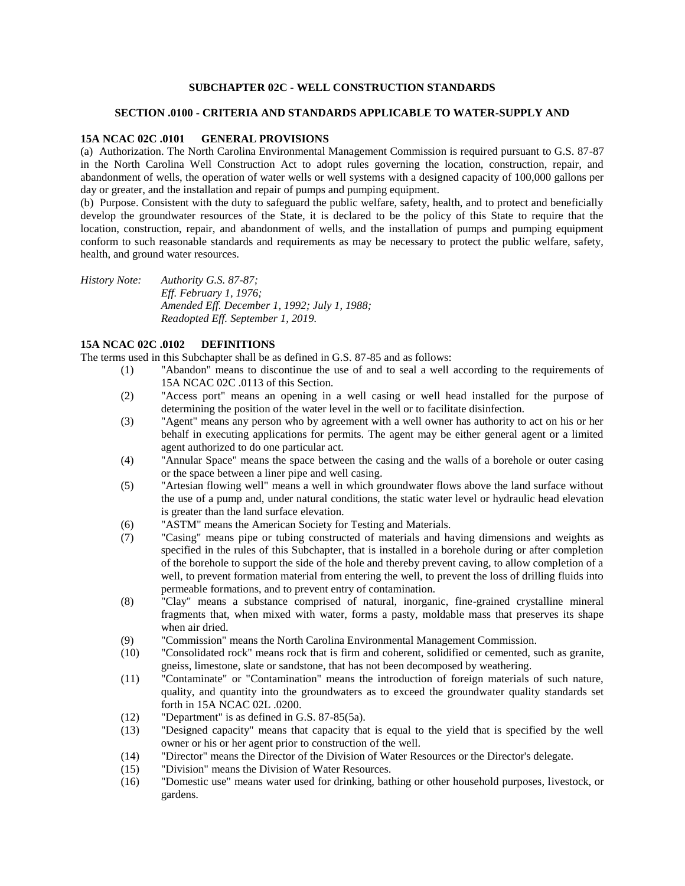### **SUBCHAPTER 02C - WELL CONSTRUCTION STANDARDS**

#### **SECTION .0100 - CRITERIA AND STANDARDS APPLICABLE TO WATER-SUPPLY AND**

#### **15A NCAC 02C .0101 GENERAL PROVISIONS**

(a) Authorization. The North Carolina Environmental Management Commission is required pursuant to G.S. 87-87 in the North Carolina Well Construction Act to adopt rules governing the location, construction, repair, and abandonment of wells, the operation of water wells or well systems with a designed capacity of 100,000 gallons per day or greater, and the installation and repair of pumps and pumping equipment.

(b) Purpose. Consistent with the duty to safeguard the public welfare, safety, health, and to protect and beneficially develop the groundwater resources of the State, it is declared to be the policy of this State to require that the location, construction, repair, and abandonment of wells, and the installation of pumps and pumping equipment conform to such reasonable standards and requirements as may be necessary to protect the public welfare, safety, health, and ground water resources.

*History Note: Authority G.S. 87-87; Eff. February 1, 1976; Amended Eff. December 1, 1992; July 1, 1988; Readopted Eff. September 1, 2019.*

## **15A NCAC 02C .0102 DEFINITIONS**

The terms used in this Subchapter shall be as defined in G.S. 87-85 and as follows:

- (1) "Abandon" means to discontinue the use of and to seal a well according to the requirements of 15A NCAC 02C .0113 of this Section.
- (2) "Access port" means an opening in a well casing or well head installed for the purpose of determining the position of the water level in the well or to facilitate disinfection.
- (3) "Agent" means any person who by agreement with a well owner has authority to act on his or her behalf in executing applications for permits. The agent may be either general agent or a limited agent authorized to do one particular act.
- (4) "Annular Space" means the space between the casing and the walls of a borehole or outer casing or the space between a liner pipe and well casing.
- (5) "Artesian flowing well" means a well in which groundwater flows above the land surface without the use of a pump and, under natural conditions, the static water level or hydraulic head elevation is greater than the land surface elevation.
- (6) "ASTM" means the American Society for Testing and Materials.
- (7) "Casing" means pipe or tubing constructed of materials and having dimensions and weights as specified in the rules of this Subchapter, that is installed in a borehole during or after completion of the borehole to support the side of the hole and thereby prevent caving, to allow completion of a well, to prevent formation material from entering the well, to prevent the loss of drilling fluids into permeable formations, and to prevent entry of contamination.
- (8) "Clay" means a substance comprised of natural, inorganic, fine-grained crystalline mineral fragments that, when mixed with water, forms a pasty, moldable mass that preserves its shape when air dried.
- (9) "Commission" means the North Carolina Environmental Management Commission.
- (10) "Consolidated rock" means rock that is firm and coherent, solidified or cemented, such as granite, gneiss, limestone, slate or sandstone, that has not been decomposed by weathering.
- (11) "Contaminate" or "Contamination" means the introduction of foreign materials of such nature, quality, and quantity into the groundwaters as to exceed the groundwater quality standards set forth in 15A NCAC 02L .0200.
- (12) "Department" is as defined in G.S. 87-85(5a).
- (13) "Designed capacity" means that capacity that is equal to the yield that is specified by the well owner or his or her agent prior to construction of the well.
- (14) "Director" means the Director of the Division of Water Resources or the Director's delegate.
- (15) "Division" means the Division of Water Resources.
- (16) "Domestic use" means water used for drinking, bathing or other household purposes, livestock, or gardens.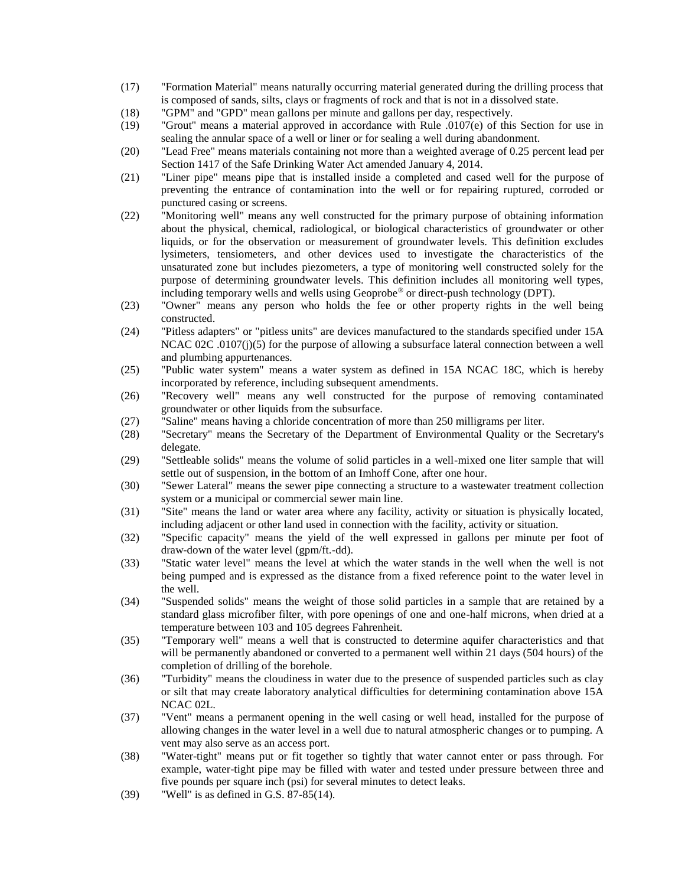- (17) "Formation Material" means naturally occurring material generated during the drilling process that is composed of sands, silts, clays or fragments of rock and that is not in a dissolved state.
- (18) "GPM" and "GPD" mean gallons per minute and gallons per day, respectively.
- (19) "Grout" means a material approved in accordance with Rule .0107(e) of this Section for use in sealing the annular space of a well or liner or for sealing a well during abandonment.
- (20) "Lead Free" means materials containing not more than a weighted average of 0.25 percent lead per Section 1417 of the Safe Drinking Water Act amended January 4, 2014.
- (21) "Liner pipe" means pipe that is installed inside a completed and cased well for the purpose of preventing the entrance of contamination into the well or for repairing ruptured, corroded or punctured casing or screens.
- (22) "Monitoring well" means any well constructed for the primary purpose of obtaining information about the physical, chemical, radiological, or biological characteristics of groundwater or other liquids, or for the observation or measurement of groundwater levels. This definition excludes lysimeters, tensiometers, and other devices used to investigate the characteristics of the unsaturated zone but includes piezometers, a type of monitoring well constructed solely for the purpose of determining groundwater levels. This definition includes all monitoring well types, including temporary wells and wells using Geoprobe® or direct-push technology (DPT).
- (23) "Owner" means any person who holds the fee or other property rights in the well being constructed.
- (24) "Pitless adapters" or "pitless units" are devices manufactured to the standards specified under 15A NCAC 02C .0107(j)(5) for the purpose of allowing a subsurface lateral connection between a well and plumbing appurtenances.
- (25) "Public water system" means a water system as defined in 15A NCAC 18C, which is hereby incorporated by reference, including subsequent amendments.
- (26) "Recovery well" means any well constructed for the purpose of removing contaminated groundwater or other liquids from the subsurface.
- (27) "Saline" means having a chloride concentration of more than 250 milligrams per liter.
- (28) "Secretary" means the Secretary of the Department of Environmental Quality or the Secretary's delegate.
- (29) "Settleable solids" means the volume of solid particles in a well-mixed one liter sample that will settle out of suspension, in the bottom of an Imhoff Cone, after one hour.
- (30) "Sewer Lateral" means the sewer pipe connecting a structure to a wastewater treatment collection system or a municipal or commercial sewer main line.
- (31) "Site" means the land or water area where any facility, activity or situation is physically located, including adjacent or other land used in connection with the facility, activity or situation.
- (32) "Specific capacity" means the yield of the well expressed in gallons per minute per foot of draw-down of the water level (gpm/ft.-dd).
- (33) "Static water level" means the level at which the water stands in the well when the well is not being pumped and is expressed as the distance from a fixed reference point to the water level in the well.
- (34) "Suspended solids" means the weight of those solid particles in a sample that are retained by a standard glass microfiber filter, with pore openings of one and one-half microns, when dried at a temperature between 103 and 105 degrees Fahrenheit.
- (35) "Temporary well" means a well that is constructed to determine aquifer characteristics and that will be permanently abandoned or converted to a permanent well within 21 days (504 hours) of the completion of drilling of the borehole.
- (36) "Turbidity" means the cloudiness in water due to the presence of suspended particles such as clay or silt that may create laboratory analytical difficulties for determining contamination above 15A NCAC 02L.
- (37) "Vent" means a permanent opening in the well casing or well head, installed for the purpose of allowing changes in the water level in a well due to natural atmospheric changes or to pumping. A vent may also serve as an access port.
- (38) "Water-tight" means put or fit together so tightly that water cannot enter or pass through. For example, water-tight pipe may be filled with water and tested under pressure between three and five pounds per square inch (psi) for several minutes to detect leaks.
- (39) "Well" is as defined in G.S. 87-85(14).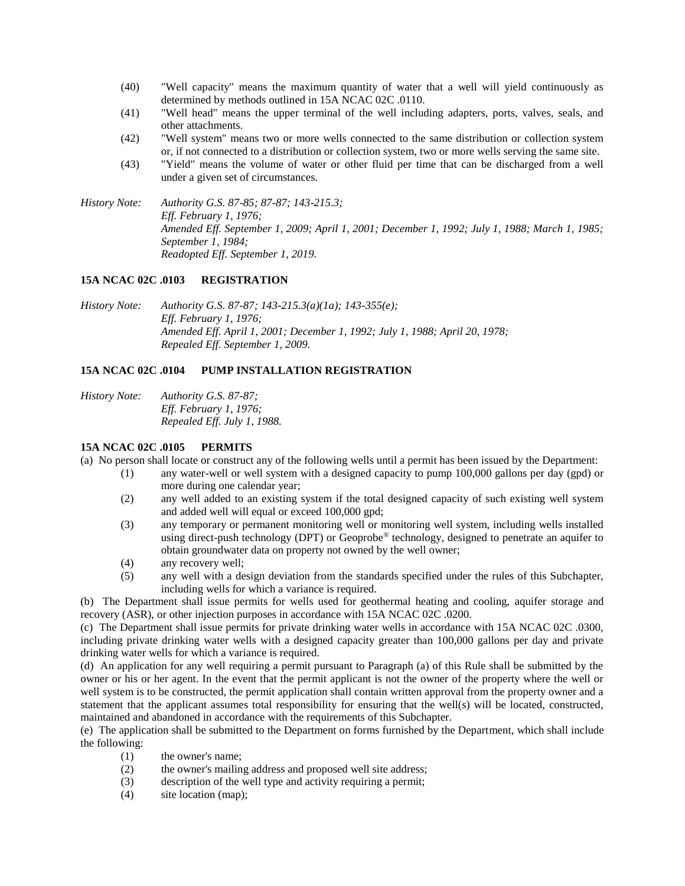- (40) "Well capacity" means the maximum quantity of water that a well will yield continuously as determined by methods outlined in 15A NCAC 02C .0110.
- (41) "Well head" means the upper terminal of the well including adapters, ports, valves, seals, and other attachments.
- (42) "Well system" means two or more wells connected to the same distribution or collection system or, if not connected to a distribution or collection system, two or more wells serving the same site.
- (43) "Yield" means the volume of water or other fluid per time that can be discharged from a well under a given set of circumstances.

*History Note: Authority G.S. 87-85; 87-87; 143-215.3; Eff. February 1, 1976; Amended Eff. September 1, 2009; April 1, 2001; December 1, 1992; July 1, 1988; March 1, 1985; September 1, 1984; Readopted Eff. September 1, 2019.*

#### **15A NCAC 02C .0103 REGISTRATION**

*History Note: Authority G.S. 87-87; 143-215.3(a)(1a); 143-355(e); Eff. February 1, 1976; Amended Eff. April 1, 2001; December 1, 1992; July 1, 1988; April 20, 1978; Repealed Eff. September 1, 2009.*

## **15A NCAC 02C .0104 PUMP INSTALLATION REGISTRATION**

*History Note: Authority G.S. 87-87; Eff. February 1, 1976; Repealed Eff. July 1, 1988.*

## **15A NCAC 02C .0105 PERMITS**

(a) No person shall locate or construct any of the following wells until a permit has been issued by the Department:

- (1) any water-well or well system with a designed capacity to pump 100,000 gallons per day (gpd) or more during one calendar year;
- (2) any well added to an existing system if the total designed capacity of such existing well system and added well will equal or exceed 100,000 gpd;
- (3) any temporary or permanent monitoring well or monitoring well system, including wells installed using direct-push technology (DPT) or Geoprobe<sup>®</sup> technology, designed to penetrate an aquifer to obtain groundwater data on property not owned by the well owner;
- (4) any recovery well;
- (5) any well with a design deviation from the standards specified under the rules of this Subchapter, including wells for which a variance is required.

(b) The Department shall issue permits for wells used for geothermal heating and cooling, aquifer storage and recovery (ASR), or other injection purposes in accordance with 15A NCAC 02C .0200.

(c) The Department shall issue permits for private drinking water wells in accordance with 15A NCAC 02C .0300, including private drinking water wells with a designed capacity greater than 100,000 gallons per day and private drinking water wells for which a variance is required.

(d) An application for any well requiring a permit pursuant to Paragraph (a) of this Rule shall be submitted by the owner or his or her agent. In the event that the permit applicant is not the owner of the property where the well or well system is to be constructed, the permit application shall contain written approval from the property owner and a statement that the applicant assumes total responsibility for ensuring that the well(s) will be located, constructed, maintained and abandoned in accordance with the requirements of this Subchapter.

(e) The application shall be submitted to the Department on forms furnished by the Department, which shall include the following:

- (1) the owner's name;
- (2) the owner's mailing address and proposed well site address;
- (3) description of the well type and activity requiring a permit;
- (4) site location (map);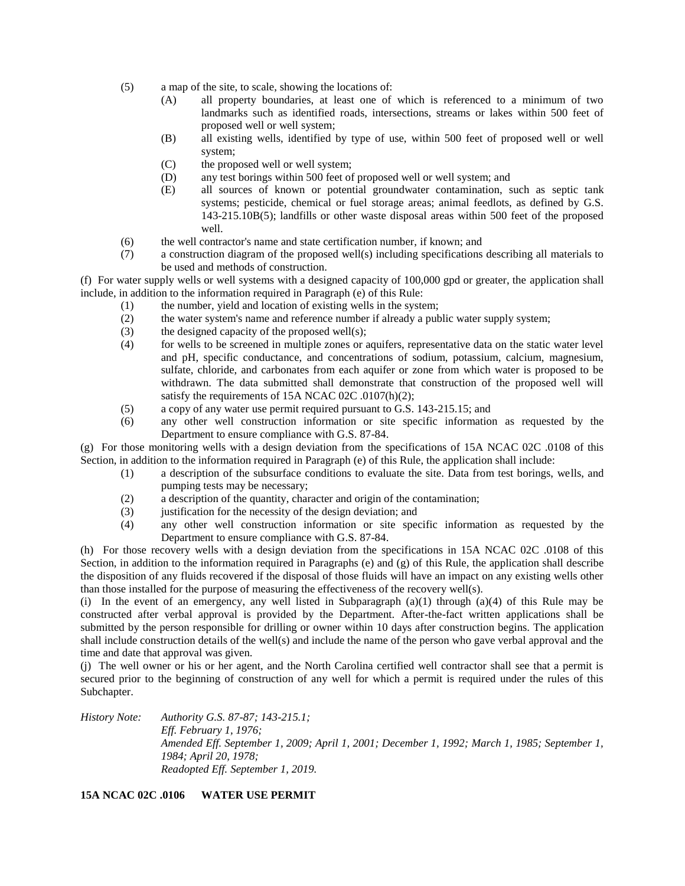- (5) a map of the site, to scale, showing the locations of:
	- (A) all property boundaries, at least one of which is referenced to a minimum of two landmarks such as identified roads, intersections, streams or lakes within 500 feet of proposed well or well system;
	- (B) all existing wells, identified by type of use, within 500 feet of proposed well or well system;
	- (C) the proposed well or well system;
	- (D) any test borings within 500 feet of proposed well or well system; and
	- (E) all sources of known or potential groundwater contamination, such as septic tank systems; pesticide, chemical or fuel storage areas; animal feedlots, as defined by G.S. 143-215.10B(5); landfills or other waste disposal areas within 500 feet of the proposed well.
- (6) the well contractor's name and state certification number, if known; and
- (7) a construction diagram of the proposed well(s) including specifications describing all materials to be used and methods of construction.

(f) For water supply wells or well systems with a designed capacity of 100,000 gpd or greater, the application shall include, in addition to the information required in Paragraph (e) of this Rule:

- (1) the number, yield and location of existing wells in the system;
- (2) the water system's name and reference number if already a public water supply system;
- (3) the designed capacity of the proposed well(s);
- (4) for wells to be screened in multiple zones or aquifers, representative data on the static water level and pH, specific conductance, and concentrations of sodium, potassium, calcium, magnesium, sulfate, chloride, and carbonates from each aquifer or zone from which water is proposed to be withdrawn. The data submitted shall demonstrate that construction of the proposed well will satisfy the requirements of 15A NCAC 02C .0107(h)(2):
- (5) a copy of any water use permit required pursuant to G.S. 143-215.15; and
- (6) any other well construction information or site specific information as requested by the Department to ensure compliance with G.S. 87-84.

(g) For those monitoring wells with a design deviation from the specifications of 15A NCAC 02C .0108 of this Section, in addition to the information required in Paragraph (e) of this Rule, the application shall include:

- (1) a description of the subsurface conditions to evaluate the site. Data from test borings, wells, and pumping tests may be necessary;
- (2) a description of the quantity, character and origin of the contamination;
- (3) justification for the necessity of the design deviation; and
- (4) any other well construction information or site specific information as requested by the Department to ensure compliance with G.S. 87-84.

(h) For those recovery wells with a design deviation from the specifications in 15A NCAC 02C .0108 of this Section, in addition to the information required in Paragraphs (e) and (g) of this Rule, the application shall describe the disposition of any fluids recovered if the disposal of those fluids will have an impact on any existing wells other than those installed for the purpose of measuring the effectiveness of the recovery well(s).

(i) In the event of an emergency, any well listed in Subparagraph  $(a)(1)$  through  $(a)(4)$  of this Rule may be constructed after verbal approval is provided by the Department. After-the-fact written applications shall be submitted by the person responsible for drilling or owner within 10 days after construction begins. The application shall include construction details of the well(s) and include the name of the person who gave verbal approval and the time and date that approval was given.

(j) The well owner or his or her agent, and the North Carolina certified well contractor shall see that a permit is secured prior to the beginning of construction of any well for which a permit is required under the rules of this Subchapter.

*History Note: Authority G.S. 87-87; 143-215.1; Eff. February 1, 1976; Amended Eff. September 1, 2009; April 1, 2001; December 1, 1992; March 1, 1985; September 1, 1984; April 20, 1978; Readopted Eff. September 1, 2019.*

**15A NCAC 02C .0106 WATER USE PERMIT**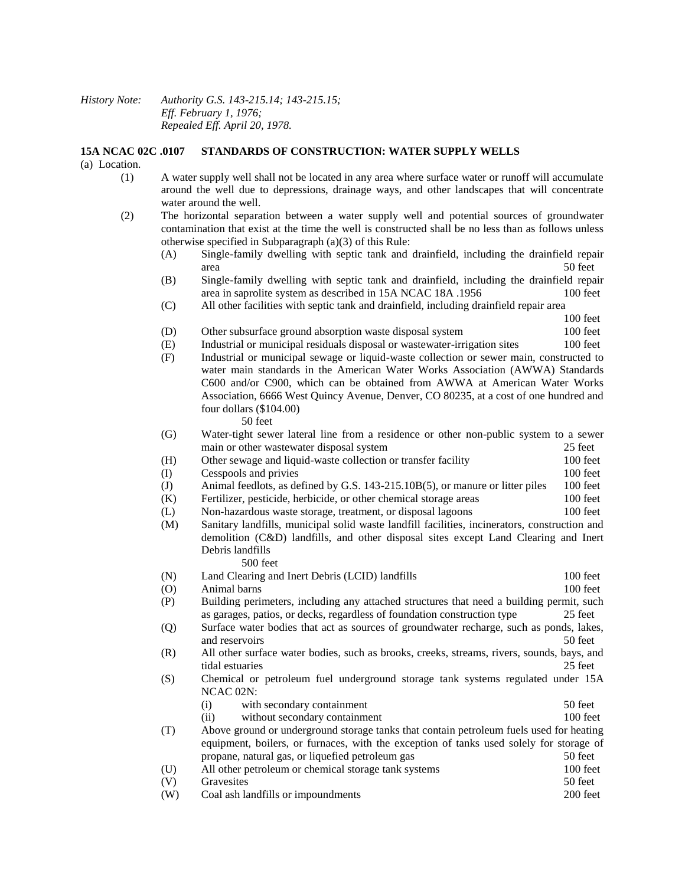## *History Note: Authority G.S. 143-215.14; 143-215.15; Eff. February 1, 1976; Repealed Eff. April 20, 1978.*

#### **15A NCAC 02C .0107 STANDARDS OF CONSTRUCTION: WATER SUPPLY WELLS**

(a) Location.

- (1) A water supply well shall not be located in any area where surface water or runoff will accumulate around the well due to depressions, drainage ways, and other landscapes that will concentrate water around the well.
- (2) The horizontal separation between a water supply well and potential sources of groundwater contamination that exist at the time the well is constructed shall be no less than as follows unless otherwise specified in Subparagraph (a)(3) of this Rule:
	- (A) Single-family dwelling with septic tank and drainfield, including the drainfield repair area 50 feet
	- (B) Single-family dwelling with septic tank and drainfield, including the drainfield repair area in saprolite system as described in 15A NCAC 18A .1956 100 feet
	- (C) All other facilities with septic tank and drainfield, including drainfield repair area

100 feet

- (D) Other subsurface ground absorption waste disposal system 100 feet
- (E) Industrial or municipal residuals disposal or wastewater-irrigation sites 100 feet
- (F) Industrial or municipal sewage or liquid-waste collection or sewer main, constructed to water main standards in the American Water Works Association (AWWA) Standards C600 and/or C900, which can be obtained from AWWA at American Water Works Association, 6666 West Quincy Avenue, Denver, CO 80235, at a cost of one hundred and four dollars (\$104.00)

50 feet

- (G) Water-tight sewer lateral line from a residence or other non-public system to a sewer main or other wastewater disposal system 25 feet
- (H) Other sewage and liquid-waste collection or transfer facility 100 feet
- (I) Cesspools and privies 100 feet
- (J) Animal feedlots, as defined by G.S. 143-215.10B(5), or manure or litter piles 100 feet
- (K) Fertilizer, pesticide, herbicide, or other chemical storage areas 100 feet
- (L) Non-hazardous waste storage, treatment, or disposal lagoons 100 feet
- (M) Sanitary landfills, municipal solid waste landfill facilities, incinerators, construction and demolition (C&D) landfills, and other disposal sites except Land Clearing and Inert Debris landfills 500 feet
- (N) Land Clearing and Inert Debris (LCID) landfills 100 feet (O) Animal barns 100 feet
- (P) Building perimeters, including any attached structures that need a building permit, such as garages, patios, or decks, regardless of foundation construction type 25 feet
- (Q) Surface water bodies that act as sources of groundwater recharge, such as ponds, lakes, and reservoirs 50 feet
- (R) All other surface water bodies, such as brooks, creeks, streams, rivers, sounds, bays, and tidal estuaries 25 feet
- (S) Chemical or petroleum fuel underground storage tank systems regulated under 15A NCAC 02N:
	- (i) with secondary containment 50 feet
- (ii) without secondary containment 100 feet (T) Above ground or underground storage tanks that contain petroleum fuels used for heating
- equipment, boilers, or furnaces, with the exception of tanks used solely for storage of propane, natural gas, or liquefied petroleum gas 50 feet (U) All other petroleum or chemical storage tank systems 100 feet (V) Gravesites 50 feet
- (W) Coal ash landfills or impoundments 200 feet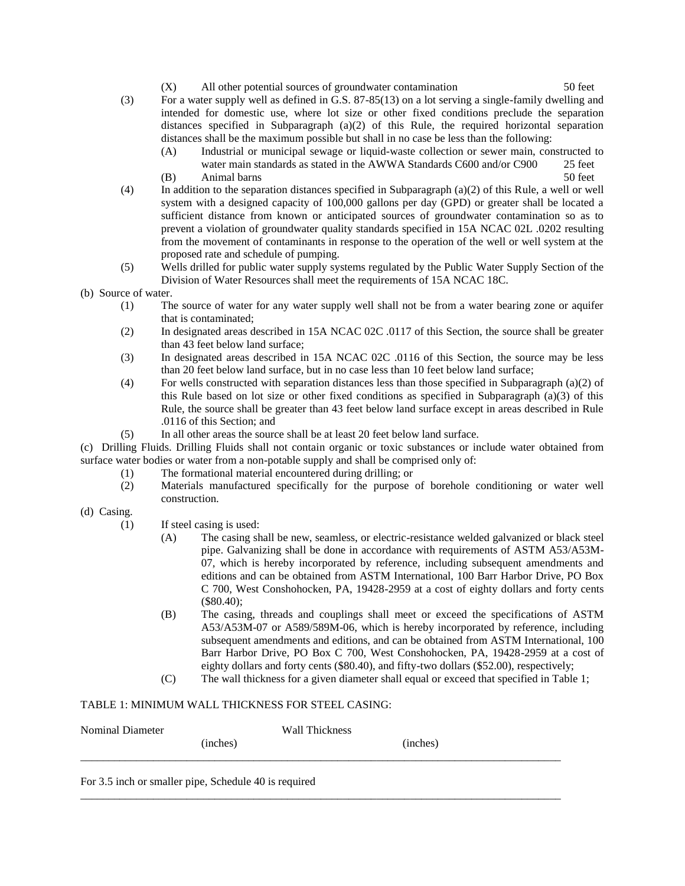- (X) All other potential sources of groundwater contamination 50 feet
- (3) For a water supply well as defined in G.S. 87-85(13) on a lot serving a single-family dwelling and intended for domestic use, where lot size or other fixed conditions preclude the separation distances specified in Subparagraph (a)(2) of this Rule, the required horizontal separation distances shall be the maximum possible but shall in no case be less than the following:
	- (A) Industrial or municipal sewage or liquid-waste collection or sewer main, constructed to water main standards as stated in the AWWA Standards C600 and/or C900 25 feet
	- (B) Animal barns 50 feet
- (4) In addition to the separation distances specified in Subparagraph (a)(2) of this Rule, a well or well system with a designed capacity of 100,000 gallons per day (GPD) or greater shall be located a sufficient distance from known or anticipated sources of groundwater contamination so as to prevent a violation of groundwater quality standards specified in 15A NCAC 02L .0202 resulting from the movement of contaminants in response to the operation of the well or well system at the proposed rate and schedule of pumping.
- (5) Wells drilled for public water supply systems regulated by the Public Water Supply Section of the Division of Water Resources shall meet the requirements of 15A NCAC 18C.
- (b) Source of water.
	- (1) The source of water for any water supply well shall not be from a water bearing zone or aquifer that is contaminated;
	- (2) In designated areas described in 15A NCAC 02C .0117 of this Section, the source shall be greater than 43 feet below land surface;
	- (3) In designated areas described in 15A NCAC 02C .0116 of this Section, the source may be less than 20 feet below land surface, but in no case less than 10 feet below land surface;
	- (4) For wells constructed with separation distances less than those specified in Subparagraph (a)(2) of this Rule based on lot size or other fixed conditions as specified in Subparagraph  $(a)(3)$  of this Rule, the source shall be greater than 43 feet below land surface except in areas described in Rule .0116 of this Section; and
	- (5) In all other areas the source shall be at least 20 feet below land surface.

(c) Drilling Fluids. Drilling Fluids shall not contain organic or toxic substances or include water obtained from surface water bodies or water from a non-potable supply and shall be comprised only of:

- (1) The formational material encountered during drilling; or
- (2) Materials manufactured specifically for the purpose of borehole conditioning or water well construction.
- (d) Casing.
	- (1) If steel casing is used:
		- (A) The casing shall be new, seamless, or electric-resistance welded galvanized or black steel pipe. Galvanizing shall be done in accordance with requirements of ASTM A53/A53M-07, which is hereby incorporated by reference, including subsequent amendments and editions and can be obtained from ASTM International, 100 Barr Harbor Drive, PO Box C 700, West Conshohocken, PA, 19428-2959 at a cost of eighty dollars and forty cents (\$80.40);
		- (B) The casing, threads and couplings shall meet or exceed the specifications of ASTM A53/A53M-07 or A589/589M-06, which is hereby incorporated by reference, including subsequent amendments and editions, and can be obtained from ASTM International, 100 Barr Harbor Drive, PO Box C 700, West Conshohocken, PA, 19428-2959 at a cost of eighty dollars and forty cents (\$80.40), and fifty-two dollars (\$52.00), respectively;
		- (C) The wall thickness for a given diameter shall equal or exceed that specified in Table 1;

## TABLE 1: MINIMUM WALL THICKNESS FOR STEEL CASING:

| <b>Nominal Diameter</b> |          | Wall Thickness |          |  |
|-------------------------|----------|----------------|----------|--|
|                         | (inches) |                | (inches) |  |
|                         |          |                |          |  |

\_\_\_\_\_\_\_\_\_\_\_\_\_\_\_\_\_\_\_\_\_\_\_\_\_\_\_\_\_\_\_\_\_\_\_\_\_\_\_\_\_\_\_\_\_\_\_\_\_\_\_\_\_\_\_\_\_\_\_\_\_\_\_\_\_\_\_\_\_\_\_\_\_\_\_\_\_\_\_\_\_\_\_\_\_\_

For 3.5 inch or smaller pipe, Schedule 40 is required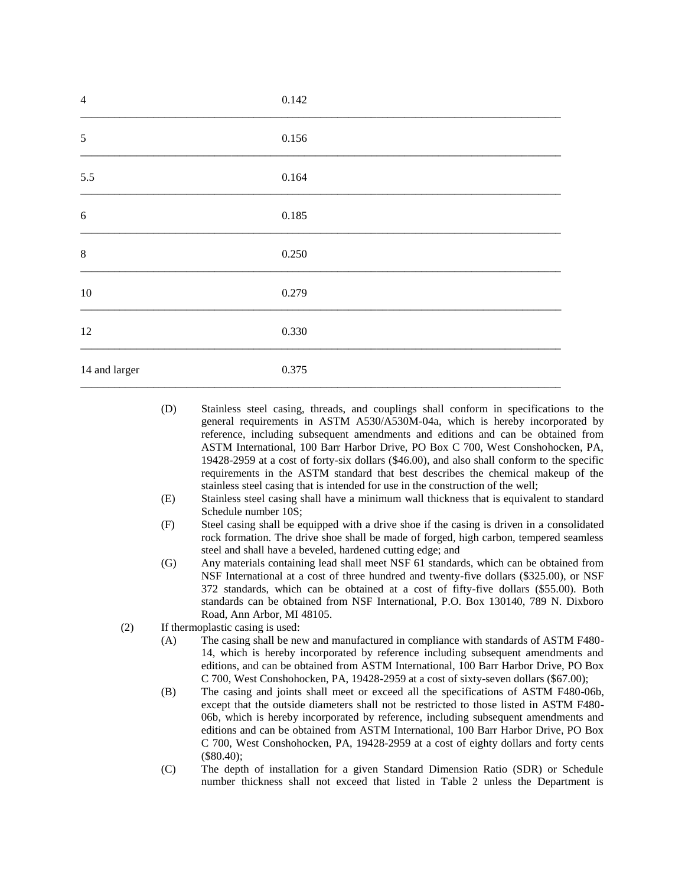| $\overline{4}$ | 0.142 |
|----------------|-------|
| $\sqrt{5}$     | 0.156 |
| 5.5            | 0.164 |
| 6              | 0.185 |
| $\,8\,$        | 0.250 |
| $10\,$         | 0.279 |
| 12             | 0.330 |
| 14 and larger  | 0.375 |

- (D) Stainless steel casing, threads, and couplings shall conform in specifications to the general requirements in ASTM A530/A530M-04a, which is hereby incorporated by reference, including subsequent amendments and editions and can be obtained from ASTM International, 100 Barr Harbor Drive, PO Box C 700, West Conshohocken, PA, 19428-2959 at a cost of forty-six dollars (\$46.00), and also shall conform to the specific requirements in the ASTM standard that best describes the chemical makeup of the stainless steel casing that is intended for use in the construction of the well;
- (E) Stainless steel casing shall have a minimum wall thickness that is equivalent to standard Schedule number 10S;
- (F) Steel casing shall be equipped with a drive shoe if the casing is driven in a consolidated rock formation. The drive shoe shall be made of forged, high carbon, tempered seamless steel and shall have a beveled, hardened cutting edge; and
- (G) Any materials containing lead shall meet NSF 61 standards, which can be obtained from NSF International at a cost of three hundred and twenty-five dollars (\$325.00), or NSF 372 standards, which can be obtained at a cost of fifty-five dollars (\$55.00). Both standards can be obtained from NSF International, P.O. Box 130140, 789 N. Dixboro Road, Ann Arbor, MI 48105.
- (2) If thermoplastic casing is used:
	- (A) The casing shall be new and manufactured in compliance with standards of ASTM F480- 14, which is hereby incorporated by reference including subsequent amendments and editions, and can be obtained from ASTM International, 100 Barr Harbor Drive, PO Box C 700, West Conshohocken, PA, 19428-2959 at a cost of sixty-seven dollars (\$67.00);
	- (B) The casing and joints shall meet or exceed all the specifications of ASTM F480-06b, except that the outside diameters shall not be restricted to those listed in ASTM F480- 06b, which is hereby incorporated by reference, including subsequent amendments and editions and can be obtained from ASTM International, 100 Barr Harbor Drive, PO Box C 700, West Conshohocken, PA, 19428-2959 at a cost of eighty dollars and forty cents (\$80.40);
	- (C) The depth of installation for a given Standard Dimension Ratio (SDR) or Schedule number thickness shall not exceed that listed in Table 2 unless the Department is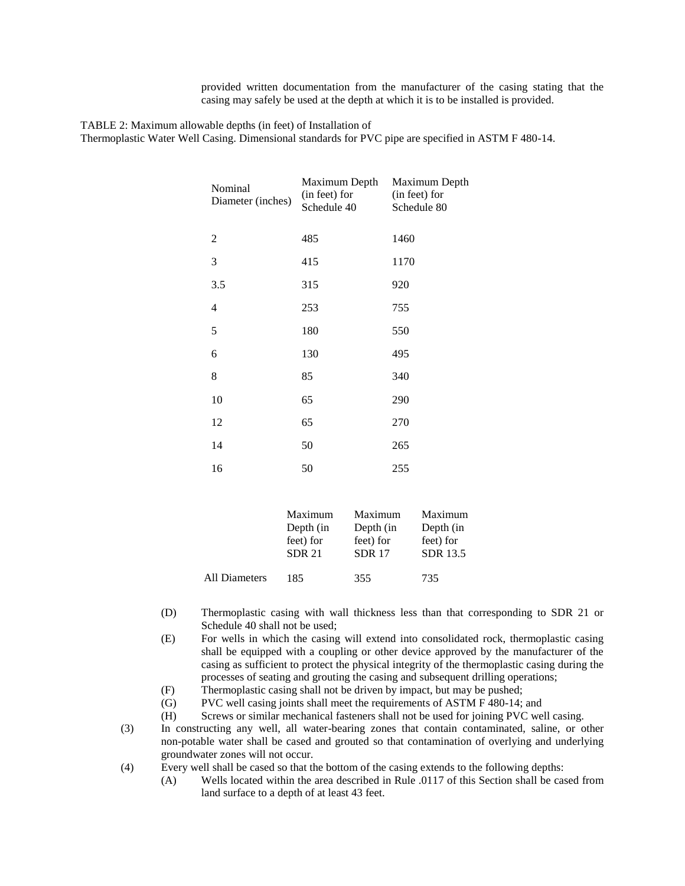provided written documentation from the manufacturer of the casing stating that the casing may safely be used at the depth at which it is to be installed is provided.

TABLE 2: Maximum allowable depths (in feet) of Installation of

Thermoplastic Water Well Casing. Dimensional standards for PVC pipe are specified in ASTM F 480-14.

| Nominal<br>Diameter (inches) | Maximum Depth<br>(in feet) for<br>Schedule 40 | Maximum Depth<br>(in feet) for<br>Schedule 80 |
|------------------------------|-----------------------------------------------|-----------------------------------------------|
| $\overline{2}$               | 485                                           | 1460                                          |
| 3                            | 415                                           | 1170                                          |
| 3.5                          | 315                                           | 920                                           |
| 4                            | 253                                           | 755                                           |
| 5                            | 180                                           | 550                                           |
| 6                            | 130                                           | 495                                           |
| 8                            | 85                                            | 340                                           |
| 10                           | 65                                            | 290                                           |
| 12                           | 65                                            | 270                                           |
| 14                           | 50                                            | 265                                           |
| 16                           | 50                                            | 255                                           |

|               | Maximum       | Maximum       | Maximum   |
|---------------|---------------|---------------|-----------|
|               | Depth (in     | Depth (in     | Depth (in |
|               | feet) for     | feet) for     | feet) for |
|               | <b>SDR 21</b> | <b>SDR 17</b> | SDR 13.5  |
|               |               |               |           |
| All Diameters | 185           | 355           | 735       |

- (D) Thermoplastic casing with wall thickness less than that corresponding to SDR 21 or Schedule 40 shall not be used;
- (E) For wells in which the casing will extend into consolidated rock, thermoplastic casing shall be equipped with a coupling or other device approved by the manufacturer of the casing as sufficient to protect the physical integrity of the thermoplastic casing during the processes of seating and grouting the casing and subsequent drilling operations;
- (F) Thermoplastic casing shall not be driven by impact, but may be pushed;
- (G) PVC well casing joints shall meet the requirements of ASTM F 480-14; and
- (H) Screws or similar mechanical fasteners shall not be used for joining PVC well casing.
- (3) In constructing any well, all water-bearing zones that contain contaminated, saline, or other non-potable water shall be cased and grouted so that contamination of overlying and underlying groundwater zones will not occur.
- (4) Every well shall be cased so that the bottom of the casing extends to the following depths:
	- (A) Wells located within the area described in Rule .0117 of this Section shall be cased from land surface to a depth of at least 43 feet.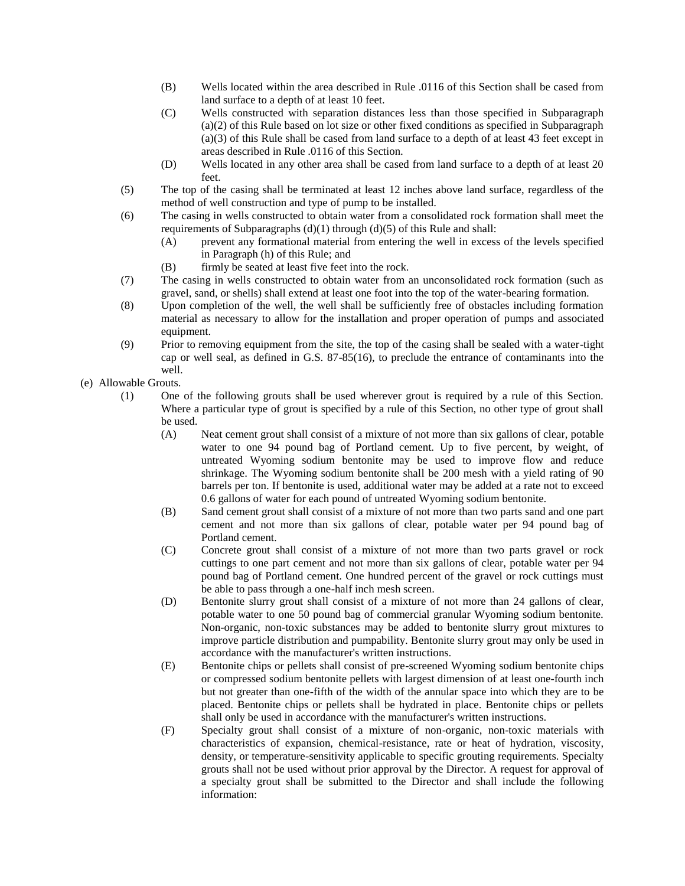- (B) Wells located within the area described in Rule .0116 of this Section shall be cased from land surface to a depth of at least 10 feet.
- (C) Wells constructed with separation distances less than those specified in Subparagraph (a)(2) of this Rule based on lot size or other fixed conditions as specified in Subparagraph (a)(3) of this Rule shall be cased from land surface to a depth of at least 43 feet except in areas described in Rule .0116 of this Section.
- (D) Wells located in any other area shall be cased from land surface to a depth of at least 20 feet.
- (5) The top of the casing shall be terminated at least 12 inches above land surface, regardless of the method of well construction and type of pump to be installed.
- (6) The casing in wells constructed to obtain water from a consolidated rock formation shall meet the requirements of Subparagraphs  $(d)(1)$  through  $(d)(5)$  of this Rule and shall:
	- (A) prevent any formational material from entering the well in excess of the levels specified in Paragraph (h) of this Rule; and
	- (B) firmly be seated at least five feet into the rock.
- (7) The casing in wells constructed to obtain water from an unconsolidated rock formation (such as gravel, sand, or shells) shall extend at least one foot into the top of the water-bearing formation.
- (8) Upon completion of the well, the well shall be sufficiently free of obstacles including formation material as necessary to allow for the installation and proper operation of pumps and associated equipment.
- (9) Prior to removing equipment from the site, the top of the casing shall be sealed with a water-tight cap or well seal, as defined in G.S. 87-85(16), to preclude the entrance of contaminants into the well.

(e) Allowable Grouts.

- (1) One of the following grouts shall be used wherever grout is required by a rule of this Section. Where a particular type of grout is specified by a rule of this Section, no other type of grout shall be used.
	- (A) Neat cement grout shall consist of a mixture of not more than six gallons of clear, potable water to one 94 pound bag of Portland cement. Up to five percent, by weight, of untreated Wyoming sodium bentonite may be used to improve flow and reduce shrinkage. The Wyoming sodium bentonite shall be 200 mesh with a yield rating of 90 barrels per ton. If bentonite is used, additional water may be added at a rate not to exceed 0.6 gallons of water for each pound of untreated Wyoming sodium bentonite.
	- (B) Sand cement grout shall consist of a mixture of not more than two parts sand and one part cement and not more than six gallons of clear, potable water per 94 pound bag of Portland cement.
	- (C) Concrete grout shall consist of a mixture of not more than two parts gravel or rock cuttings to one part cement and not more than six gallons of clear, potable water per 94 pound bag of Portland cement. One hundred percent of the gravel or rock cuttings must be able to pass through a one-half inch mesh screen.
	- (D) Bentonite slurry grout shall consist of a mixture of not more than 24 gallons of clear, potable water to one 50 pound bag of commercial granular Wyoming sodium bentonite. Non-organic, non-toxic substances may be added to bentonite slurry grout mixtures to improve particle distribution and pumpability. Bentonite slurry grout may only be used in accordance with the manufacturer's written instructions.
	- (E) Bentonite chips or pellets shall consist of pre-screened Wyoming sodium bentonite chips or compressed sodium bentonite pellets with largest dimension of at least one-fourth inch but not greater than one-fifth of the width of the annular space into which they are to be placed. Bentonite chips or pellets shall be hydrated in place. Bentonite chips or pellets shall only be used in accordance with the manufacturer's written instructions.
	- (F) Specialty grout shall consist of a mixture of non-organic, non-toxic materials with characteristics of expansion, chemical-resistance, rate or heat of hydration, viscosity, density, or temperature-sensitivity applicable to specific grouting requirements. Specialty grouts shall not be used without prior approval by the Director. A request for approval of a specialty grout shall be submitted to the Director and shall include the following information: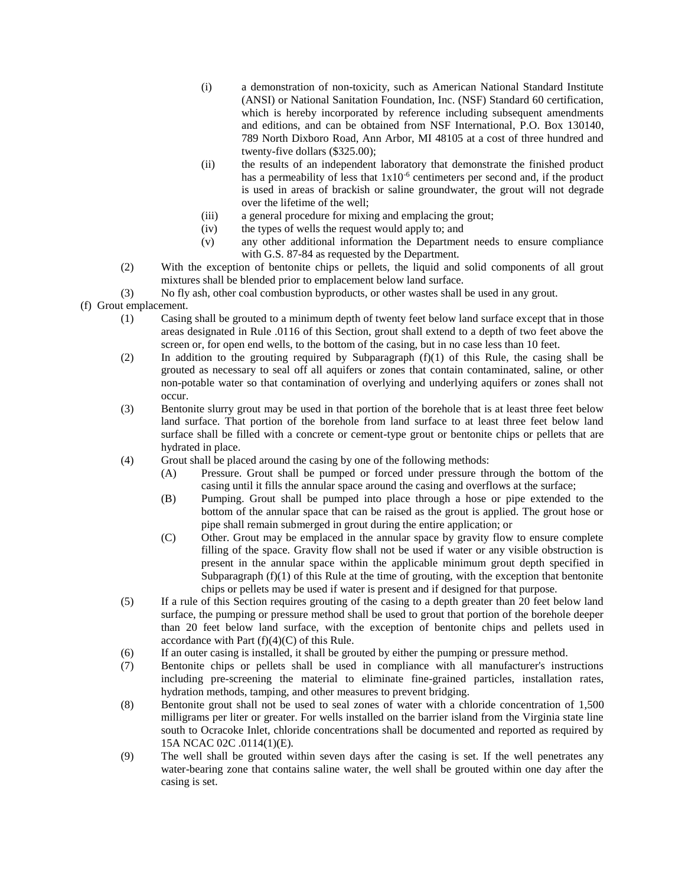- (i) a demonstration of non-toxicity, such as American National Standard Institute (ANSI) or National Sanitation Foundation, Inc. (NSF) Standard 60 certification, which is hereby incorporated by reference including subsequent amendments and editions, and can be obtained from NSF International, P.O. Box 130140, 789 North Dixboro Road, Ann Arbor, MI 48105 at a cost of three hundred and twenty-five dollars (\$325.00);
- (ii) the results of an independent laboratory that demonstrate the finished product has a permeability of less that  $1x10^{-6}$  centimeters per second and, if the product is used in areas of brackish or saline groundwater, the grout will not degrade over the lifetime of the well;
- (iii) a general procedure for mixing and emplacing the grout;
- (iv) the types of wells the request would apply to; and
- (v) any other additional information the Department needs to ensure compliance with G.S. 87-84 as requested by the Department.
- (2) With the exception of bentonite chips or pellets, the liquid and solid components of all grout mixtures shall be blended prior to emplacement below land surface.
- (3) No fly ash, other coal combustion byproducts, or other wastes shall be used in any grout.

## (f) Grout emplacement.

- (1) Casing shall be grouted to a minimum depth of twenty feet below land surface except that in those areas designated in Rule .0116 of this Section, grout shall extend to a depth of two feet above the screen or, for open end wells, to the bottom of the casing, but in no case less than 10 feet.
- (2) In addition to the grouting required by Subparagraph (f)(1) of this Rule, the casing shall be grouted as necessary to seal off all aquifers or zones that contain contaminated, saline, or other non-potable water so that contamination of overlying and underlying aquifers or zones shall not occur.
- (3) Bentonite slurry grout may be used in that portion of the borehole that is at least three feet below land surface. That portion of the borehole from land surface to at least three feet below land surface shall be filled with a concrete or cement-type grout or bentonite chips or pellets that are hydrated in place.
- (4) Grout shall be placed around the casing by one of the following methods:
	- (A) Pressure. Grout shall be pumped or forced under pressure through the bottom of the casing until it fills the annular space around the casing and overflows at the surface;
	- (B) Pumping. Grout shall be pumped into place through a hose or pipe extended to the bottom of the annular space that can be raised as the grout is applied. The grout hose or pipe shall remain submerged in grout during the entire application; or
	- (C) Other. Grout may be emplaced in the annular space by gravity flow to ensure complete filling of the space. Gravity flow shall not be used if water or any visible obstruction is present in the annular space within the applicable minimum grout depth specified in Subparagraph  $(f)(1)$  of this Rule at the time of grouting, with the exception that bentonite chips or pellets may be used if water is present and if designed for that purpose.
- (5) If a rule of this Section requires grouting of the casing to a depth greater than 20 feet below land surface, the pumping or pressure method shall be used to grout that portion of the borehole deeper than 20 feet below land surface, with the exception of bentonite chips and pellets used in accordance with Part  $(f)(4)(C)$  of this Rule.
- (6) If an outer casing is installed, it shall be grouted by either the pumping or pressure method.
- (7) Bentonite chips or pellets shall be used in compliance with all manufacturer's instructions including pre-screening the material to eliminate fine-grained particles, installation rates, hydration methods, tamping, and other measures to prevent bridging.
- (8) Bentonite grout shall not be used to seal zones of water with a chloride concentration of 1,500 milligrams per liter or greater. For wells installed on the barrier island from the Virginia state line south to Ocracoke Inlet, chloride concentrations shall be documented and reported as required by 15A NCAC 02C .0114(1)(E).
- (9) The well shall be grouted within seven days after the casing is set. If the well penetrates any water-bearing zone that contains saline water, the well shall be grouted within one day after the casing is set.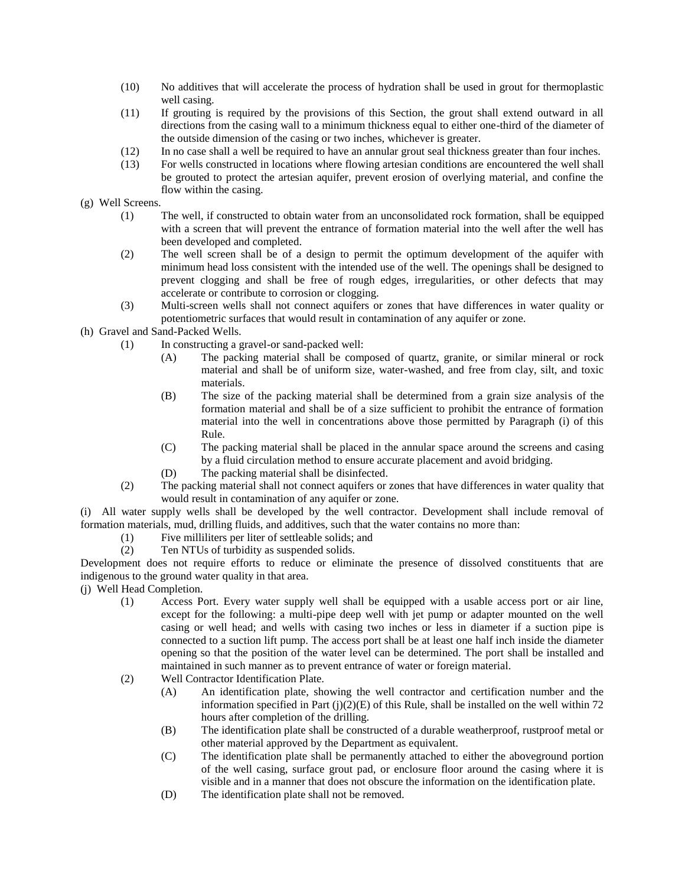- (10) No additives that will accelerate the process of hydration shall be used in grout for thermoplastic well casing.
- (11) If grouting is required by the provisions of this Section, the grout shall extend outward in all directions from the casing wall to a minimum thickness equal to either one-third of the diameter of the outside dimension of the casing or two inches, whichever is greater.
- (12) In no case shall a well be required to have an annular grout seal thickness greater than four inches.
- (13) For wells constructed in locations where flowing artesian conditions are encountered the well shall be grouted to protect the artesian aquifer, prevent erosion of overlying material, and confine the flow within the casing.
- (g) Well Screens.
	- (1) The well, if constructed to obtain water from an unconsolidated rock formation, shall be equipped with a screen that will prevent the entrance of formation material into the well after the well has been developed and completed.
	- (2) The well screen shall be of a design to permit the optimum development of the aquifer with minimum head loss consistent with the intended use of the well. The openings shall be designed to prevent clogging and shall be free of rough edges, irregularities, or other defects that may accelerate or contribute to corrosion or clogging.
	- (3) Multi-screen wells shall not connect aquifers or zones that have differences in water quality or potentiometric surfaces that would result in contamination of any aquifer or zone.
- (h) Gravel and Sand-Packed Wells.
	- (1) In constructing a gravel-or sand-packed well:
		- (A) The packing material shall be composed of quartz, granite, or similar mineral or rock material and shall be of uniform size, water-washed, and free from clay, silt, and toxic materials.
		- (B) The size of the packing material shall be determined from a grain size analysis of the formation material and shall be of a size sufficient to prohibit the entrance of formation material into the well in concentrations above those permitted by Paragraph (i) of this Rule.
		- (C) The packing material shall be placed in the annular space around the screens and casing by a fluid circulation method to ensure accurate placement and avoid bridging.
		- (D) The packing material shall be disinfected.
	- (2) The packing material shall not connect aquifers or zones that have differences in water quality that would result in contamination of any aquifer or zone.

(i) All water supply wells shall be developed by the well contractor. Development shall include removal of formation materials, mud, drilling fluids, and additives, such that the water contains no more than:

- (1) Five milliliters per liter of settleable solids; and
- (2) Ten NTUs of turbidity as suspended solids.

Development does not require efforts to reduce or eliminate the presence of dissolved constituents that are indigenous to the ground water quality in that area.

(j) Well Head Completion.

- (1) Access Port. Every water supply well shall be equipped with a usable access port or air line, except for the following: a multi-pipe deep well with jet pump or adapter mounted on the well casing or well head; and wells with casing two inches or less in diameter if a suction pipe is connected to a suction lift pump. The access port shall be at least one half inch inside the diameter opening so that the position of the water level can be determined. The port shall be installed and maintained in such manner as to prevent entrance of water or foreign material.
- (2) Well Contractor Identification Plate.
	- (A) An identification plate, showing the well contractor and certification number and the information specified in Part  $(i)(2)(E)$  of this Rule, shall be installed on the well within 72 hours after completion of the drilling.
	- (B) The identification plate shall be constructed of a durable weatherproof, rustproof metal or other material approved by the Department as equivalent.
	- (C) The identification plate shall be permanently attached to either the aboveground portion of the well casing, surface grout pad, or enclosure floor around the casing where it is visible and in a manner that does not obscure the information on the identification plate.
	- (D) The identification plate shall not be removed.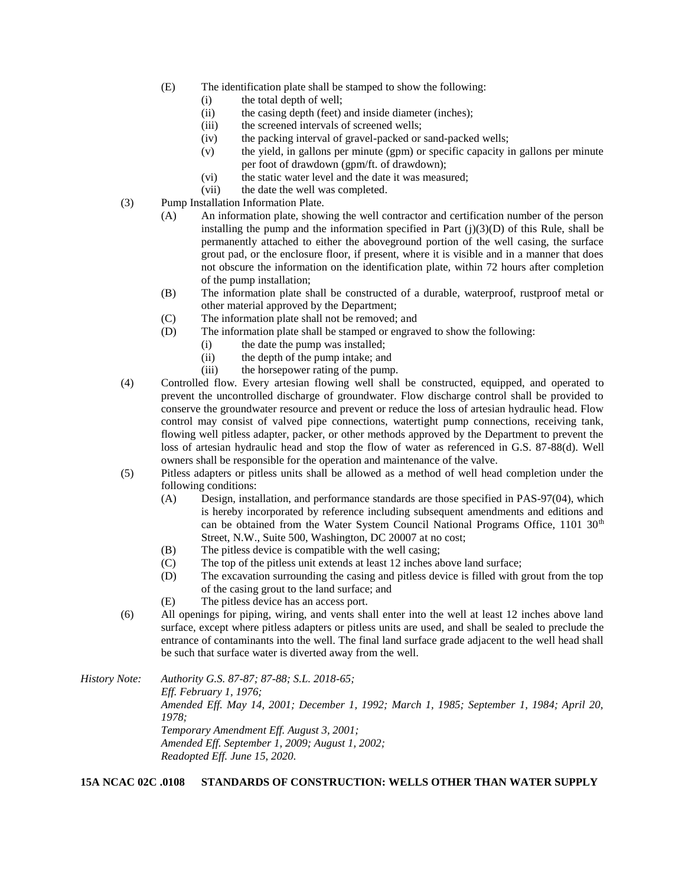- (E) The identification plate shall be stamped to show the following:
	- (i) the total depth of well;
	- (ii) the casing depth (feet) and inside diameter (inches);
	- (iii) the screened intervals of screened wells;
	- (iv) the packing interval of gravel-packed or sand-packed wells;
	- (v) the yield, in gallons per minute (gpm) or specific capacity in gallons per minute per foot of drawdown (gpm/ft. of drawdown);
	- (vi) the static water level and the date it was measured;
	- (vii) the date the well was completed.
- (3) Pump Installation Information Plate.
	- (A) An information plate, showing the well contractor and certification number of the person installing the pump and the information specified in Part  $(i)(3)(D)$  of this Rule, shall be permanently attached to either the aboveground portion of the well casing, the surface grout pad, or the enclosure floor, if present, where it is visible and in a manner that does not obscure the information on the identification plate, within 72 hours after completion of the pump installation;
	- (B) The information plate shall be constructed of a durable, waterproof, rustproof metal or other material approved by the Department;
	- (C) The information plate shall not be removed; and
	- (D) The information plate shall be stamped or engraved to show the following:
		- (i) the date the pump was installed;
		- (ii) the depth of the pump intake; and
		- (iii) the horsepower rating of the pump.
- (4) Controlled flow. Every artesian flowing well shall be constructed, equipped, and operated to prevent the uncontrolled discharge of groundwater. Flow discharge control shall be provided to conserve the groundwater resource and prevent or reduce the loss of artesian hydraulic head. Flow control may consist of valved pipe connections, watertight pump connections, receiving tank, flowing well pitless adapter, packer, or other methods approved by the Department to prevent the loss of artesian hydraulic head and stop the flow of water as referenced in G.S. 87-88(d). Well owners shall be responsible for the operation and maintenance of the valve.
- (5) Pitless adapters or pitless units shall be allowed as a method of well head completion under the following conditions:
	- (A) Design, installation, and performance standards are those specified in PAS-97(04), which is hereby incorporated by reference including subsequent amendments and editions and can be obtained from the Water System Council National Programs Office, 1101 30<sup>th</sup> Street, N.W., Suite 500, Washington, DC 20007 at no cost;
	- (B) The pitless device is compatible with the well casing;
	- (C) The top of the pitless unit extends at least 12 inches above land surface;
	- (D) The excavation surrounding the casing and pitless device is filled with grout from the top of the casing grout to the land surface; and
	- (E) The pitless device has an access port.
- (6) All openings for piping, wiring, and vents shall enter into the well at least 12 inches above land surface, except where pitless adapters or pitless units are used, and shall be sealed to preclude the entrance of contaminants into the well. The final land surface grade adjacent to the well head shall be such that surface water is diverted away from the well.

*History Note: Authority G.S. 87-87; 87-88; S.L. 2018-65; Eff. February 1, 1976; Amended Eff. May 14, 2001; December 1, 1992; March 1, 1985; September 1, 1984; April 20, 1978; Temporary Amendment Eff. August 3, 2001; Amended Eff. September 1, 2009; August 1, 2002; Readopted Eff. June 15, 2020.*

**15A NCAC 02C .0108 STANDARDS OF CONSTRUCTION: WELLS OTHER THAN WATER SUPPLY**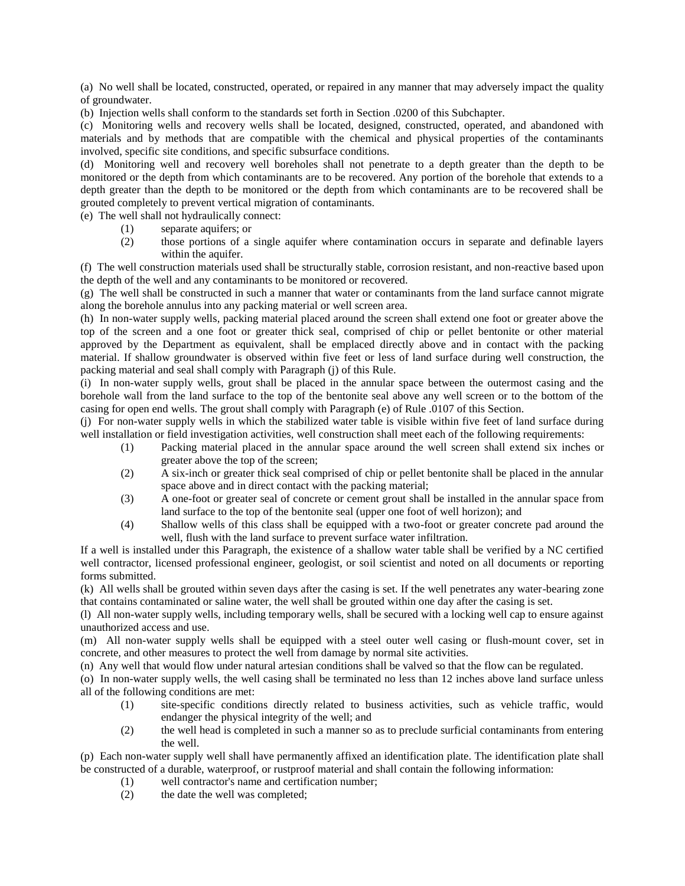(a) No well shall be located, constructed, operated, or repaired in any manner that may adversely impact the quality of groundwater.

(b) Injection wells shall conform to the standards set forth in Section .0200 of this Subchapter.

(c) Monitoring wells and recovery wells shall be located, designed, constructed, operated, and abandoned with materials and by methods that are compatible with the chemical and physical properties of the contaminants involved, specific site conditions, and specific subsurface conditions.

(d) Monitoring well and recovery well boreholes shall not penetrate to a depth greater than the depth to be monitored or the depth from which contaminants are to be recovered. Any portion of the borehole that extends to a depth greater than the depth to be monitored or the depth from which contaminants are to be recovered shall be grouted completely to prevent vertical migration of contaminants.

(e) The well shall not hydraulically connect:

- (1) separate aquifers; or
- (2) those portions of a single aquifer where contamination occurs in separate and definable layers within the aquifer.

(f) The well construction materials used shall be structurally stable, corrosion resistant, and non-reactive based upon the depth of the well and any contaminants to be monitored or recovered.

(g) The well shall be constructed in such a manner that water or contaminants from the land surface cannot migrate along the borehole annulus into any packing material or well screen area.

(h) In non-water supply wells, packing material placed around the screen shall extend one foot or greater above the top of the screen and a one foot or greater thick seal, comprised of chip or pellet bentonite or other material approved by the Department as equivalent, shall be emplaced directly above and in contact with the packing material. If shallow groundwater is observed within five feet or less of land surface during well construction, the packing material and seal shall comply with Paragraph (j) of this Rule.

(i) In non-water supply wells, grout shall be placed in the annular space between the outermost casing and the borehole wall from the land surface to the top of the bentonite seal above any well screen or to the bottom of the casing for open end wells. The grout shall comply with Paragraph (e) of Rule .0107 of this Section.

(j) For non-water supply wells in which the stabilized water table is visible within five feet of land surface during well installation or field investigation activities, well construction shall meet each of the following requirements:

- (1) Packing material placed in the annular space around the well screen shall extend six inches or greater above the top of the screen;
- (2) A six-inch or greater thick seal comprised of chip or pellet bentonite shall be placed in the annular space above and in direct contact with the packing material;
- (3) A one-foot or greater seal of concrete or cement grout shall be installed in the annular space from land surface to the top of the bentonite seal (upper one foot of well horizon); and
- (4) Shallow wells of this class shall be equipped with a two-foot or greater concrete pad around the well, flush with the land surface to prevent surface water infiltration.

If a well is installed under this Paragraph, the existence of a shallow water table shall be verified by a NC certified well contractor, licensed professional engineer, geologist, or soil scientist and noted on all documents or reporting forms submitted.

(k) All wells shall be grouted within seven days after the casing is set. If the well penetrates any water-bearing zone that contains contaminated or saline water, the well shall be grouted within one day after the casing is set.

(l) All non-water supply wells, including temporary wells, shall be secured with a locking well cap to ensure against unauthorized access and use.

(m) All non-water supply wells shall be equipped with a steel outer well casing or flush-mount cover, set in concrete, and other measures to protect the well from damage by normal site activities.

(n) Any well that would flow under natural artesian conditions shall be valved so that the flow can be regulated.

(o) In non-water supply wells, the well casing shall be terminated no less than 12 inches above land surface unless all of the following conditions are met:

- (1) site-specific conditions directly related to business activities, such as vehicle traffic, would endanger the physical integrity of the well; and
- (2) the well head is completed in such a manner so as to preclude surficial contaminants from entering the well.

(p) Each non-water supply well shall have permanently affixed an identification plate. The identification plate shall be constructed of a durable, waterproof, or rustproof material and shall contain the following information:

- (1) well contractor's name and certification number;
- (2) the date the well was completed;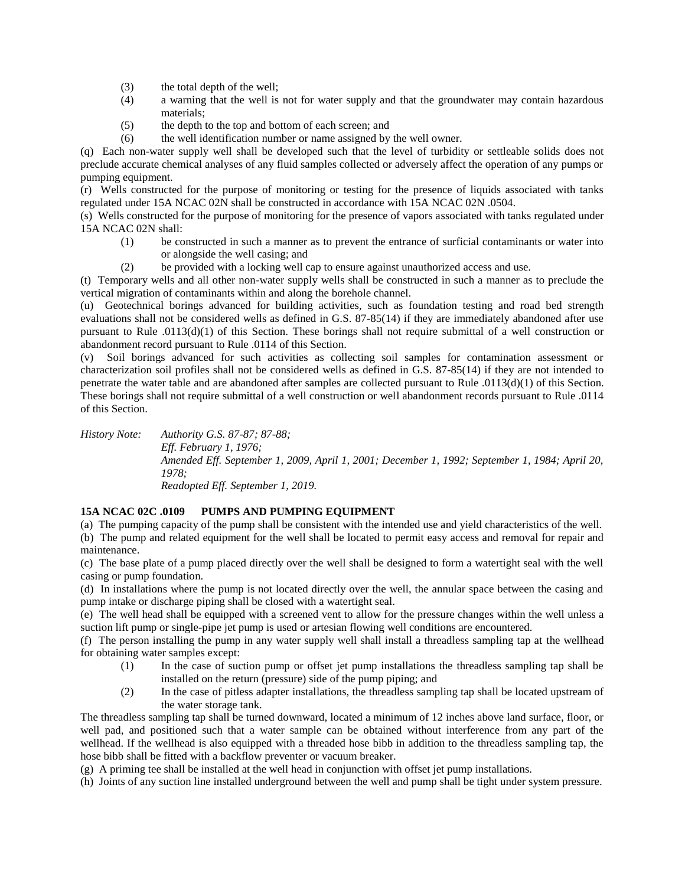- (3) the total depth of the well;
- (4) a warning that the well is not for water supply and that the groundwater may contain hazardous materials;
- (5) the depth to the top and bottom of each screen; and
- (6) the well identification number or name assigned by the well owner.

(q) Each non-water supply well shall be developed such that the level of turbidity or settleable solids does not preclude accurate chemical analyses of any fluid samples collected or adversely affect the operation of any pumps or pumping equipment.

(r) Wells constructed for the purpose of monitoring or testing for the presence of liquids associated with tanks regulated under 15A NCAC 02N shall be constructed in accordance with 15A NCAC 02N .0504.

(s) Wells constructed for the purpose of monitoring for the presence of vapors associated with tanks regulated under 15A NCAC 02N shall:

- (1) be constructed in such a manner as to prevent the entrance of surficial contaminants or water into or alongside the well casing; and
- (2) be provided with a locking well cap to ensure against unauthorized access and use.

(t) Temporary wells and all other non-water supply wells shall be constructed in such a manner as to preclude the vertical migration of contaminants within and along the borehole channel.

(u) Geotechnical borings advanced for building activities, such as foundation testing and road bed strength evaluations shall not be considered wells as defined in G.S. 87-85(14) if they are immediately abandoned after use pursuant to Rule .0113(d)(1) of this Section. These borings shall not require submittal of a well construction or abandonment record pursuant to Rule .0114 of this Section.

(v) Soil borings advanced for such activities as collecting soil samples for contamination assessment or characterization soil profiles shall not be considered wells as defined in G.S. 87-85(14) if they are not intended to penetrate the water table and are abandoned after samples are collected pursuant to Rule .0113(d)(1) of this Section. These borings shall not require submittal of a well construction or well abandonment records pursuant to Rule .0114 of this Section.

*History Note: Authority G.S. 87-87; 87-88; Eff. February 1, 1976; Amended Eff. September 1, 2009, April 1, 2001; December 1, 1992; September 1, 1984; April 20, 1978; Readopted Eff. September 1, 2019.*

## **15A NCAC 02C .0109 PUMPS AND PUMPING EQUIPMENT**

(a) The pumping capacity of the pump shall be consistent with the intended use and yield characteristics of the well. (b) The pump and related equipment for the well shall be located to permit easy access and removal for repair and maintenance.

(c) The base plate of a pump placed directly over the well shall be designed to form a watertight seal with the well casing or pump foundation.

(d) In installations where the pump is not located directly over the well, the annular space between the casing and pump intake or discharge piping shall be closed with a watertight seal.

(e) The well head shall be equipped with a screened vent to allow for the pressure changes within the well unless a suction lift pump or single-pipe jet pump is used or artesian flowing well conditions are encountered.

(f) The person installing the pump in any water supply well shall install a threadless sampling tap at the wellhead for obtaining water samples except:

- (1) In the case of suction pump or offset jet pump installations the threadless sampling tap shall be installed on the return (pressure) side of the pump piping; and
- (2) In the case of pitless adapter installations, the threadless sampling tap shall be located upstream of the water storage tank.

The threadless sampling tap shall be turned downward, located a minimum of 12 inches above land surface, floor, or well pad, and positioned such that a water sample can be obtained without interference from any part of the wellhead. If the wellhead is also equipped with a threaded hose bibb in addition to the threadless sampling tap, the hose bibb shall be fitted with a backflow preventer or vacuum breaker.

(g) A priming tee shall be installed at the well head in conjunction with offset jet pump installations.

(h) Joints of any suction line installed underground between the well and pump shall be tight under system pressure.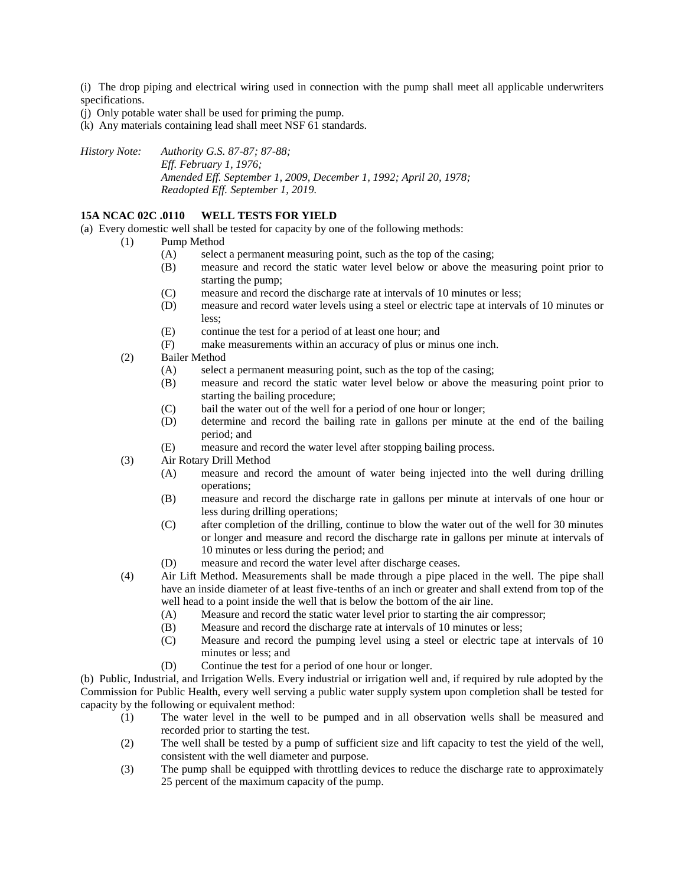(i) The drop piping and electrical wiring used in connection with the pump shall meet all applicable underwriters specifications.

(j) Only potable water shall be used for priming the pump.

(k) Any materials containing lead shall meet NSF 61 standards.

*History Note: Authority G.S. 87-87; 87-88; Eff. February 1, 1976; Amended Eff. September 1, 2009, December 1, 1992; April 20, 1978; Readopted Eff. September 1, 2019.*

## **15A NCAC 02C .0110 WELL TESTS FOR YIELD**

(a) Every domestic well shall be tested for capacity by one of the following methods:

- (1) Pump Method
	- (A) select a permanent measuring point, such as the top of the casing;
	- (B) measure and record the static water level below or above the measuring point prior to starting the pump;
	- (C) measure and record the discharge rate at intervals of 10 minutes or less;
	- (D) measure and record water levels using a steel or electric tape at intervals of 10 minutes or less;
	- (E) continue the test for a period of at least one hour; and
	- (F) make measurements within an accuracy of plus or minus one inch.
- (2) Bailer Method
	- (A) select a permanent measuring point, such as the top of the casing;
	- (B) measure and record the static water level below or above the measuring point prior to starting the bailing procedure;
	- (C) bail the water out of the well for a period of one hour or longer;
	- (D) determine and record the bailing rate in gallons per minute at the end of the bailing period; and
	- (E) measure and record the water level after stopping bailing process.
- (3) Air Rotary Drill Method
	- (A) measure and record the amount of water being injected into the well during drilling operations;
	- (B) measure and record the discharge rate in gallons per minute at intervals of one hour or less during drilling operations;
	- (C) after completion of the drilling, continue to blow the water out of the well for 30 minutes or longer and measure and record the discharge rate in gallons per minute at intervals of 10 minutes or less during the period; and
	- (D) measure and record the water level after discharge ceases.
- (4) Air Lift Method. Measurements shall be made through a pipe placed in the well. The pipe shall have an inside diameter of at least five-tenths of an inch or greater and shall extend from top of the well head to a point inside the well that is below the bottom of the air line.
	- (A) Measure and record the static water level prior to starting the air compressor;
	- (B) Measure and record the discharge rate at intervals of 10 minutes or less;
	- (C) Measure and record the pumping level using a steel or electric tape at intervals of 10 minutes or less; and
	- (D) Continue the test for a period of one hour or longer.

(b) Public, Industrial, and Irrigation Wells. Every industrial or irrigation well and, if required by rule adopted by the Commission for Public Health, every well serving a public water supply system upon completion shall be tested for capacity by the following or equivalent method:

- (1) The water level in the well to be pumped and in all observation wells shall be measured and recorded prior to starting the test.
- (2) The well shall be tested by a pump of sufficient size and lift capacity to test the yield of the well, consistent with the well diameter and purpose.
- (3) The pump shall be equipped with throttling devices to reduce the discharge rate to approximately 25 percent of the maximum capacity of the pump.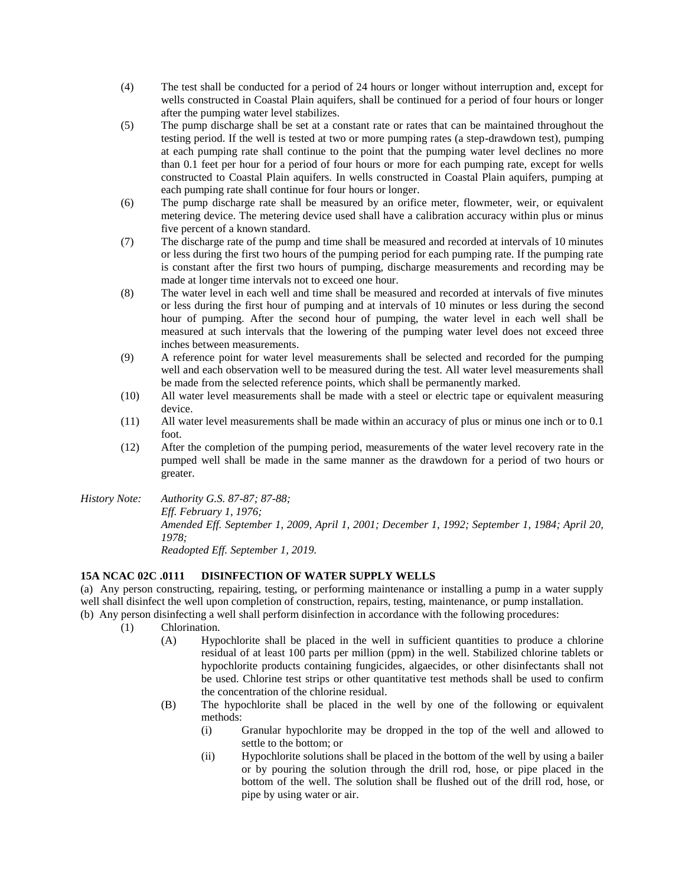- (4) The test shall be conducted for a period of 24 hours or longer without interruption and, except for wells constructed in Coastal Plain aquifers, shall be continued for a period of four hours or longer after the pumping water level stabilizes.
- (5) The pump discharge shall be set at a constant rate or rates that can be maintained throughout the testing period. If the well is tested at two or more pumping rates (a step-drawdown test), pumping at each pumping rate shall continue to the point that the pumping water level declines no more than 0.1 feet per hour for a period of four hours or more for each pumping rate, except for wells constructed to Coastal Plain aquifers. In wells constructed in Coastal Plain aquifers, pumping at each pumping rate shall continue for four hours or longer.
- (6) The pump discharge rate shall be measured by an orifice meter, flowmeter, weir, or equivalent metering device. The metering device used shall have a calibration accuracy within plus or minus five percent of a known standard.
- (7) The discharge rate of the pump and time shall be measured and recorded at intervals of 10 minutes or less during the first two hours of the pumping period for each pumping rate. If the pumping rate is constant after the first two hours of pumping, discharge measurements and recording may be made at longer time intervals not to exceed one hour.
- (8) The water level in each well and time shall be measured and recorded at intervals of five minutes or less during the first hour of pumping and at intervals of 10 minutes or less during the second hour of pumping. After the second hour of pumping, the water level in each well shall be measured at such intervals that the lowering of the pumping water level does not exceed three inches between measurements.
- (9) A reference point for water level measurements shall be selected and recorded for the pumping well and each observation well to be measured during the test. All water level measurements shall be made from the selected reference points, which shall be permanently marked.
- (10) All water level measurements shall be made with a steel or electric tape or equivalent measuring device.
- (11) All water level measurements shall be made within an accuracy of plus or minus one inch or to 0.1 foot.
- (12) After the completion of the pumping period, measurements of the water level recovery rate in the pumped well shall be made in the same manner as the drawdown for a period of two hours or greater.
- *History Note: Authority G.S. 87-87; 87-88; Eff. February 1, 1976; Amended Eff. September 1, 2009, April 1, 2001; December 1, 1992; September 1, 1984; April 20, 1978; Readopted Eff. September 1, 2019.*

## **15A NCAC 02C .0111 DISINFECTION OF WATER SUPPLY WELLS**

(a) Any person constructing, repairing, testing, or performing maintenance or installing a pump in a water supply well shall disinfect the well upon completion of construction, repairs, testing, maintenance, or pump installation.

- (b) Any person disinfecting a well shall perform disinfection in accordance with the following procedures:
	- (1) Chlorination.
		- (A) Hypochlorite shall be placed in the well in sufficient quantities to produce a chlorine residual of at least 100 parts per million (ppm) in the well. Stabilized chlorine tablets or hypochlorite products containing fungicides, algaecides, or other disinfectants shall not be used. Chlorine test strips or other quantitative test methods shall be used to confirm the concentration of the chlorine residual.
		- (B) The hypochlorite shall be placed in the well by one of the following or equivalent methods:
			- (i) Granular hypochlorite may be dropped in the top of the well and allowed to settle to the bottom; or
			- (ii) Hypochlorite solutions shall be placed in the bottom of the well by using a bailer or by pouring the solution through the drill rod, hose, or pipe placed in the bottom of the well. The solution shall be flushed out of the drill rod, hose, or pipe by using water or air.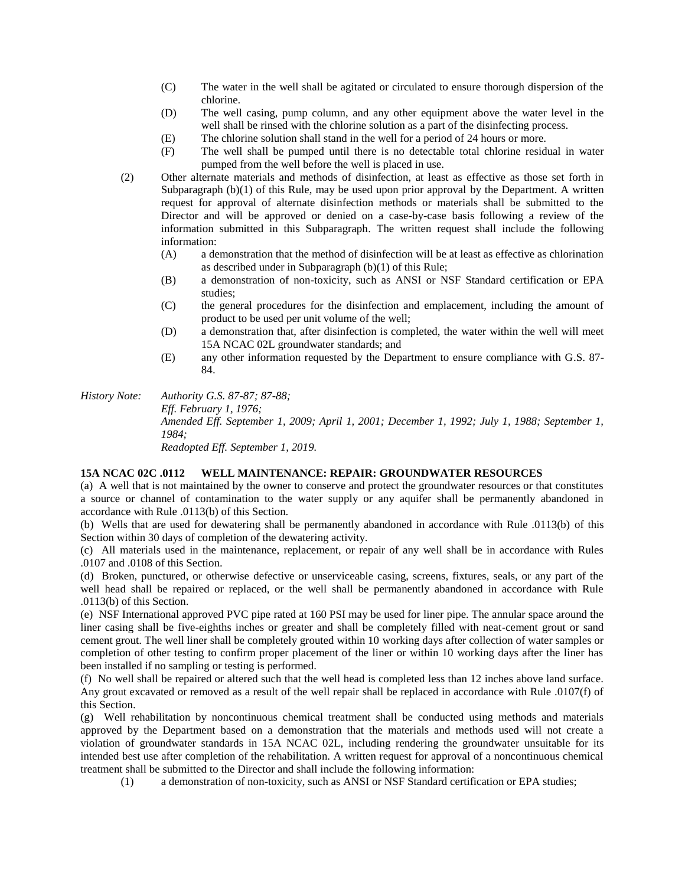- (C) The water in the well shall be agitated or circulated to ensure thorough dispersion of the chlorine.
- (D) The well casing, pump column, and any other equipment above the water level in the well shall be rinsed with the chlorine solution as a part of the disinfecting process.
- (E) The chlorine solution shall stand in the well for a period of 24 hours or more.
- (F) The well shall be pumped until there is no detectable total chlorine residual in water pumped from the well before the well is placed in use.
- (2) Other alternate materials and methods of disinfection, at least as effective as those set forth in Subparagraph (b)(1) of this Rule, may be used upon prior approval by the Department. A written request for approval of alternate disinfection methods or materials shall be submitted to the Director and will be approved or denied on a case-by-case basis following a review of the information submitted in this Subparagraph. The written request shall include the following information:
	- (A) a demonstration that the method of disinfection will be at least as effective as chlorination as described under in Subparagraph (b)(1) of this Rule;
	- (B) a demonstration of non-toxicity, such as ANSI or NSF Standard certification or EPA studies;
	- (C) the general procedures for the disinfection and emplacement, including the amount of product to be used per unit volume of the well;
	- (D) a demonstration that, after disinfection is completed, the water within the well will meet 15A NCAC 02L groundwater standards; and
	- (E) any other information requested by the Department to ensure compliance with G.S. 87- 84.

*History Note: Authority G.S. 87-87; 87-88; Eff. February 1, 1976; Amended Eff. September 1, 2009; April 1, 2001; December 1, 1992; July 1, 1988; September 1, 1984; Readopted Eff. September 1, 2019.*

## **15A NCAC 02C .0112 WELL MAINTENANCE: REPAIR: GROUNDWATER RESOURCES**

(a) A well that is not maintained by the owner to conserve and protect the groundwater resources or that constitutes a source or channel of contamination to the water supply or any aquifer shall be permanently abandoned in accordance with Rule .0113(b) of this Section.

(b) Wells that are used for dewatering shall be permanently abandoned in accordance with Rule .0113(b) of this Section within 30 days of completion of the dewatering activity.

(c) All materials used in the maintenance, replacement, or repair of any well shall be in accordance with Rules .0107 and .0108 of this Section.

(d) Broken, punctured, or otherwise defective or unserviceable casing, screens, fixtures, seals, or any part of the well head shall be repaired or replaced, or the well shall be permanently abandoned in accordance with Rule .0113(b) of this Section.

(e) NSF International approved PVC pipe rated at 160 PSI may be used for liner pipe. The annular space around the liner casing shall be five-eighths inches or greater and shall be completely filled with neat-cement grout or sand cement grout. The well liner shall be completely grouted within 10 working days after collection of water samples or completion of other testing to confirm proper placement of the liner or within 10 working days after the liner has been installed if no sampling or testing is performed.

(f) No well shall be repaired or altered such that the well head is completed less than 12 inches above land surface. Any grout excavated or removed as a result of the well repair shall be replaced in accordance with Rule .0107(f) of this Section.

(g) Well rehabilitation by noncontinuous chemical treatment shall be conducted using methods and materials approved by the Department based on a demonstration that the materials and methods used will not create a violation of groundwater standards in 15A NCAC 02L, including rendering the groundwater unsuitable for its intended best use after completion of the rehabilitation. A written request for approval of a noncontinuous chemical treatment shall be submitted to the Director and shall include the following information:

(1) a demonstration of non-toxicity, such as ANSI or NSF Standard certification or EPA studies;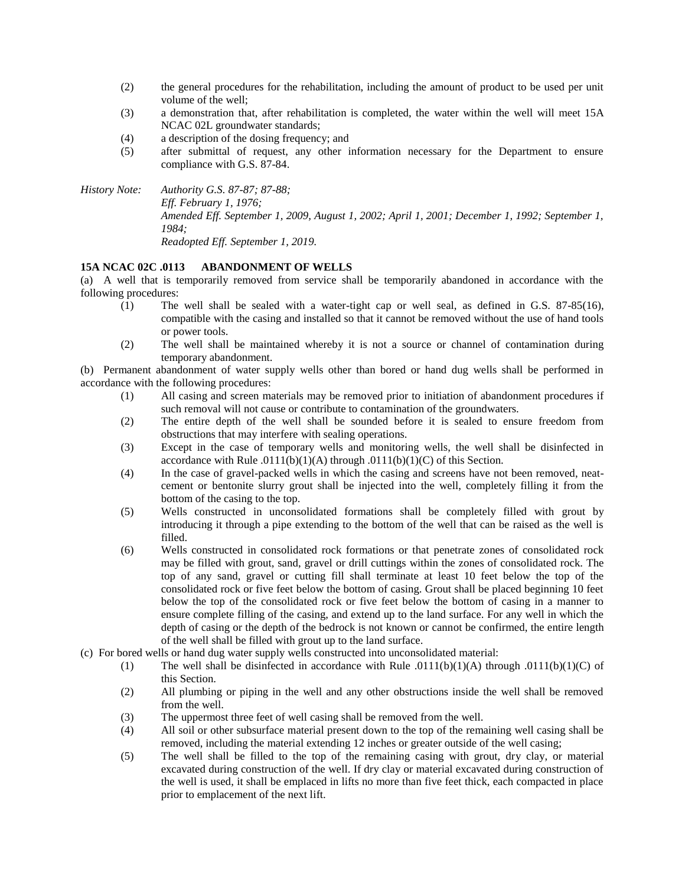- (2) the general procedures for the rehabilitation, including the amount of product to be used per unit volume of the well;
- (3) a demonstration that, after rehabilitation is completed, the water within the well will meet 15A NCAC 02L groundwater standards;
- (4) a description of the dosing frequency; and
- (5) after submittal of request, any other information necessary for the Department to ensure compliance with G.S. 87-84.

*History Note: Authority G.S. 87-87; 87-88; Eff. February 1, 1976; Amended Eff. September 1, 2009, August 1, 2002; April 1, 2001; December 1, 1992; September 1, 1984; Readopted Eff. September 1, 2019.*

## **15A NCAC 02C .0113 ABANDONMENT OF WELLS**

(a) A well that is temporarily removed from service shall be temporarily abandoned in accordance with the following procedures:

- (1) The well shall be sealed with a water-tight cap or well seal, as defined in G.S. 87-85(16), compatible with the casing and installed so that it cannot be removed without the use of hand tools or power tools.
- (2) The well shall be maintained whereby it is not a source or channel of contamination during temporary abandonment.

(b) Permanent abandonment of water supply wells other than bored or hand dug wells shall be performed in accordance with the following procedures:

- (1) All casing and screen materials may be removed prior to initiation of abandonment procedures if such removal will not cause or contribute to contamination of the groundwaters.
- (2) The entire depth of the well shall be sounded before it is sealed to ensure freedom from obstructions that may interfere with sealing operations.
- (3) Except in the case of temporary wells and monitoring wells, the well shall be disinfected in accordance with Rule .0111(b)(1)(A) through .0111(b)(1)(C) of this Section.
- (4) In the case of gravel-packed wells in which the casing and screens have not been removed, neatcement or bentonite slurry grout shall be injected into the well, completely filling it from the bottom of the casing to the top.
- (5) Wells constructed in unconsolidated formations shall be completely filled with grout by introducing it through a pipe extending to the bottom of the well that can be raised as the well is filled.
- (6) Wells constructed in consolidated rock formations or that penetrate zones of consolidated rock may be filled with grout, sand, gravel or drill cuttings within the zones of consolidated rock. The top of any sand, gravel or cutting fill shall terminate at least 10 feet below the top of the consolidated rock or five feet below the bottom of casing. Grout shall be placed beginning 10 feet below the top of the consolidated rock or five feet below the bottom of casing in a manner to ensure complete filling of the casing, and extend up to the land surface. For any well in which the depth of casing or the depth of the bedrock is not known or cannot be confirmed, the entire length of the well shall be filled with grout up to the land surface.
- (c) For bored wells or hand dug water supply wells constructed into unconsolidated material:
	- (1) The well shall be disinfected in accordance with Rule .0111(b)(1)(A) through .0111(b)(1)(C) of this Section.
	- (2) All plumbing or piping in the well and any other obstructions inside the well shall be removed from the well.
	- (3) The uppermost three feet of well casing shall be removed from the well.
	- (4) All soil or other subsurface material present down to the top of the remaining well casing shall be removed, including the material extending 12 inches or greater outside of the well casing;
	- (5) The well shall be filled to the top of the remaining casing with grout, dry clay, or material excavated during construction of the well. If dry clay or material excavated during construction of the well is used, it shall be emplaced in lifts no more than five feet thick, each compacted in place prior to emplacement of the next lift.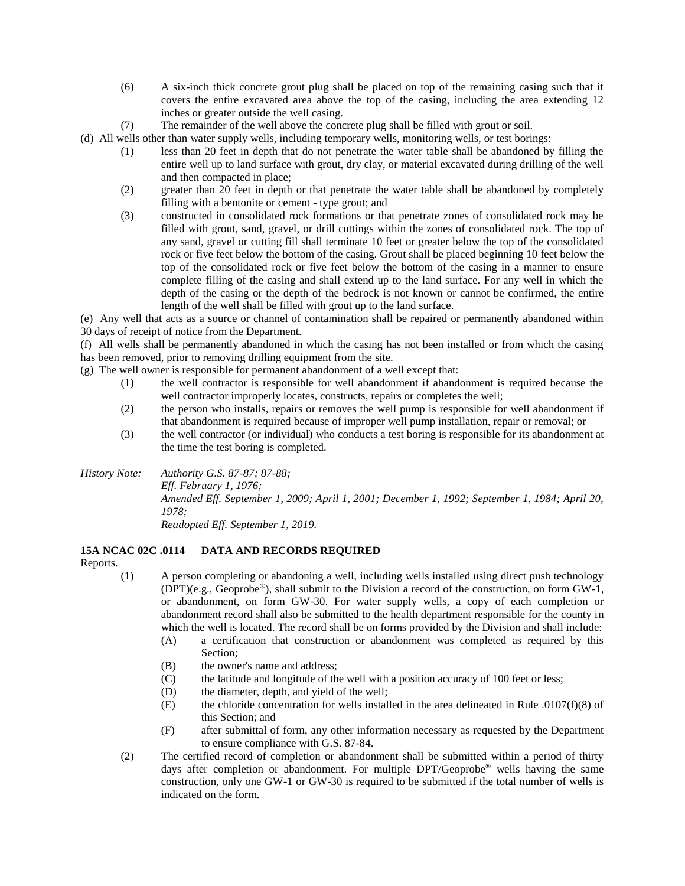- (6) A six-inch thick concrete grout plug shall be placed on top of the remaining casing such that it covers the entire excavated area above the top of the casing, including the area extending 12 inches or greater outside the well casing.
- (7) The remainder of the well above the concrete plug shall be filled with grout or soil.
- (d) All wells other than water supply wells, including temporary wells, monitoring wells, or test borings:
	- (1) less than 20 feet in depth that do not penetrate the water table shall be abandoned by filling the entire well up to land surface with grout, dry clay, or material excavated during drilling of the well and then compacted in place;
	- (2) greater than 20 feet in depth or that penetrate the water table shall be abandoned by completely filling with a bentonite or cement - type grout; and
	- (3) constructed in consolidated rock formations or that penetrate zones of consolidated rock may be filled with grout, sand, gravel, or drill cuttings within the zones of consolidated rock. The top of any sand, gravel or cutting fill shall terminate 10 feet or greater below the top of the consolidated rock or five feet below the bottom of the casing. Grout shall be placed beginning 10 feet below the top of the consolidated rock or five feet below the bottom of the casing in a manner to ensure complete filling of the casing and shall extend up to the land surface. For any well in which the depth of the casing or the depth of the bedrock is not known or cannot be confirmed, the entire length of the well shall be filled with grout up to the land surface.

(e) Any well that acts as a source or channel of contamination shall be repaired or permanently abandoned within 30 days of receipt of notice from the Department.

(f) All wells shall be permanently abandoned in which the casing has not been installed or from which the casing has been removed, prior to removing drilling equipment from the site.

(g) The well owner is responsible for permanent abandonment of a well except that:

- (1) the well contractor is responsible for well abandonment if abandonment is required because the well contractor improperly locates, constructs, repairs or completes the well;
- (2) the person who installs, repairs or removes the well pump is responsible for well abandonment if that abandonment is required because of improper well pump installation, repair or removal; or
- (3) the well contractor (or individual) who conducts a test boring is responsible for its abandonment at the time the test boring is completed.

*History Note: Authority G.S. 87-87; 87-88; Eff. February 1, 1976; Amended Eff. September 1, 2009; April 1, 2001; December 1, 1992; September 1, 1984; April 20, 1978; Readopted Eff. September 1, 2019.*

**15A NCAC 02C .0114 DATA AND RECORDS REQUIRED**

Reports.

(1) A person completing or abandoning a well, including wells installed using direct push technology (DPT)(e.g., Geoprobe®), shall submit to the Division a record of the construction, on form GW-1, or abandonment, on form GW-30. For water supply wells, a copy of each completion or abandonment record shall also be submitted to the health department responsible for the county in which the well is located. The record shall be on forms provided by the Division and shall include:

- (A) a certification that construction or abandonment was completed as required by this Section;
- (B) the owner's name and address;
- (C) the latitude and longitude of the well with a position accuracy of 100 feet or less;
- (D) the diameter, depth, and yield of the well;
- (E) the chloride concentration for wells installed in the area delineated in Rule .0107(f)(8) of this Section; and
- (F) after submittal of form, any other information necessary as requested by the Department to ensure compliance with G.S. 87-84.
- (2) The certified record of completion or abandonment shall be submitted within a period of thirty days after completion or abandonment. For multiple DPT/Geoprobe® wells having the same construction, only one GW-1 or GW-30 is required to be submitted if the total number of wells is indicated on the form.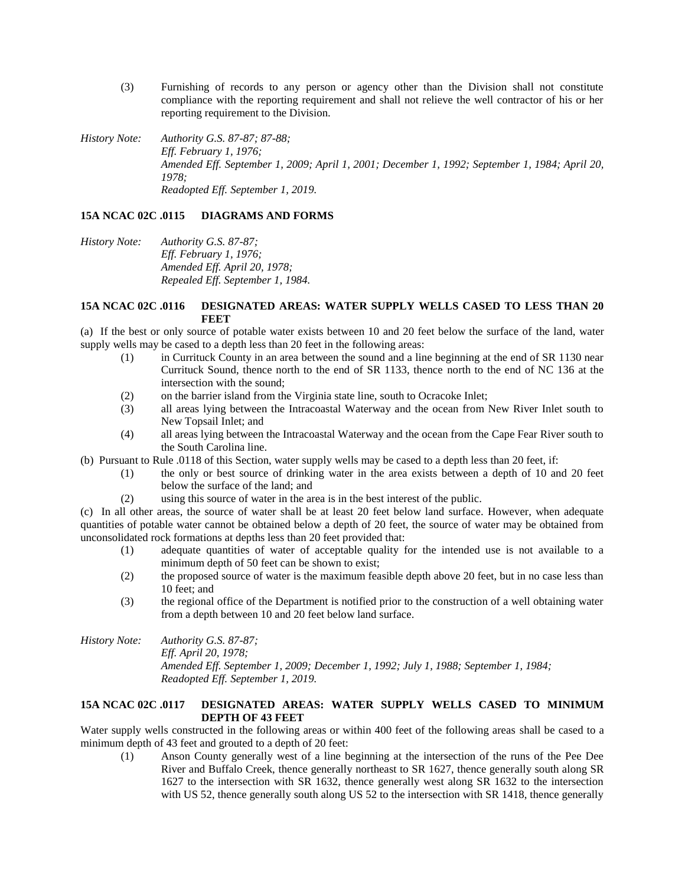- (3) Furnishing of records to any person or agency other than the Division shall not constitute compliance with the reporting requirement and shall not relieve the well contractor of his or her reporting requirement to the Division.
- *History Note: Authority G.S. 87-87; 87-88; Eff. February 1, 1976; Amended Eff. September 1, 2009; April 1, 2001; December 1, 1992; September 1, 1984; April 20, 1978; Readopted Eff. September 1, 2019.*

#### **15A NCAC 02C .0115 DIAGRAMS AND FORMS**

*History Note: Authority G.S. 87-87; Eff. February 1, 1976; Amended Eff. April 20, 1978; Repealed Eff. September 1, 1984.*

## **15A NCAC 02C .0116 DESIGNATED AREAS: WATER SUPPLY WELLS CASED TO LESS THAN 20 FEET**

(a) If the best or only source of potable water exists between 10 and 20 feet below the surface of the land, water supply wells may be cased to a depth less than 20 feet in the following areas:

- (1) in Currituck County in an area between the sound and a line beginning at the end of SR 1130 near Currituck Sound, thence north to the end of SR 1133, thence north to the end of NC 136 at the intersection with the sound;
- (2) on the barrier island from the Virginia state line, south to Ocracoke Inlet;
- (3) all areas lying between the Intracoastal Waterway and the ocean from New River Inlet south to New Topsail Inlet; and
- (4) all areas lying between the Intracoastal Waterway and the ocean from the Cape Fear River south to the South Carolina line.
- (b) Pursuant to Rule .0118 of this Section, water supply wells may be cased to a depth less than 20 feet, if:
	- (1) the only or best source of drinking water in the area exists between a depth of 10 and 20 feet below the surface of the land; and
	- (2) using this source of water in the area is in the best interest of the public.

(c) In all other areas, the source of water shall be at least 20 feet below land surface. However, when adequate quantities of potable water cannot be obtained below a depth of 20 feet, the source of water may be obtained from unconsolidated rock formations at depths less than 20 feet provided that:

- (1) adequate quantities of water of acceptable quality for the intended use is not available to a minimum depth of 50 feet can be shown to exist;
- (2) the proposed source of water is the maximum feasible depth above 20 feet, but in no case less than 10 feet; and
- (3) the regional office of the Department is notified prior to the construction of a well obtaining water from a depth between 10 and 20 feet below land surface.
- *History Note: Authority G.S. 87-87; Eff. April 20, 1978; Amended Eff. September 1, 2009; December 1, 1992; July 1, 1988; September 1, 1984; Readopted Eff. September 1, 2019.*

## **15A NCAC 02C .0117 DESIGNATED AREAS: WATER SUPPLY WELLS CASED TO MINIMUM DEPTH OF 43 FEET**

Water supply wells constructed in the following areas or within 400 feet of the following areas shall be cased to a minimum depth of 43 feet and grouted to a depth of 20 feet:

(1) Anson County generally west of a line beginning at the intersection of the runs of the Pee Dee River and Buffalo Creek, thence generally northeast to SR 1627, thence generally south along SR 1627 to the intersection with SR 1632, thence generally west along SR 1632 to the intersection with US 52, thence generally south along US 52 to the intersection with SR 1418, thence generally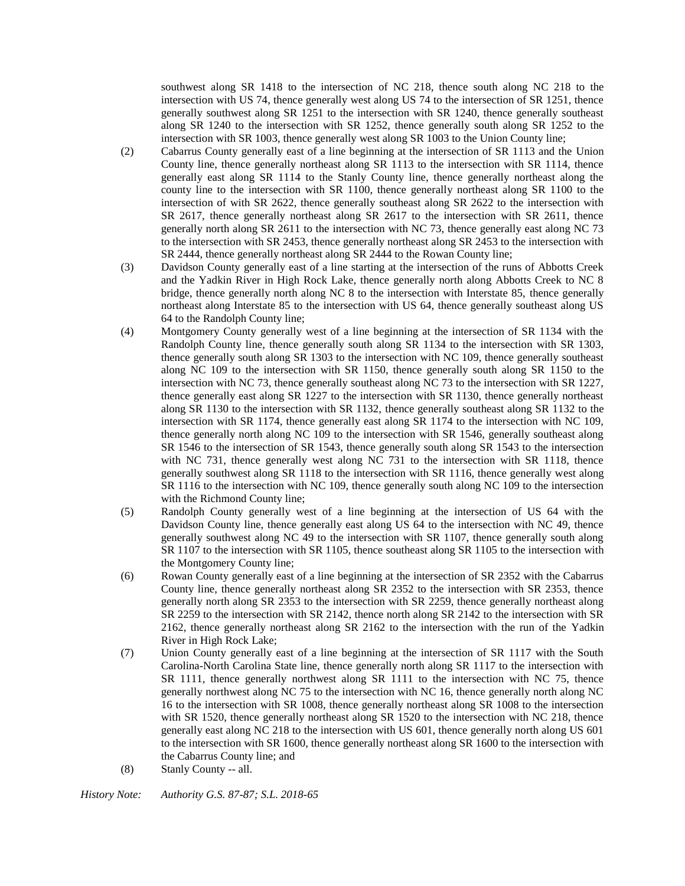southwest along SR 1418 to the intersection of NC 218, thence south along NC 218 to the intersection with US 74, thence generally west along US 74 to the intersection of SR 1251, thence generally southwest along SR 1251 to the intersection with SR 1240, thence generally southeast along SR 1240 to the intersection with SR 1252, thence generally south along SR 1252 to the intersection with SR 1003, thence generally west along SR 1003 to the Union County line;

- (2) Cabarrus County generally east of a line beginning at the intersection of SR 1113 and the Union County line, thence generally northeast along SR 1113 to the intersection with SR 1114, thence generally east along SR 1114 to the Stanly County line, thence generally northeast along the county line to the intersection with SR 1100, thence generally northeast along SR 1100 to the intersection of with SR 2622, thence generally southeast along SR 2622 to the intersection with SR 2617, thence generally northeast along SR 2617 to the intersection with SR 2611, thence generally north along SR 2611 to the intersection with NC 73, thence generally east along NC 73 to the intersection with SR 2453, thence generally northeast along SR 2453 to the intersection with SR 2444, thence generally northeast along SR 2444 to the Rowan County line;
- (3) Davidson County generally east of a line starting at the intersection of the runs of Abbotts Creek and the Yadkin River in High Rock Lake, thence generally north along Abbotts Creek to NC 8 bridge, thence generally north along NC 8 to the intersection with Interstate 85, thence generally northeast along Interstate 85 to the intersection with US 64, thence generally southeast along US 64 to the Randolph County line;
- (4) Montgomery County generally west of a line beginning at the intersection of SR 1134 with the Randolph County line, thence generally south along SR 1134 to the intersection with SR 1303, thence generally south along SR 1303 to the intersection with NC 109, thence generally southeast along NC 109 to the intersection with SR 1150, thence generally south along SR 1150 to the intersection with NC 73, thence generally southeast along NC 73 to the intersection with SR 1227, thence generally east along SR 1227 to the intersection with SR 1130, thence generally northeast along SR 1130 to the intersection with SR 1132, thence generally southeast along SR 1132 to the intersection with SR 1174, thence generally east along SR 1174 to the intersection with NC 109, thence generally north along NC 109 to the intersection with SR 1546, generally southeast along SR 1546 to the intersection of SR 1543, thence generally south along SR 1543 to the intersection with NC 731, thence generally west along NC 731 to the intersection with SR 1118, thence generally southwest along SR 1118 to the intersection with SR 1116, thence generally west along SR 1116 to the intersection with NC 109, thence generally south along NC 109 to the intersection with the Richmond County line;
- (5) Randolph County generally west of a line beginning at the intersection of US 64 with the Davidson County line, thence generally east along US 64 to the intersection with NC 49, thence generally southwest along NC 49 to the intersection with SR 1107, thence generally south along SR 1107 to the intersection with SR 1105, thence southeast along SR 1105 to the intersection with the Montgomery County line;
- (6) Rowan County generally east of a line beginning at the intersection of SR 2352 with the Cabarrus County line, thence generally northeast along SR 2352 to the intersection with SR 2353, thence generally north along SR 2353 to the intersection with SR 2259, thence generally northeast along SR 2259 to the intersection with SR 2142, thence north along SR 2142 to the intersection with SR 2162, thence generally northeast along SR 2162 to the intersection with the run of the Yadkin River in High Rock Lake;
- (7) Union County generally east of a line beginning at the intersection of SR 1117 with the South Carolina-North Carolina State line, thence generally north along SR 1117 to the intersection with SR 1111, thence generally northwest along SR 1111 to the intersection with NC 75, thence generally northwest along NC 75 to the intersection with NC 16, thence generally north along NC 16 to the intersection with SR 1008, thence generally northeast along SR 1008 to the intersection with SR 1520, thence generally northeast along SR 1520 to the intersection with NC 218, thence generally east along NC 218 to the intersection with US 601, thence generally north along US 601 to the intersection with SR 1600, thence generally northeast along SR 1600 to the intersection with the Cabarrus County line; and
- (8) Stanly County -- all.

*History Note: Authority G.S. 87-87; S.L. 2018-65*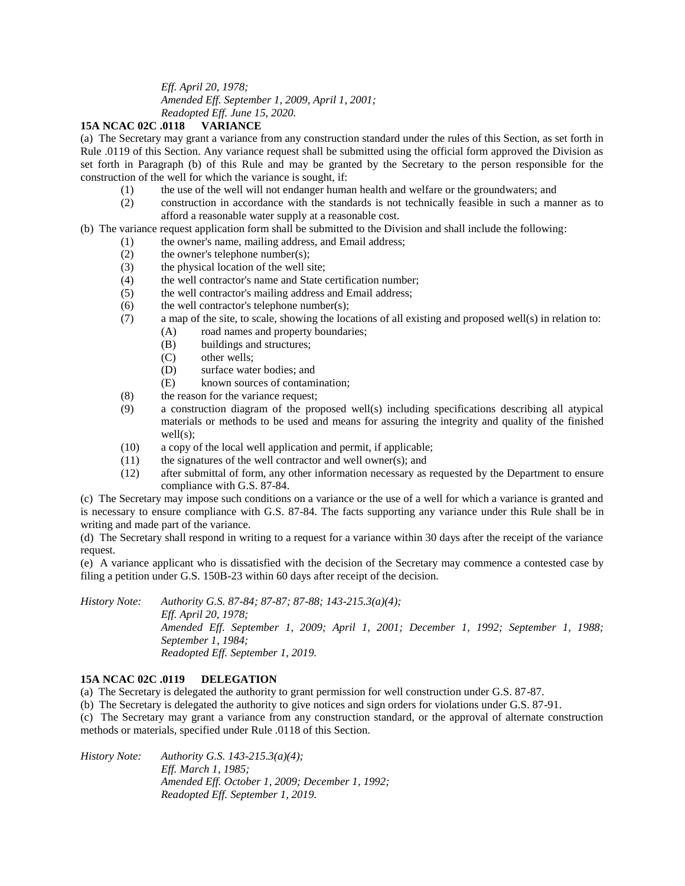*Eff. April 20, 1978; Amended Eff. September 1, 2009, April 1, 2001; Readopted Eff. June 15, 2020.*

## **15A NCAC 02C .0118 VARIANCE**

(a) The Secretary may grant a variance from any construction standard under the rules of this Section, as set forth in Rule .0119 of this Section. Any variance request shall be submitted using the official form approved the Division as set forth in Paragraph (b) of this Rule and may be granted by the Secretary to the person responsible for the construction of the well for which the variance is sought, if:

- (1) the use of the well will not endanger human health and welfare or the groundwaters; and
- (2) construction in accordance with the standards is not technically feasible in such a manner as to afford a reasonable water supply at a reasonable cost.

(b) The variance request application form shall be submitted to the Division and shall include the following:

- (1) the owner's name, mailing address, and Email address;
- (2) the owner's telephone number(s);
- (3) the physical location of the well site;
- (4) the well contractor's name and State certification number;
- (5) the well contractor's mailing address and Email address;
- $(6)$  the well contractor's telephone number(s);
- (7) a map of the site, to scale, showing the locations of all existing and proposed well(s) in relation to:
	- (A) road names and property boundaries;
	- (B) buildings and structures;
	- (C) other wells;
	- (D) surface water bodies; and
	- (E) known sources of contamination;
- (8) the reason for the variance request;
- (9) a construction diagram of the proposed well(s) including specifications describing all atypical materials or methods to be used and means for assuring the integrity and quality of the finished well(s);
- (10) a copy of the local well application and permit, if applicable;
- (11) the signatures of the well contractor and well owner(s); and
- (12) after submittal of form, any other information necessary as requested by the Department to ensure compliance with G.S. 87-84.

(c) The Secretary may impose such conditions on a variance or the use of a well for which a variance is granted and is necessary to ensure compliance with G.S. 87-84. The facts supporting any variance under this Rule shall be in writing and made part of the variance.

(d) The Secretary shall respond in writing to a request for a variance within 30 days after the receipt of the variance request.

(e) A variance applicant who is dissatisfied with the decision of the Secretary may commence a contested case by filing a petition under G.S. 150B-23 within 60 days after receipt of the decision.

*History Note: Authority G.S. 87-84; 87-87; 87-88; 143-215.3(a)(4); Eff. April 20, 1978; Amended Eff. September 1, 2009; April 1, 2001; December 1, 1992; September 1, 1988; September 1, 1984; Readopted Eff. September 1, 2019.*

## **15A NCAC 02C .0119 DELEGATION**

(a) The Secretary is delegated the authority to grant permission for well construction under G.S. 87-87.

(b) The Secretary is delegated the authority to give notices and sign orders for violations under G.S. 87-91.

(c) The Secretary may grant a variance from any construction standard, or the approval of alternate construction methods or materials, specified under Rule .0118 of this Section.

*History Note: Authority G.S. 143-215.3(a)(4); Eff. March 1, 1985; Amended Eff. October 1, 2009; December 1, 1992; Readopted Eff. September 1, 2019.*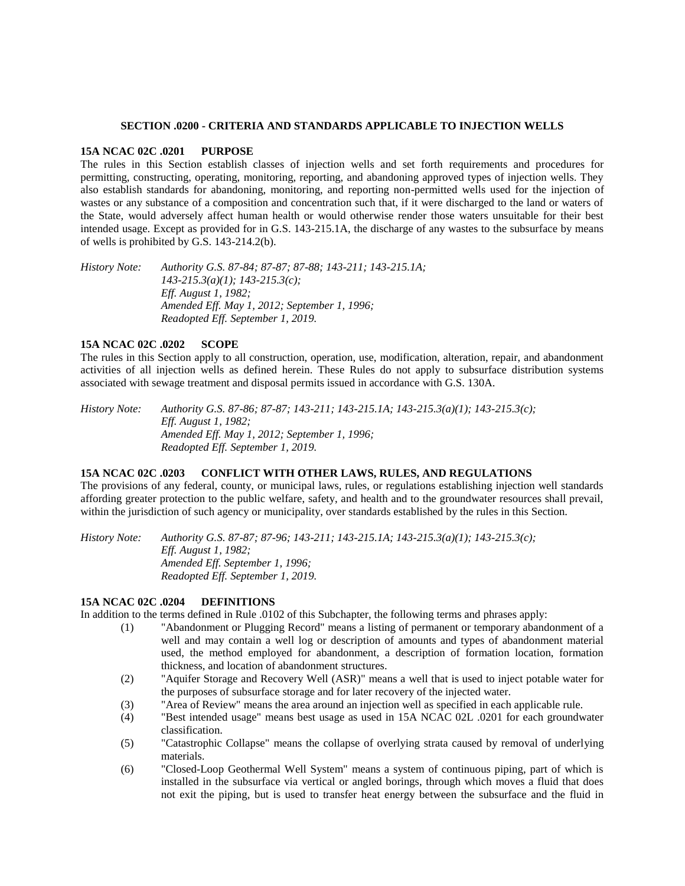#### **SECTION .0200 - CRITERIA AND STANDARDS APPLICABLE TO INJECTION WELLS**

#### **15A NCAC 02C .0201 PURPOSE**

The rules in this Section establish classes of injection wells and set forth requirements and procedures for permitting, constructing, operating, monitoring, reporting, and abandoning approved types of injection wells. They also establish standards for abandoning, monitoring, and reporting non-permitted wells used for the injection of wastes or any substance of a composition and concentration such that, if it were discharged to the land or waters of the State, would adversely affect human health or would otherwise render those waters unsuitable for their best intended usage. Except as provided for in G.S. 143-215.1A, the discharge of any wastes to the subsurface by means of wells is prohibited by G.S. 143-214.2(b).

*History Note: Authority G.S. 87-84; 87-87; 87-88; 143-211; 143-215.1A; 143-215.3(a)(1); 143-215.3(c); Eff. August 1, 1982; Amended Eff. May 1, 2012; September 1, 1996; Readopted Eff. September 1, 2019.*

## **15A NCAC 02C .0202 SCOPE**

The rules in this Section apply to all construction, operation, use, modification, alteration, repair, and abandonment activities of all injection wells as defined herein. These Rules do not apply to subsurface distribution systems associated with sewage treatment and disposal permits issued in accordance with G.S. 130A.

*History Note: Authority G.S. 87-86; 87-87; 143-211; 143-215.1A; 143-215.3(a)(1); 143-215.3(c); Eff. August 1, 1982; Amended Eff. May 1, 2012; September 1, 1996; Readopted Eff. September 1, 2019.*

## **15A NCAC 02C .0203 CONFLICT WITH OTHER LAWS, RULES, AND REGULATIONS**

The provisions of any federal, county, or municipal laws, rules, or regulations establishing injection well standards affording greater protection to the public welfare, safety, and health and to the groundwater resources shall prevail, within the jurisdiction of such agency or municipality, over standards established by the rules in this Section.

*History Note: Authority G.S. 87-87; 87-96; 143-211; 143-215.1A; 143-215.3(a)(1); 143-215.3(c); Eff. August 1, 1982; Amended Eff. September 1, 1996; Readopted Eff. September 1, 2019.*

#### **15A NCAC 02C .0204 DEFINITIONS**

In addition to the terms defined in Rule .0102 of this Subchapter, the following terms and phrases apply:

- (1) "Abandonment or Plugging Record" means a listing of permanent or temporary abandonment of a well and may contain a well log or description of amounts and types of abandonment material used, the method employed for abandonment, a description of formation location, formation thickness, and location of abandonment structures.
- (2) "Aquifer Storage and Recovery Well (ASR)" means a well that is used to inject potable water for the purposes of subsurface storage and for later recovery of the injected water.
- (3) "Area of Review" means the area around an injection well as specified in each applicable rule.
- (4) "Best intended usage" means best usage as used in 15A NCAC 02L .0201 for each groundwater classification.
- (5) "Catastrophic Collapse" means the collapse of overlying strata caused by removal of underlying materials.
- (6) "Closed-Loop Geothermal Well System" means a system of continuous piping, part of which is installed in the subsurface via vertical or angled borings, through which moves a fluid that does not exit the piping, but is used to transfer heat energy between the subsurface and the fluid in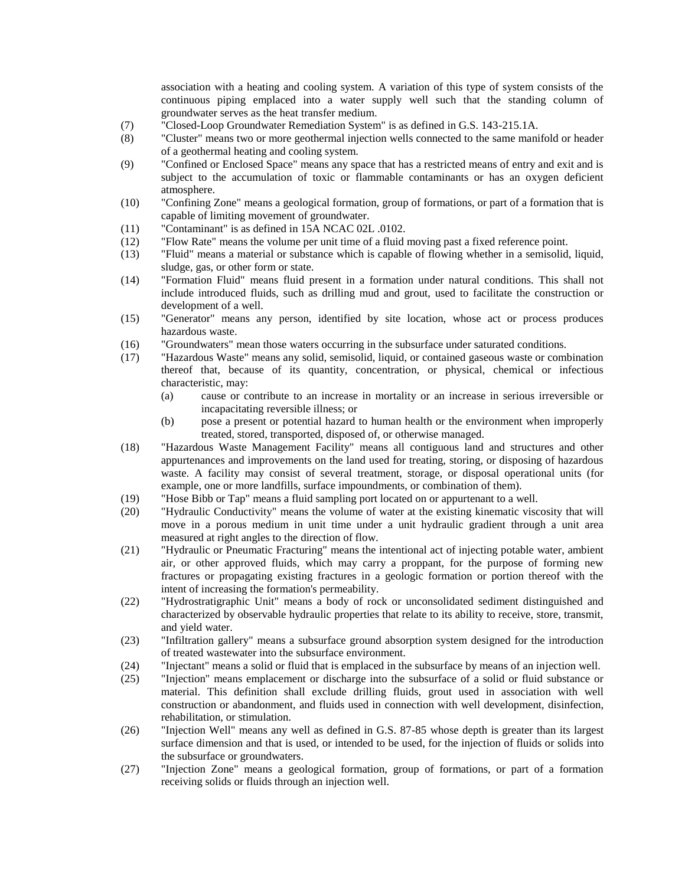association with a heating and cooling system. A variation of this type of system consists of the continuous piping emplaced into a water supply well such that the standing column of groundwater serves as the heat transfer medium.

- (7) "Closed-Loop Groundwater Remediation System" is as defined in G.S. 143-215.1A.
- (8) "Cluster" means two or more geothermal injection wells connected to the same manifold or header of a geothermal heating and cooling system.
- (9) "Confined or Enclosed Space" means any space that has a restricted means of entry and exit and is subject to the accumulation of toxic or flammable contaminants or has an oxygen deficient atmosphere.
- (10) "Confining Zone" means a geological formation, group of formations, or part of a formation that is capable of limiting movement of groundwater.
- (11) "Contaminant" is as defined in 15A NCAC 02L .0102.
- (12) "Flow Rate" means the volume per unit time of a fluid moving past a fixed reference point.
- (13) "Fluid" means a material or substance which is capable of flowing whether in a semisolid, liquid, sludge, gas, or other form or state.
- (14) "Formation Fluid" means fluid present in a formation under natural conditions. This shall not include introduced fluids, such as drilling mud and grout, used to facilitate the construction or development of a well.
- (15) "Generator" means any person, identified by site location, whose act or process produces hazardous waste.
- (16) "Groundwaters" mean those waters occurring in the subsurface under saturated conditions.
- (17) "Hazardous Waste" means any solid, semisolid, liquid, or contained gaseous waste or combination thereof that, because of its quantity, concentration, or physical, chemical or infectious characteristic, may:
	- (a) cause or contribute to an increase in mortality or an increase in serious irreversible or incapacitating reversible illness; or
	- (b) pose a present or potential hazard to human health or the environment when improperly treated, stored, transported, disposed of, or otherwise managed.
- (18) "Hazardous Waste Management Facility" means all contiguous land and structures and other appurtenances and improvements on the land used for treating, storing, or disposing of hazardous waste. A facility may consist of several treatment, storage, or disposal operational units (for example, one or more landfills, surface impoundments, or combination of them).
- (19) "Hose Bibb or Tap" means a fluid sampling port located on or appurtenant to a well.
- (20) "Hydraulic Conductivity" means the volume of water at the existing kinematic viscosity that will move in a porous medium in unit time under a unit hydraulic gradient through a unit area measured at right angles to the direction of flow.
- (21) "Hydraulic or Pneumatic Fracturing" means the intentional act of injecting potable water, ambient air, or other approved fluids, which may carry a proppant, for the purpose of forming new fractures or propagating existing fractures in a geologic formation or portion thereof with the intent of increasing the formation's permeability.
- (22) "Hydrostratigraphic Unit" means a body of rock or unconsolidated sediment distinguished and characterized by observable hydraulic properties that relate to its ability to receive, store, transmit, and yield water.
- (23) "Infiltration gallery" means a subsurface ground absorption system designed for the introduction of treated wastewater into the subsurface environment.
- (24) "Injectant" means a solid or fluid that is emplaced in the subsurface by means of an injection well.
- (25) "Injection" means emplacement or discharge into the subsurface of a solid or fluid substance or material. This definition shall exclude drilling fluids, grout used in association with well construction or abandonment, and fluids used in connection with well development, disinfection, rehabilitation, or stimulation.
- (26) "Injection Well" means any well as defined in G.S. 87-85 whose depth is greater than its largest surface dimension and that is used, or intended to be used, for the injection of fluids or solids into the subsurface or groundwaters.
- (27) "Injection Zone" means a geological formation, group of formations, or part of a formation receiving solids or fluids through an injection well.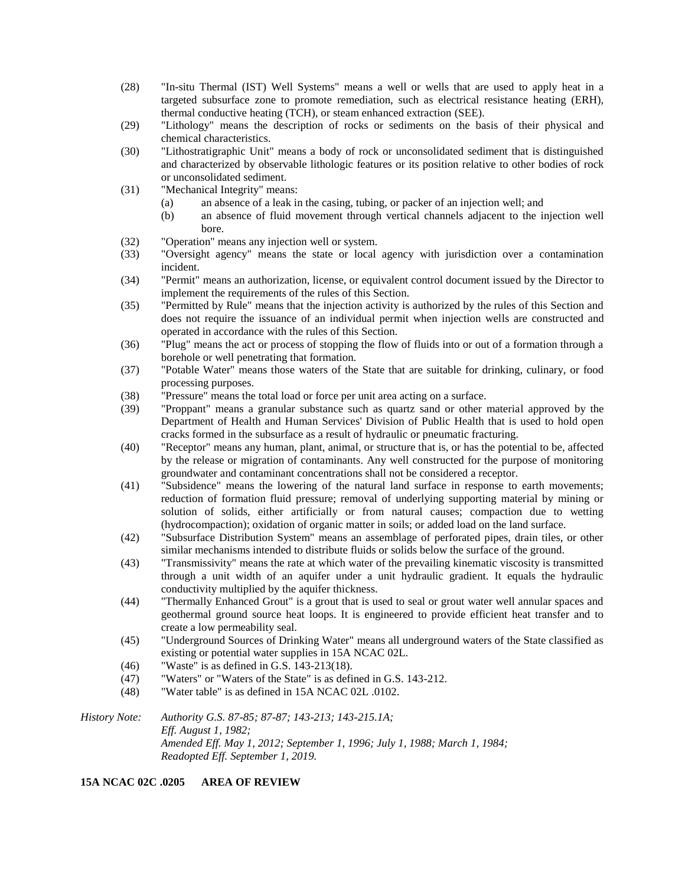- (28) "In-situ Thermal (IST) Well Systems" means a well or wells that are used to apply heat in a targeted subsurface zone to promote remediation, such as electrical resistance heating (ERH), thermal conductive heating (TCH), or steam enhanced extraction (SEE).
- (29) "Lithology" means the description of rocks or sediments on the basis of their physical and chemical characteristics.
- (30) "Lithostratigraphic Unit" means a body of rock or unconsolidated sediment that is distinguished and characterized by observable lithologic features or its position relative to other bodies of rock or unconsolidated sediment.
- (31) "Mechanical Integrity" means:
	- (a) an absence of a leak in the casing, tubing, or packer of an injection well; and
	- (b) an absence of fluid movement through vertical channels adjacent to the injection well bore.
- (32) "Operation" means any injection well or system.
- (33) "Oversight agency" means the state or local agency with jurisdiction over a contamination incident.
- (34) "Permit" means an authorization, license, or equivalent control document issued by the Director to implement the requirements of the rules of this Section.
- (35) "Permitted by Rule" means that the injection activity is authorized by the rules of this Section and does not require the issuance of an individual permit when injection wells are constructed and operated in accordance with the rules of this Section.
- (36) "Plug" means the act or process of stopping the flow of fluids into or out of a formation through a borehole or well penetrating that formation.
- (37) "Potable Water" means those waters of the State that are suitable for drinking, culinary, or food processing purposes.
- (38) "Pressure" means the total load or force per unit area acting on a surface.
- (39) "Proppant" means a granular substance such as quartz sand or other material approved by the Department of Health and Human Services' Division of Public Health that is used to hold open cracks formed in the subsurface as a result of hydraulic or pneumatic fracturing.
- (40) "Receptor" means any human, plant, animal, or structure that is, or has the potential to be, affected by the release or migration of contaminants. Any well constructed for the purpose of monitoring groundwater and contaminant concentrations shall not be considered a receptor.
- (41) "Subsidence" means the lowering of the natural land surface in response to earth movements; reduction of formation fluid pressure; removal of underlying supporting material by mining or solution of solids, either artificially or from natural causes; compaction due to wetting (hydrocompaction); oxidation of organic matter in soils; or added load on the land surface.
- (42) "Subsurface Distribution System" means an assemblage of perforated pipes, drain tiles, or other similar mechanisms intended to distribute fluids or solids below the surface of the ground.
- (43) "Transmissivity" means the rate at which water of the prevailing kinematic viscosity is transmitted through a unit width of an aquifer under a unit hydraulic gradient. It equals the hydraulic conductivity multiplied by the aquifer thickness.
- (44) "Thermally Enhanced Grout" is a grout that is used to seal or grout water well annular spaces and geothermal ground source heat loops. It is engineered to provide efficient heat transfer and to create a low permeability seal.
- (45) "Underground Sources of Drinking Water" means all underground waters of the State classified as existing or potential water supplies in 15A NCAC 02L.
- (46) "Waste" is as defined in G.S. 143-213(18).
- (47) "Waters" or "Waters of the State" is as defined in G.S. 143-212.
- (48) "Water table" is as defined in 15A NCAC 02L .0102.

*History Note: Authority G.S. 87-85; 87-87; 143-213; 143-215.1A; Eff. August 1, 1982; Amended Eff. May 1, 2012; September 1, 1996; July 1, 1988; March 1, 1984; Readopted Eff. September 1, 2019.*

#### **15A NCAC 02C .0205 AREA OF REVIEW**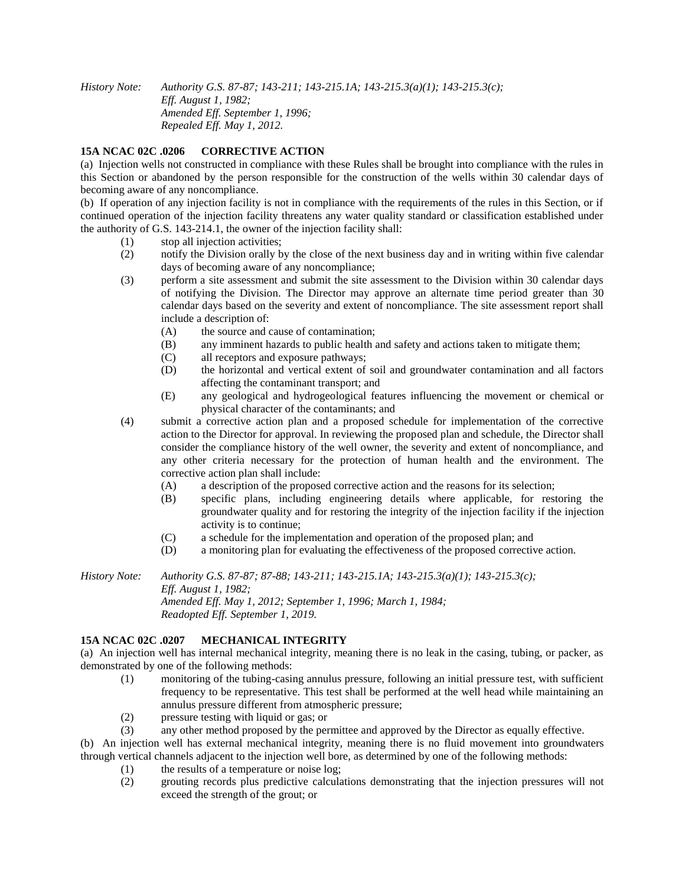*History Note: Authority G.S. 87-87; 143-211; 143-215.1A; 143-215.3(a)(1); 143-215.3(c); Eff. August 1, 1982; Amended Eff. September 1, 1996; Repealed Eff. May 1, 2012.*

## **15A NCAC 02C .0206 CORRECTIVE ACTION**

(a) Injection wells not constructed in compliance with these Rules shall be brought into compliance with the rules in this Section or abandoned by the person responsible for the construction of the wells within 30 calendar days of becoming aware of any noncompliance.

(b) If operation of any injection facility is not in compliance with the requirements of the rules in this Section, or if continued operation of the injection facility threatens any water quality standard or classification established under the authority of G.S. 143-214.1, the owner of the injection facility shall:

- (1) stop all injection activities;
- (2) notify the Division orally by the close of the next business day and in writing within five calendar days of becoming aware of any noncompliance;
- (3) perform a site assessment and submit the site assessment to the Division within 30 calendar days of notifying the Division. The Director may approve an alternate time period greater than 30 calendar days based on the severity and extent of noncompliance. The site assessment report shall include a description of:
	- (A) the source and cause of contamination;
	- (B) any imminent hazards to public health and safety and actions taken to mitigate them;
	- (C) all receptors and exposure pathways;
	- (D) the horizontal and vertical extent of soil and groundwater contamination and all factors affecting the contaminant transport; and
	- (E) any geological and hydrogeological features influencing the movement or chemical or physical character of the contaminants; and
- (4) submit a corrective action plan and a proposed schedule for implementation of the corrective action to the Director for approval. In reviewing the proposed plan and schedule, the Director shall consider the compliance history of the well owner, the severity and extent of noncompliance, and any other criteria necessary for the protection of human health and the environment. The corrective action plan shall include:
	- (A) a description of the proposed corrective action and the reasons for its selection;
	- (B) specific plans, including engineering details where applicable, for restoring the groundwater quality and for restoring the integrity of the injection facility if the injection activity is to continue;
	- (C) a schedule for the implementation and operation of the proposed plan; and
	- (D) a monitoring plan for evaluating the effectiveness of the proposed corrective action.

*History Note: Authority G.S. 87-87; 87-88; 143-211; 143-215.1A; 143-215.3(a)(1); 143-215.3(c); Eff. August 1, 1982; Amended Eff. May 1, 2012; September 1, 1996; March 1, 1984; Readopted Eff. September 1, 2019.*

#### **15A NCAC 02C .0207 MECHANICAL INTEGRITY**

(a) An injection well has internal mechanical integrity, meaning there is no leak in the casing, tubing, or packer, as demonstrated by one of the following methods:

- (1) monitoring of the tubing-casing annulus pressure, following an initial pressure test, with sufficient frequency to be representative. This test shall be performed at the well head while maintaining an annulus pressure different from atmospheric pressure;
- (2) pressure testing with liquid or gas; or
- (3) any other method proposed by the permittee and approved by the Director as equally effective.

(b) An injection well has external mechanical integrity, meaning there is no fluid movement into groundwaters through vertical channels adjacent to the injection well bore, as determined by one of the following methods:

- (1) the results of a temperature or noise log;
- (2) grouting records plus predictive calculations demonstrating that the injection pressures will not exceed the strength of the grout; or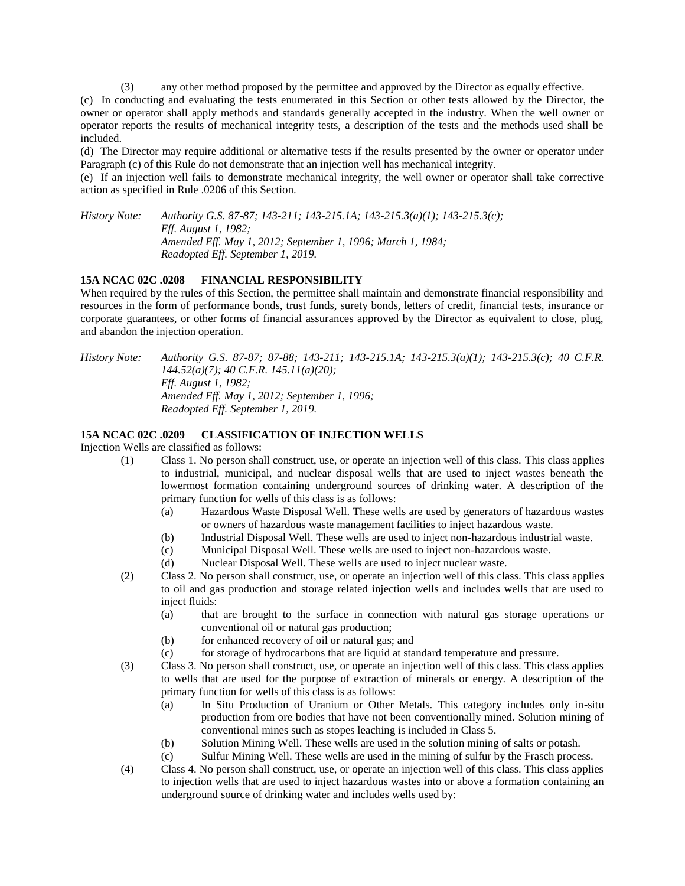(3) any other method proposed by the permittee and approved by the Director as equally effective.

(c) In conducting and evaluating the tests enumerated in this Section or other tests allowed by the Director, the owner or operator shall apply methods and standards generally accepted in the industry. When the well owner or operator reports the results of mechanical integrity tests, a description of the tests and the methods used shall be included.

(d) The Director may require additional or alternative tests if the results presented by the owner or operator under Paragraph (c) of this Rule do not demonstrate that an injection well has mechanical integrity.

(e) If an injection well fails to demonstrate mechanical integrity, the well owner or operator shall take corrective action as specified in Rule .0206 of this Section.

*History Note: Authority G.S. 87-87; 143-211; 143-215.1A; 143-215.3(a)(1); 143-215.3(c); Eff. August 1, 1982; Amended Eff. May 1, 2012; September 1, 1996; March 1, 1984; Readopted Eff. September 1, 2019.*

## **15A NCAC 02C .0208 FINANCIAL RESPONSIBILITY**

When required by the rules of this Section, the permittee shall maintain and demonstrate financial responsibility and resources in the form of performance bonds, trust funds, surety bonds, letters of credit, financial tests, insurance or corporate guarantees, or other forms of financial assurances approved by the Director as equivalent to close, plug, and abandon the injection operation.

*History Note: Authority G.S. 87-87; 87-88; 143-211; 143-215.1A; 143-215.3(a)(1); 143-215.3(c); 40 C.F.R. 144.52(a)(7); 40 C.F.R. 145.11(a)(20); Eff. August 1, 1982; Amended Eff. May 1, 2012; September 1, 1996; Readopted Eff. September 1, 2019.*

#### **15A NCAC 02C .0209 CLASSIFICATION OF INJECTION WELLS**

Injection Wells are classified as follows:

- (1) Class 1. No person shall construct, use, or operate an injection well of this class. This class applies to industrial, municipal, and nuclear disposal wells that are used to inject wastes beneath the lowermost formation containing underground sources of drinking water. A description of the primary function for wells of this class is as follows:
	- (a) Hazardous Waste Disposal Well. These wells are used by generators of hazardous wastes or owners of hazardous waste management facilities to inject hazardous waste.
	- (b) Industrial Disposal Well. These wells are used to inject non-hazardous industrial waste.
	- (c) Municipal Disposal Well. These wells are used to inject non-hazardous waste.
	- (d) Nuclear Disposal Well. These wells are used to inject nuclear waste.
- (2) Class 2. No person shall construct, use, or operate an injection well of this class. This class applies to oil and gas production and storage related injection wells and includes wells that are used to inject fluids:
	- (a) that are brought to the surface in connection with natural gas storage operations or conventional oil or natural gas production;
	- (b) for enhanced recovery of oil or natural gas; and
	- (c) for storage of hydrocarbons that are liquid at standard temperature and pressure.
- (3) Class 3. No person shall construct, use, or operate an injection well of this class. This class applies to wells that are used for the purpose of extraction of minerals or energy. A description of the primary function for wells of this class is as follows:
	- (a) In Situ Production of Uranium or Other Metals. This category includes only in-situ production from ore bodies that have not been conventionally mined. Solution mining of conventional mines such as stopes leaching is included in Class 5.
	- (b) Solution Mining Well. These wells are used in the solution mining of salts or potash.
	- (c) Sulfur Mining Well. These wells are used in the mining of sulfur by the Frasch process.
- (4) Class 4. No person shall construct, use, or operate an injection well of this class. This class applies to injection wells that are used to inject hazardous wastes into or above a formation containing an underground source of drinking water and includes wells used by: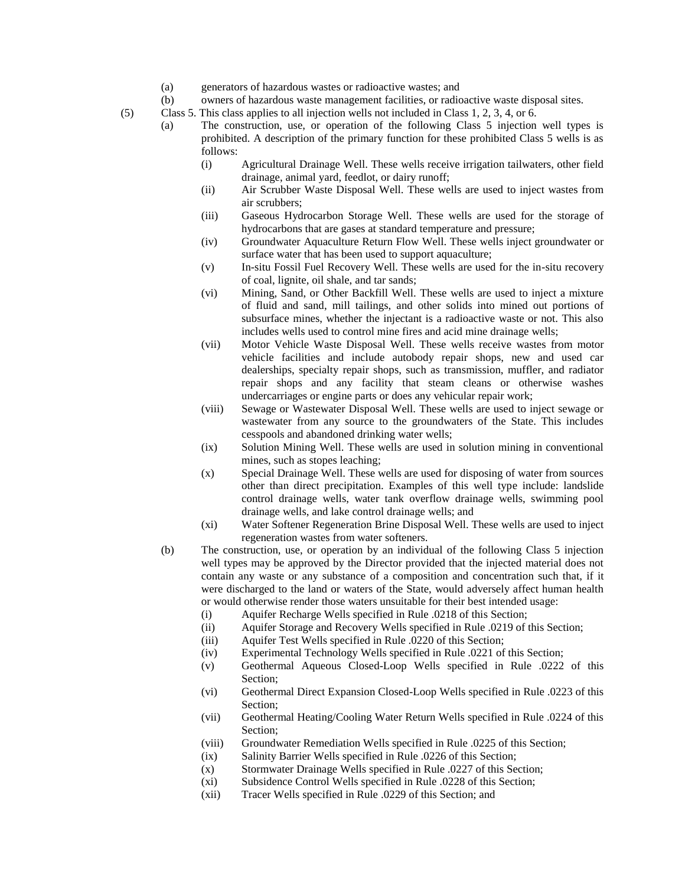- (a) generators of hazardous wastes or radioactive wastes; and
- (b) owners of hazardous waste management facilities, or radioactive waste disposal sites.

(5) Class 5. This class applies to all injection wells not included in Class 1, 2, 3, 4, or 6.

- (a) The construction, use, or operation of the following Class 5 injection well types is prohibited. A description of the primary function for these prohibited Class 5 wells is as follows:
	- (i) Agricultural Drainage Well. These wells receive irrigation tailwaters, other field drainage, animal yard, feedlot, or dairy runoff;
	- (ii) Air Scrubber Waste Disposal Well. These wells are used to inject wastes from air scrubbers;
	- (iii) Gaseous Hydrocarbon Storage Well. These wells are used for the storage of hydrocarbons that are gases at standard temperature and pressure;
	- (iv) Groundwater Aquaculture Return Flow Well. These wells inject groundwater or surface water that has been used to support aquaculture;
	- (v) In-situ Fossil Fuel Recovery Well. These wells are used for the in-situ recovery of coal, lignite, oil shale, and tar sands;
	- (vi) Mining, Sand, or Other Backfill Well. These wells are used to inject a mixture of fluid and sand, mill tailings, and other solids into mined out portions of subsurface mines, whether the injectant is a radioactive waste or not. This also includes wells used to control mine fires and acid mine drainage wells;
	- (vii) Motor Vehicle Waste Disposal Well. These wells receive wastes from motor vehicle facilities and include autobody repair shops, new and used car dealerships, specialty repair shops, such as transmission, muffler, and radiator repair shops and any facility that steam cleans or otherwise washes undercarriages or engine parts or does any vehicular repair work;
	- (viii) Sewage or Wastewater Disposal Well. These wells are used to inject sewage or wastewater from any source to the groundwaters of the State. This includes cesspools and abandoned drinking water wells;
	- (ix) Solution Mining Well. These wells are used in solution mining in conventional mines, such as stopes leaching;
	- (x) Special Drainage Well. These wells are used for disposing of water from sources other than direct precipitation. Examples of this well type include: landslide control drainage wells, water tank overflow drainage wells, swimming pool drainage wells, and lake control drainage wells; and
	- (xi) Water Softener Regeneration Brine Disposal Well. These wells are used to inject regeneration wastes from water softeners.
- (b) The construction, use, or operation by an individual of the following Class 5 injection well types may be approved by the Director provided that the injected material does not contain any waste or any substance of a composition and concentration such that, if it were discharged to the land or waters of the State, would adversely affect human health or would otherwise render those waters unsuitable for their best intended usage:
	- (i) Aquifer Recharge Wells specified in Rule .0218 of this Section;
	- (ii) Aquifer Storage and Recovery Wells specified in Rule .0219 of this Section;
	- (iii) Aquifer Test Wells specified in Rule .0220 of this Section;
	- (iv) Experimental Technology Wells specified in Rule .0221 of this Section;
	- (v) Geothermal Aqueous Closed-Loop Wells specified in Rule .0222 of this Section;
	- (vi) Geothermal Direct Expansion Closed-Loop Wells specified in Rule .0223 of this Section;
	- (vii) Geothermal Heating/Cooling Water Return Wells specified in Rule .0224 of this Section:
	- (viii) Groundwater Remediation Wells specified in Rule .0225 of this Section;
	- (ix) Salinity Barrier Wells specified in Rule .0226 of this Section;
	- (x) Stormwater Drainage Wells specified in Rule .0227 of this Section;
	- (xi) Subsidence Control Wells specified in Rule .0228 of this Section;
	- (xii) Tracer Wells specified in Rule .0229 of this Section; and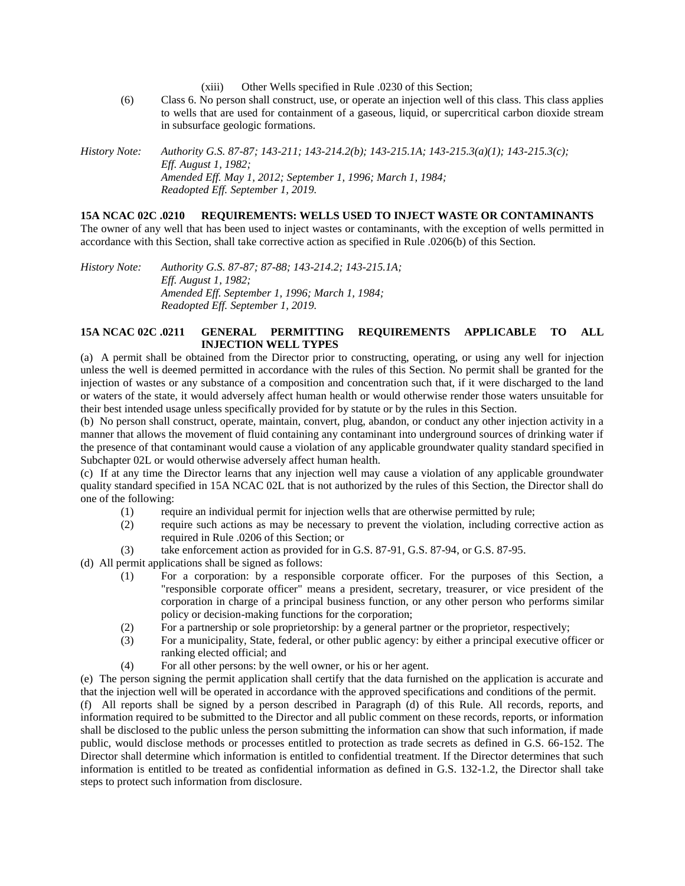- (xiii) Other Wells specified in Rule .0230 of this Section;
- (6) Class 6. No person shall construct, use, or operate an injection well of this class. This class applies to wells that are used for containment of a gaseous, liquid, or supercritical carbon dioxide stream in subsurface geologic formations.

*History Note: Authority G.S. 87-87; 143-211; 143-214.2(b); 143-215.1A; 143-215.3(a)(1); 143-215.3(c); Eff. August 1, 1982; Amended Eff. May 1, 2012; September 1, 1996; March 1, 1984; Readopted Eff. September 1, 2019.*

#### **15A NCAC 02C .0210 REQUIREMENTS: WELLS USED TO INJECT WASTE OR CONTAMINANTS**

The owner of any well that has been used to inject wastes or contaminants, with the exception of wells permitted in accordance with this Section, shall take corrective action as specified in Rule .0206(b) of this Section.

*History Note: Authority G.S. 87-87; 87-88; 143-214.2; 143-215.1A; Eff. August 1, 1982; Amended Eff. September 1, 1996; March 1, 1984; Readopted Eff. September 1, 2019.*

## **15A NCAC 02C .0211 GENERAL PERMITTING REQUIREMENTS APPLICABLE TO ALL INJECTION WELL TYPES**

(a) A permit shall be obtained from the Director prior to constructing, operating, or using any well for injection unless the well is deemed permitted in accordance with the rules of this Section. No permit shall be granted for the injection of wastes or any substance of a composition and concentration such that, if it were discharged to the land or waters of the state, it would adversely affect human health or would otherwise render those waters unsuitable for their best intended usage unless specifically provided for by statute or by the rules in this Section.

(b) No person shall construct, operate, maintain, convert, plug, abandon, or conduct any other injection activity in a manner that allows the movement of fluid containing any contaminant into underground sources of drinking water if the presence of that contaminant would cause a violation of any applicable groundwater quality standard specified in Subchapter 02L or would otherwise adversely affect human health.

(c) If at any time the Director learns that any injection well may cause a violation of any applicable groundwater quality standard specified in 15A NCAC 02L that is not authorized by the rules of this Section, the Director shall do one of the following:

- (1) require an individual permit for injection wells that are otherwise permitted by rule;
- (2) require such actions as may be necessary to prevent the violation, including corrective action as required in Rule .0206 of this Section; or
- (3) take enforcement action as provided for in G.S. 87-91, G.S. 87-94, or G.S. 87-95.

(d) All permit applications shall be signed as follows:

- (1) For a corporation: by a responsible corporate officer. For the purposes of this Section, a "responsible corporate officer" means a president, secretary, treasurer, or vice president of the corporation in charge of a principal business function, or any other person who performs similar policy or decision-making functions for the corporation;
- (2) For a partnership or sole proprietorship: by a general partner or the proprietor, respectively;
- (3) For a municipality, State, federal, or other public agency: by either a principal executive officer or ranking elected official; and
- (4) For all other persons: by the well owner, or his or her agent.

(e) The person signing the permit application shall certify that the data furnished on the application is accurate and that the injection well will be operated in accordance with the approved specifications and conditions of the permit.

(f) All reports shall be signed by a person described in Paragraph (d) of this Rule. All records, reports, and information required to be submitted to the Director and all public comment on these records, reports, or information shall be disclosed to the public unless the person submitting the information can show that such information, if made public, would disclose methods or processes entitled to protection as trade secrets as defined in G.S. 66-152. The Director shall determine which information is entitled to confidential treatment. If the Director determines that such information is entitled to be treated as confidential information as defined in G.S. 132-1.2, the Director shall take steps to protect such information from disclosure.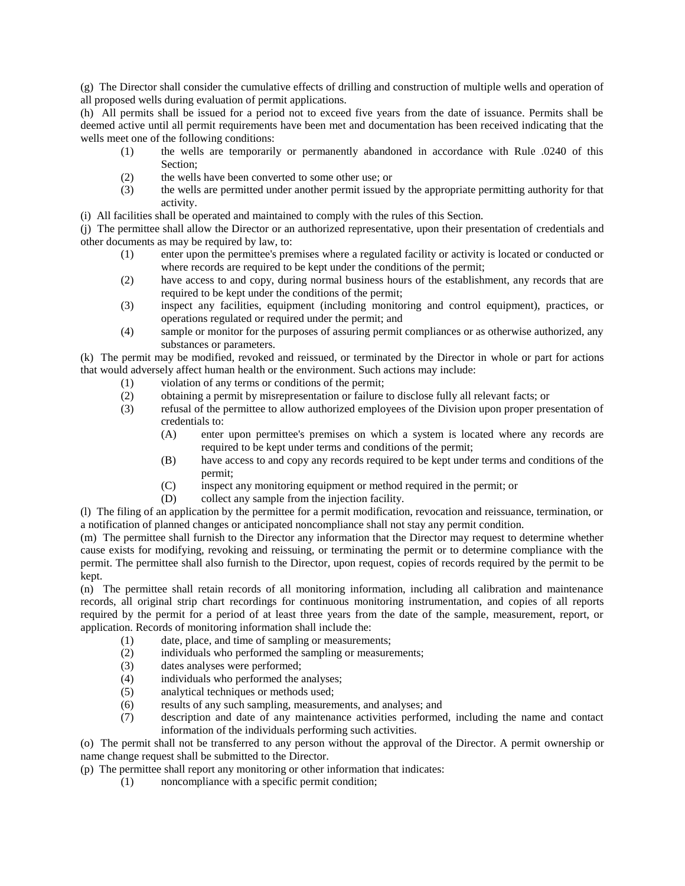(g) The Director shall consider the cumulative effects of drilling and construction of multiple wells and operation of all proposed wells during evaluation of permit applications.

(h) All permits shall be issued for a period not to exceed five years from the date of issuance. Permits shall be deemed active until all permit requirements have been met and documentation has been received indicating that the wells meet one of the following conditions:

- (1) the wells are temporarily or permanently abandoned in accordance with Rule .0240 of this Section;
- (2) the wells have been converted to some other use; or
- (3) the wells are permitted under another permit issued by the appropriate permitting authority for that activity.
- (i) All facilities shall be operated and maintained to comply with the rules of this Section.

(j) The permittee shall allow the Director or an authorized representative, upon their presentation of credentials and other documents as may be required by law, to:

- (1) enter upon the permittee's premises where a regulated facility or activity is located or conducted or where records are required to be kept under the conditions of the permit;
- (2) have access to and copy, during normal business hours of the establishment, any records that are required to be kept under the conditions of the permit;
- (3) inspect any facilities, equipment (including monitoring and control equipment), practices, or operations regulated or required under the permit; and
- (4) sample or monitor for the purposes of assuring permit compliances or as otherwise authorized, any substances or parameters.

(k) The permit may be modified, revoked and reissued, or terminated by the Director in whole or part for actions that would adversely affect human health or the environment. Such actions may include:

- (1) violation of any terms or conditions of the permit;
- (2) obtaining a permit by misrepresentation or failure to disclose fully all relevant facts; or
- (3) refusal of the permittee to allow authorized employees of the Division upon proper presentation of credentials to:
	- (A) enter upon permittee's premises on which a system is located where any records are required to be kept under terms and conditions of the permit;
	- (B) have access to and copy any records required to be kept under terms and conditions of the permit;
	- (C) inspect any monitoring equipment or method required in the permit; or
	- (D) collect any sample from the injection facility.

(l) The filing of an application by the permittee for a permit modification, revocation and reissuance, termination, or a notification of planned changes or anticipated noncompliance shall not stay any permit condition.

(m) The permittee shall furnish to the Director any information that the Director may request to determine whether cause exists for modifying, revoking and reissuing, or terminating the permit or to determine compliance with the permit. The permittee shall also furnish to the Director, upon request, copies of records required by the permit to be kept.

(n) The permittee shall retain records of all monitoring information, including all calibration and maintenance records, all original strip chart recordings for continuous monitoring instrumentation, and copies of all reports required by the permit for a period of at least three years from the date of the sample, measurement, report, or application. Records of monitoring information shall include the:

- (1) date, place, and time of sampling or measurements;
- (2) individuals who performed the sampling or measurements;
- (3) dates analyses were performed;
- (4) individuals who performed the analyses;
- (5) analytical techniques or methods used;
- (6) results of any such sampling, measurements, and analyses; and
- (7) description and date of any maintenance activities performed, including the name and contact information of the individuals performing such activities.

(o) The permit shall not be transferred to any person without the approval of the Director. A permit ownership or name change request shall be submitted to the Director.

(p) The permittee shall report any monitoring or other information that indicates:

(1) noncompliance with a specific permit condition;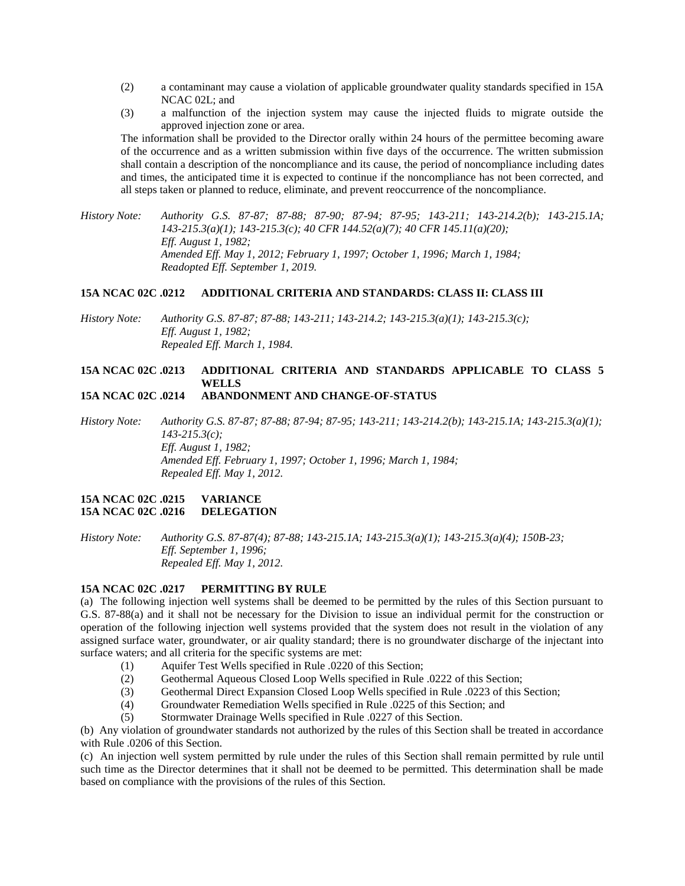- (2) a contaminant may cause a violation of applicable groundwater quality standards specified in 15A NCAC 02L; and
- (3) a malfunction of the injection system may cause the injected fluids to migrate outside the approved injection zone or area.

The information shall be provided to the Director orally within 24 hours of the permittee becoming aware of the occurrence and as a written submission within five days of the occurrence. The written submission shall contain a description of the noncompliance and its cause, the period of noncompliance including dates and times, the anticipated time it is expected to continue if the noncompliance has not been corrected, and all steps taken or planned to reduce, eliminate, and prevent reoccurrence of the noncompliance.

*History Note: Authority G.S. 87-87; 87-88; 87-90; 87-94; 87-95; 143-211; 143-214.2(b); 143-215.1A; 143-215.3(a)(1); 143-215.3(c); 40 CFR 144.52(a)(7); 40 CFR 145.11(a)(20); Eff. August 1, 1982; Amended Eff. May 1, 2012; February 1, 1997; October 1, 1996; March 1, 1984; Readopted Eff. September 1, 2019.*

#### **15A NCAC 02C .0212 ADDITIONAL CRITERIA AND STANDARDS: CLASS II: CLASS III**

*History Note: Authority G.S. 87-87; 87-88; 143-211; 143-214.2; 143-215.3(a)(1); 143-215.3(c); Eff. August 1, 1982; Repealed Eff. March 1, 1984.*

# **15A NCAC 02C .0213 ADDITIONAL CRITERIA AND STANDARDS APPLICABLE TO CLASS 5 WELLS**

**15A NCAC 02C .0214 ABANDONMENT AND CHANGE-OF-STATUS**

*History Note: Authority G.S. 87-87; 87-88; 87-94; 87-95; 143-211; 143-214.2(b); 143-215.1A; 143-215.3(a)(1); 143-215.3(c); Eff. August 1, 1982; Amended Eff. February 1, 1997; October 1, 1996; March 1, 1984; Repealed Eff. May 1, 2012.*

#### **15A NCAC 02C .0215 VARIANCE 15A NCAC 02C .0216 DELEGATION**

*History Note: Authority G.S. 87-87(4); 87-88; 143-215.1A; 143-215.3(a)(1); 143-215.3(a)(4); 150B-23; Eff. September 1, 1996; Repealed Eff. May 1, 2012.*

#### **15A NCAC 02C .0217 PERMITTING BY RULE**

(a) The following injection well systems shall be deemed to be permitted by the rules of this Section pursuant to G.S. 87-88(a) and it shall not be necessary for the Division to issue an individual permit for the construction or operation of the following injection well systems provided that the system does not result in the violation of any assigned surface water, groundwater, or air quality standard; there is no groundwater discharge of the injectant into surface waters; and all criteria for the specific systems are met:

- (1) Aquifer Test Wells specified in Rule .0220 of this Section;
- (2) Geothermal Aqueous Closed Loop Wells specified in Rule .0222 of this Section;
- (3) Geothermal Direct Expansion Closed Loop Wells specified in Rule .0223 of this Section;
- (4) Groundwater Remediation Wells specified in Rule .0225 of this Section; and
- (5) Stormwater Drainage Wells specified in Rule .0227 of this Section.

(b) Any violation of groundwater standards not authorized by the rules of this Section shall be treated in accordance with Rule .0206 of this Section.

(c) An injection well system permitted by rule under the rules of this Section shall remain permitted by rule until such time as the Director determines that it shall not be deemed to be permitted. This determination shall be made based on compliance with the provisions of the rules of this Section.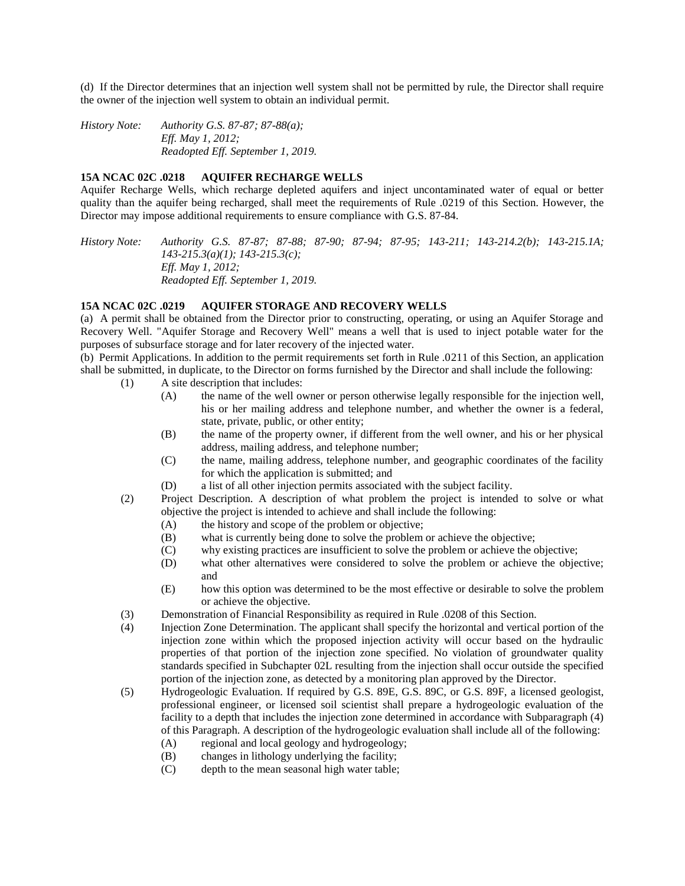(d) If the Director determines that an injection well system shall not be permitted by rule, the Director shall require the owner of the injection well system to obtain an individual permit.

*History Note: Authority G.S. 87-87; 87-88(a); Eff. May 1, 2012; Readopted Eff. September 1, 2019.*

## **15A NCAC 02C .0218 AQUIFER RECHARGE WELLS**

Aquifer Recharge Wells, which recharge depleted aquifers and inject uncontaminated water of equal or better quality than the aquifer being recharged, shall meet the requirements of Rule .0219 of this Section. However, the Director may impose additional requirements to ensure compliance with G.S. 87-84.

*History Note: Authority G.S. 87-87; 87-88; 87-90; 87-94; 87-95; 143-211; 143-214.2(b); 143-215.1A; 143-215.3(a)(1); 143-215.3(c); Eff. May 1, 2012; Readopted Eff. September 1, 2019.*

### **15A NCAC 02C .0219 AQUIFER STORAGE AND RECOVERY WELLS**

(a) A permit shall be obtained from the Director prior to constructing, operating, or using an Aquifer Storage and Recovery Well. "Aquifer Storage and Recovery Well" means a well that is used to inject potable water for the purposes of subsurface storage and for later recovery of the injected water.

(b) Permit Applications. In addition to the permit requirements set forth in Rule .0211 of this Section, an application shall be submitted, in duplicate, to the Director on forms furnished by the Director and shall include the following:

- (1) A site description that includes:
	- (A) the name of the well owner or person otherwise legally responsible for the injection well, his or her mailing address and telephone number, and whether the owner is a federal, state, private, public, or other entity;
	- (B) the name of the property owner, if different from the well owner, and his or her physical address, mailing address, and telephone number;
	- (C) the name, mailing address, telephone number, and geographic coordinates of the facility for which the application is submitted; and
	- (D) a list of all other injection permits associated with the subject facility.
- (2) Project Description. A description of what problem the project is intended to solve or what objective the project is intended to achieve and shall include the following:
	- (A) the history and scope of the problem or objective;
	- (B) what is currently being done to solve the problem or achieve the objective;
	- (C) why existing practices are insufficient to solve the problem or achieve the objective;
	- (D) what other alternatives were considered to solve the problem or achieve the objective; and
	- (E) how this option was determined to be the most effective or desirable to solve the problem or achieve the objective.
- (3) Demonstration of Financial Responsibility as required in Rule .0208 of this Section.
- (4) Injection Zone Determination. The applicant shall specify the horizontal and vertical portion of the injection zone within which the proposed injection activity will occur based on the hydraulic properties of that portion of the injection zone specified. No violation of groundwater quality standards specified in Subchapter 02L resulting from the injection shall occur outside the specified portion of the injection zone, as detected by a monitoring plan approved by the Director.
- (5) Hydrogeologic Evaluation. If required by G.S. 89E, G.S. 89C, or G.S. 89F, a licensed geologist, professional engineer, or licensed soil scientist shall prepare a hydrogeologic evaluation of the facility to a depth that includes the injection zone determined in accordance with Subparagraph (4) of this Paragraph. A description of the hydrogeologic evaluation shall include all of the following:
	- (A) regional and local geology and hydrogeology;
	- (B) changes in lithology underlying the facility;
	- (C) depth to the mean seasonal high water table;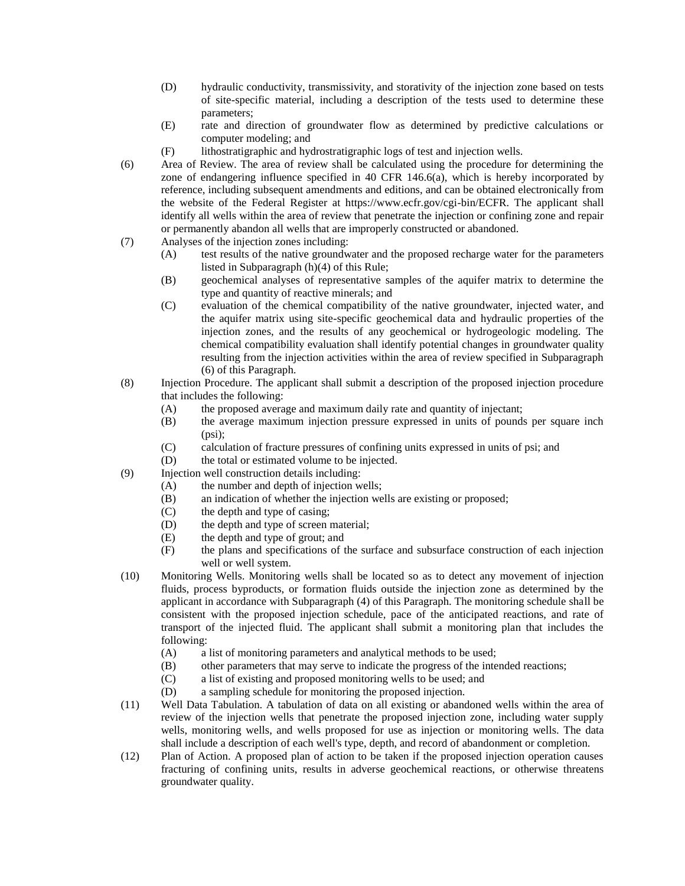- (D) hydraulic conductivity, transmissivity, and storativity of the injection zone based on tests of site-specific material, including a description of the tests used to determine these parameters;
- (E) rate and direction of groundwater flow as determined by predictive calculations or computer modeling; and
- (F) lithostratigraphic and hydrostratigraphic logs of test and injection wells.
- (6) Area of Review. The area of review shall be calculated using the procedure for determining the zone of endangering influence specified in 40 CFR 146.6(a), which is hereby incorporated by reference, including subsequent amendments and editions, and can be obtained electronically from the website of the Federal Register at https://www.ecfr.gov/cgi-bin/ECFR. The applicant shall identify all wells within the area of review that penetrate the injection or confining zone and repair or permanently abandon all wells that are improperly constructed or abandoned.
- (7) Analyses of the injection zones including:
	- (A) test results of the native groundwater and the proposed recharge water for the parameters listed in Subparagraph (h)(4) of this Rule;
	- (B) geochemical analyses of representative samples of the aquifer matrix to determine the type and quantity of reactive minerals; and
	- (C) evaluation of the chemical compatibility of the native groundwater, injected water, and the aquifer matrix using site-specific geochemical data and hydraulic properties of the injection zones, and the results of any geochemical or hydrogeologic modeling. The chemical compatibility evaluation shall identify potential changes in groundwater quality resulting from the injection activities within the area of review specified in Subparagraph (6) of this Paragraph.
- (8) Injection Procedure. The applicant shall submit a description of the proposed injection procedure that includes the following:
	- (A) the proposed average and maximum daily rate and quantity of injectant;
	- (B) the average maximum injection pressure expressed in units of pounds per square inch (psi);
	- (C) calculation of fracture pressures of confining units expressed in units of psi; and
	- (D) the total or estimated volume to be injected.
- (9) Injection well construction details including:
	- (A) the number and depth of injection wells;
	- (B) an indication of whether the injection wells are existing or proposed;
	- (C) the depth and type of casing;
	- (D) the depth and type of screen material;
	- (E) the depth and type of grout; and
	- (F) the plans and specifications of the surface and subsurface construction of each injection well or well system.
- (10) Monitoring Wells. Monitoring wells shall be located so as to detect any movement of injection fluids, process byproducts, or formation fluids outside the injection zone as determined by the applicant in accordance with Subparagraph (4) of this Paragraph. The monitoring schedule shall be consistent with the proposed injection schedule, pace of the anticipated reactions, and rate of transport of the injected fluid. The applicant shall submit a monitoring plan that includes the following:
	- (A) a list of monitoring parameters and analytical methods to be used;
	- (B) other parameters that may serve to indicate the progress of the intended reactions;
	- (C) a list of existing and proposed monitoring wells to be used; and
	- (D) a sampling schedule for monitoring the proposed injection.
- (11) Well Data Tabulation. A tabulation of data on all existing or abandoned wells within the area of review of the injection wells that penetrate the proposed injection zone, including water supply wells, monitoring wells, and wells proposed for use as injection or monitoring wells. The data shall include a description of each well's type, depth, and record of abandonment or completion.
- (12) Plan of Action. A proposed plan of action to be taken if the proposed injection operation causes fracturing of confining units, results in adverse geochemical reactions, or otherwise threatens groundwater quality.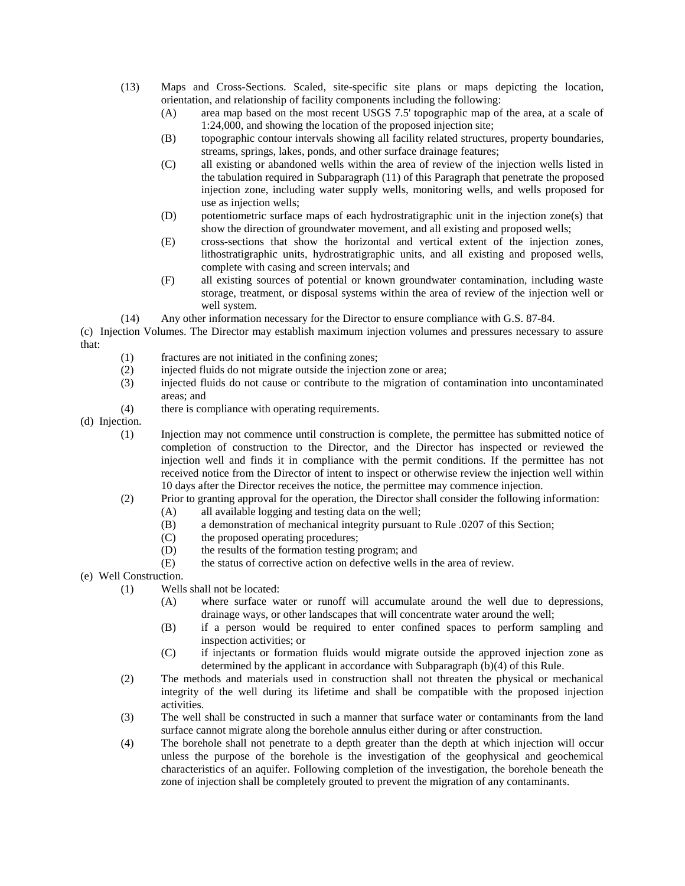- (13) Maps and Cross-Sections. Scaled, site-specific site plans or maps depicting the location, orientation, and relationship of facility components including the following:
	- (A) area map based on the most recent USGS 7.5' topographic map of the area, at a scale of 1:24,000, and showing the location of the proposed injection site;
	- (B) topographic contour intervals showing all facility related structures, property boundaries, streams, springs, lakes, ponds, and other surface drainage features;
	- (C) all existing or abandoned wells within the area of review of the injection wells listed in the tabulation required in Subparagraph (11) of this Paragraph that penetrate the proposed injection zone, including water supply wells, monitoring wells, and wells proposed for use as injection wells;
	- (D) potentiometric surface maps of each hydrostratigraphic unit in the injection zone(s) that show the direction of groundwater movement, and all existing and proposed wells;
	- (E) cross-sections that show the horizontal and vertical extent of the injection zones, lithostratigraphic units, hydrostratigraphic units, and all existing and proposed wells, complete with casing and screen intervals; and
	- (F) all existing sources of potential or known groundwater contamination, including waste storage, treatment, or disposal systems within the area of review of the injection well or well system.

(14) Any other information necessary for the Director to ensure compliance with G.S. 87-84.

(c) Injection Volumes. The Director may establish maximum injection volumes and pressures necessary to assure that:

- (1) fractures are not initiated in the confining zones;
- (2) injected fluids do not migrate outside the injection zone or area;
- (3) injected fluids do not cause or contribute to the migration of contamination into uncontaminated areas; and
- (4) there is compliance with operating requirements.

(d) Injection.

- (1) Injection may not commence until construction is complete, the permittee has submitted notice of completion of construction to the Director, and the Director has inspected or reviewed the injection well and finds it in compliance with the permit conditions. If the permittee has not received notice from the Director of intent to inspect or otherwise review the injection well within 10 days after the Director receives the notice, the permittee may commence injection.
- (2) Prior to granting approval for the operation, the Director shall consider the following information:
	- (A) all available logging and testing data on the well;
		- (B) a demonstration of mechanical integrity pursuant to Rule .0207 of this Section;
		- (C) the proposed operating procedures;
		- (D) the results of the formation testing program; and
		- (E) the status of corrective action on defective wells in the area of review.
- (e) Well Construction.
	- (1) Wells shall not be located:
		- (A) where surface water or runoff will accumulate around the well due to depressions, drainage ways, or other landscapes that will concentrate water around the well;
		- (B) if a person would be required to enter confined spaces to perform sampling and inspection activities; or
		- (C) if injectants or formation fluids would migrate outside the approved injection zone as determined by the applicant in accordance with Subparagraph (b)(4) of this Rule.
	- (2) The methods and materials used in construction shall not threaten the physical or mechanical integrity of the well during its lifetime and shall be compatible with the proposed injection activities.
	- (3) The well shall be constructed in such a manner that surface water or contaminants from the land surface cannot migrate along the borehole annulus either during or after construction.
	- (4) The borehole shall not penetrate to a depth greater than the depth at which injection will occur unless the purpose of the borehole is the investigation of the geophysical and geochemical characteristics of an aquifer. Following completion of the investigation, the borehole beneath the zone of injection shall be completely grouted to prevent the migration of any contaminants.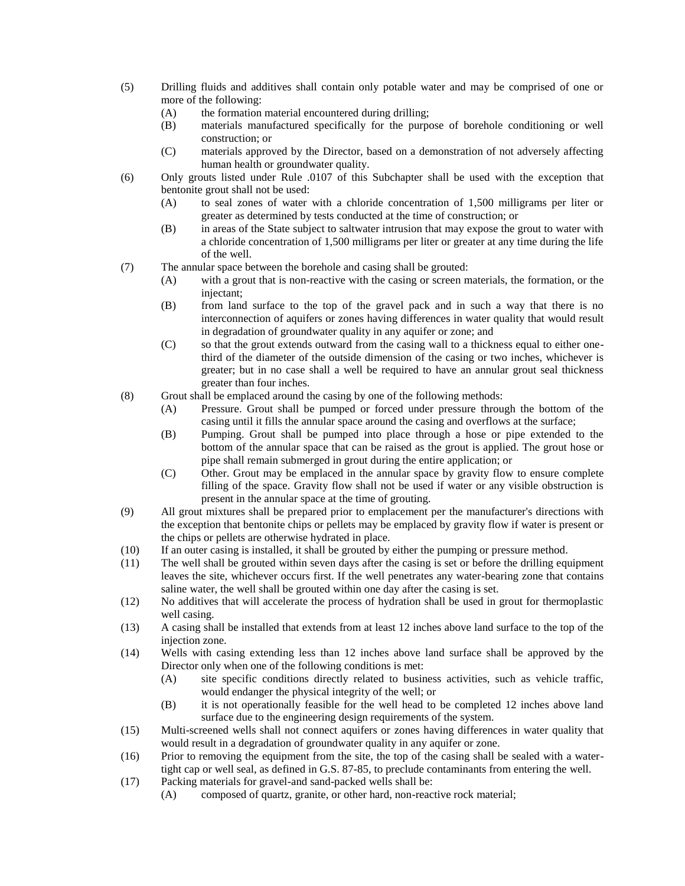- (5) Drilling fluids and additives shall contain only potable water and may be comprised of one or more of the following:
	- (A) the formation material encountered during drilling;
	- (B) materials manufactured specifically for the purpose of borehole conditioning or well construction; or
	- (C) materials approved by the Director, based on a demonstration of not adversely affecting human health or groundwater quality.
- (6) Only grouts listed under Rule .0107 of this Subchapter shall be used with the exception that bentonite grout shall not be used:
	- (A) to seal zones of water with a chloride concentration of 1,500 milligrams per liter or greater as determined by tests conducted at the time of construction; or
	- (B) in areas of the State subject to saltwater intrusion that may expose the grout to water with a chloride concentration of 1,500 milligrams per liter or greater at any time during the life of the well.
- (7) The annular space between the borehole and casing shall be grouted:
	- (A) with a grout that is non-reactive with the casing or screen materials, the formation, or the injectant;
	- (B) from land surface to the top of the gravel pack and in such a way that there is no interconnection of aquifers or zones having differences in water quality that would result in degradation of groundwater quality in any aquifer or zone; and
	- (C) so that the grout extends outward from the casing wall to a thickness equal to either onethird of the diameter of the outside dimension of the casing or two inches, whichever is greater; but in no case shall a well be required to have an annular grout seal thickness greater than four inches.
- (8) Grout shall be emplaced around the casing by one of the following methods:
	- (A) Pressure. Grout shall be pumped or forced under pressure through the bottom of the casing until it fills the annular space around the casing and overflows at the surface;
	- (B) Pumping. Grout shall be pumped into place through a hose or pipe extended to the bottom of the annular space that can be raised as the grout is applied. The grout hose or pipe shall remain submerged in grout during the entire application; or
	- (C) Other. Grout may be emplaced in the annular space by gravity flow to ensure complete filling of the space. Gravity flow shall not be used if water or any visible obstruction is present in the annular space at the time of grouting.
- (9) All grout mixtures shall be prepared prior to emplacement per the manufacturer's directions with the exception that bentonite chips or pellets may be emplaced by gravity flow if water is present or the chips or pellets are otherwise hydrated in place.
- (10) If an outer casing is installed, it shall be grouted by either the pumping or pressure method.
- (11) The well shall be grouted within seven days after the casing is set or before the drilling equipment leaves the site, whichever occurs first. If the well penetrates any water-bearing zone that contains saline water, the well shall be grouted within one day after the casing is set.
- (12) No additives that will accelerate the process of hydration shall be used in grout for thermoplastic well casing.
- (13) A casing shall be installed that extends from at least 12 inches above land surface to the top of the injection zone.
- (14) Wells with casing extending less than 12 inches above land surface shall be approved by the Director only when one of the following conditions is met:
	- (A) site specific conditions directly related to business activities, such as vehicle traffic, would endanger the physical integrity of the well; or
	- (B) it is not operationally feasible for the well head to be completed 12 inches above land surface due to the engineering design requirements of the system.
- (15) Multi-screened wells shall not connect aquifers or zones having differences in water quality that would result in a degradation of groundwater quality in any aquifer or zone.
- (16) Prior to removing the equipment from the site, the top of the casing shall be sealed with a watertight cap or well seal, as defined in G.S. 87-85, to preclude contaminants from entering the well.
- (17) Packing materials for gravel-and sand-packed wells shall be:
	- (A) composed of quartz, granite, or other hard, non-reactive rock material;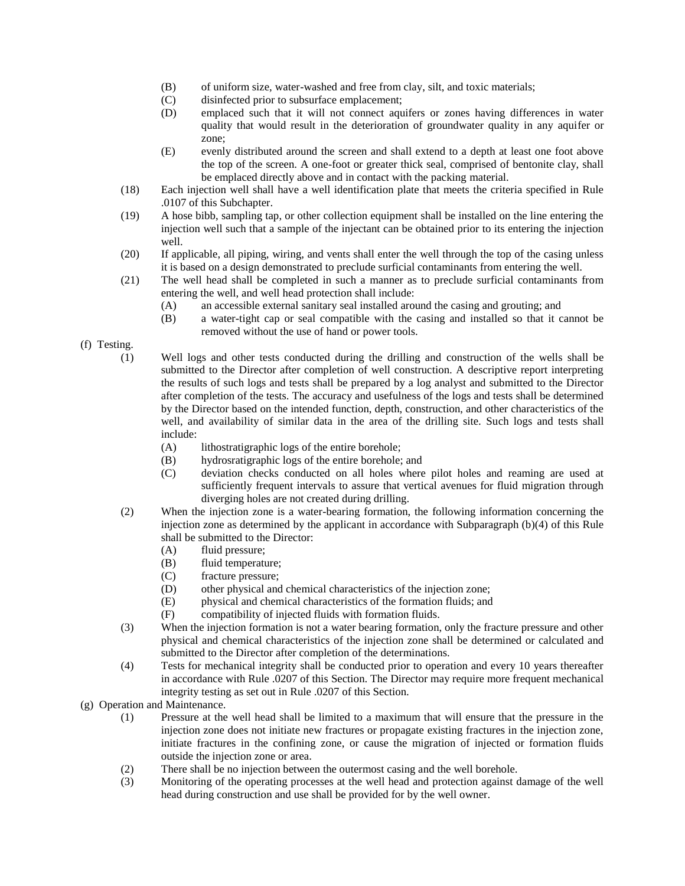- (B) of uniform size, water-washed and free from clay, silt, and toxic materials;
- (C) disinfected prior to subsurface emplacement;
- (D) emplaced such that it will not connect aquifers or zones having differences in water quality that would result in the deterioration of groundwater quality in any aquifer or zone;
- (E) evenly distributed around the screen and shall extend to a depth at least one foot above the top of the screen. A one-foot or greater thick seal, comprised of bentonite clay, shall be emplaced directly above and in contact with the packing material.
- (18) Each injection well shall have a well identification plate that meets the criteria specified in Rule .0107 of this Subchapter.
- (19) A hose bibb, sampling tap, or other collection equipment shall be installed on the line entering the injection well such that a sample of the injectant can be obtained prior to its entering the injection well.
- (20) If applicable, all piping, wiring, and vents shall enter the well through the top of the casing unless it is based on a design demonstrated to preclude surficial contaminants from entering the well.
- (21) The well head shall be completed in such a manner as to preclude surficial contaminants from entering the well, and well head protection shall include:
	- (A) an accessible external sanitary seal installed around the casing and grouting; and
	- (B) a water-tight cap or seal compatible with the casing and installed so that it cannot be removed without the use of hand or power tools.
- (f) Testing.
	- (1) Well logs and other tests conducted during the drilling and construction of the wells shall be submitted to the Director after completion of well construction. A descriptive report interpreting the results of such logs and tests shall be prepared by a log analyst and submitted to the Director after completion of the tests. The accuracy and usefulness of the logs and tests shall be determined by the Director based on the intended function, depth, construction, and other characteristics of the well, and availability of similar data in the area of the drilling site. Such logs and tests shall include:
		- (A) lithostratigraphic logs of the entire borehole;
		- (B) hydrosratigraphic logs of the entire borehole; and
		- (C) deviation checks conducted on all holes where pilot holes and reaming are used at sufficiently frequent intervals to assure that vertical avenues for fluid migration through diverging holes are not created during drilling.
	- (2) When the injection zone is a water-bearing formation, the following information concerning the injection zone as determined by the applicant in accordance with Subparagraph (b)(4) of this Rule shall be submitted to the Director:
		- (A) fluid pressure;
		- (B) fluid temperature;
		- (C) fracture pressure;
		- (D) other physical and chemical characteristics of the injection zone;
		- (E) physical and chemical characteristics of the formation fluids; and
		- (F) compatibility of injected fluids with formation fluids.
	- (3) When the injection formation is not a water bearing formation, only the fracture pressure and other physical and chemical characteristics of the injection zone shall be determined or calculated and submitted to the Director after completion of the determinations.
	- (4) Tests for mechanical integrity shall be conducted prior to operation and every 10 years thereafter in accordance with Rule .0207 of this Section. The Director may require more frequent mechanical integrity testing as set out in Rule .0207 of this Section.
- (g) Operation and Maintenance.
	- (1) Pressure at the well head shall be limited to a maximum that will ensure that the pressure in the injection zone does not initiate new fractures or propagate existing fractures in the injection zone, initiate fractures in the confining zone, or cause the migration of injected or formation fluids outside the injection zone or area.
	- (2) There shall be no injection between the outermost casing and the well borehole.
	- (3) Monitoring of the operating processes at the well head and protection against damage of the well head during construction and use shall be provided for by the well owner.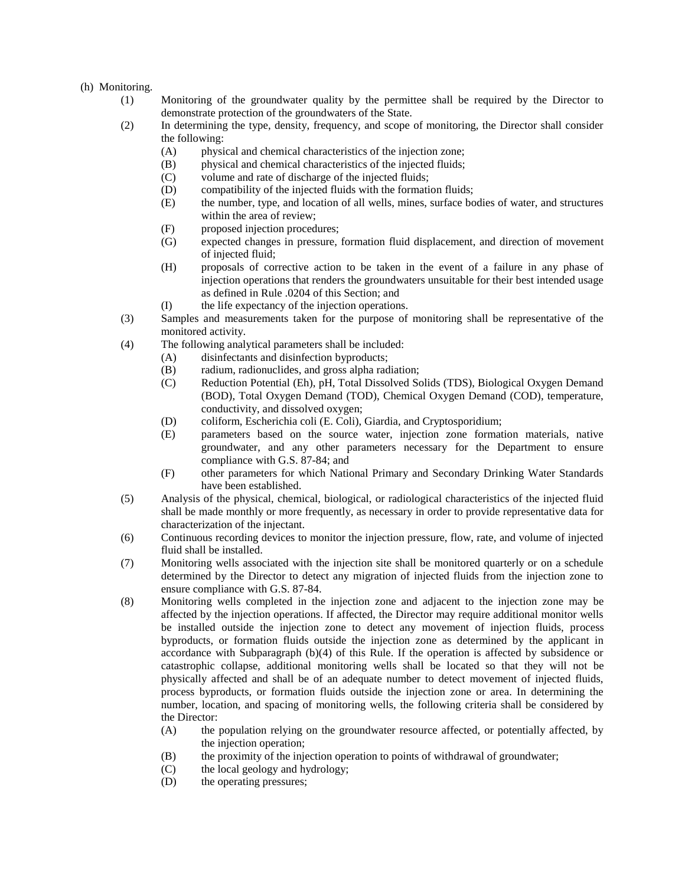## (h) Monitoring.

- (1) Monitoring of the groundwater quality by the permittee shall be required by the Director to demonstrate protection of the groundwaters of the State.
- (2) In determining the type, density, frequency, and scope of monitoring, the Director shall consider the following:
	- (A) physical and chemical characteristics of the injection zone;
	- (B) physical and chemical characteristics of the injected fluids;
	- (C) volume and rate of discharge of the injected fluids;
	- (D) compatibility of the injected fluids with the formation fluids;
	- (E) the number, type, and location of all wells, mines, surface bodies of water, and structures within the area of review;
	- (F) proposed injection procedures;
	- (G) expected changes in pressure, formation fluid displacement, and direction of movement of injected fluid;
	- (H) proposals of corrective action to be taken in the event of a failure in any phase of injection operations that renders the groundwaters unsuitable for their best intended usage as defined in Rule .0204 of this Section; and
	- (I) the life expectancy of the injection operations.
- (3) Samples and measurements taken for the purpose of monitoring shall be representative of the monitored activity.
- (4) The following analytical parameters shall be included:
	- (A) disinfectants and disinfection byproducts;
	- (B) radium, radionuclides, and gross alpha radiation;
	- (C) Reduction Potential (Eh), pH, Total Dissolved Solids (TDS), Biological Oxygen Demand (BOD), Total Oxygen Demand (TOD), Chemical Oxygen Demand (COD), temperature, conductivity, and dissolved oxygen;
	- (D) coliform, Escherichia coli (E. Coli), Giardia, and Cryptosporidium;
	- (E) parameters based on the source water, injection zone formation materials, native groundwater, and any other parameters necessary for the Department to ensure compliance with G.S. 87-84; and
	- (F) other parameters for which National Primary and Secondary Drinking Water Standards have been established.
- (5) Analysis of the physical, chemical, biological, or radiological characteristics of the injected fluid shall be made monthly or more frequently, as necessary in order to provide representative data for characterization of the injectant.
- (6) Continuous recording devices to monitor the injection pressure, flow, rate, and volume of injected fluid shall be installed.
- (7) Monitoring wells associated with the injection site shall be monitored quarterly or on a schedule determined by the Director to detect any migration of injected fluids from the injection zone to ensure compliance with G.S. 87-84.
- (8) Monitoring wells completed in the injection zone and adjacent to the injection zone may be affected by the injection operations. If affected, the Director may require additional monitor wells be installed outside the injection zone to detect any movement of injection fluids, process byproducts, or formation fluids outside the injection zone as determined by the applicant in accordance with Subparagraph (b)(4) of this Rule. If the operation is affected by subsidence or catastrophic collapse, additional monitoring wells shall be located so that they will not be physically affected and shall be of an adequate number to detect movement of injected fluids, process byproducts, or formation fluids outside the injection zone or area. In determining the number, location, and spacing of monitoring wells, the following criteria shall be considered by the Director:
	- (A) the population relying on the groundwater resource affected, or potentially affected, by the injection operation;
	- (B) the proximity of the injection operation to points of withdrawal of groundwater;
	- (C) the local geology and hydrology;
	- (D) the operating pressures;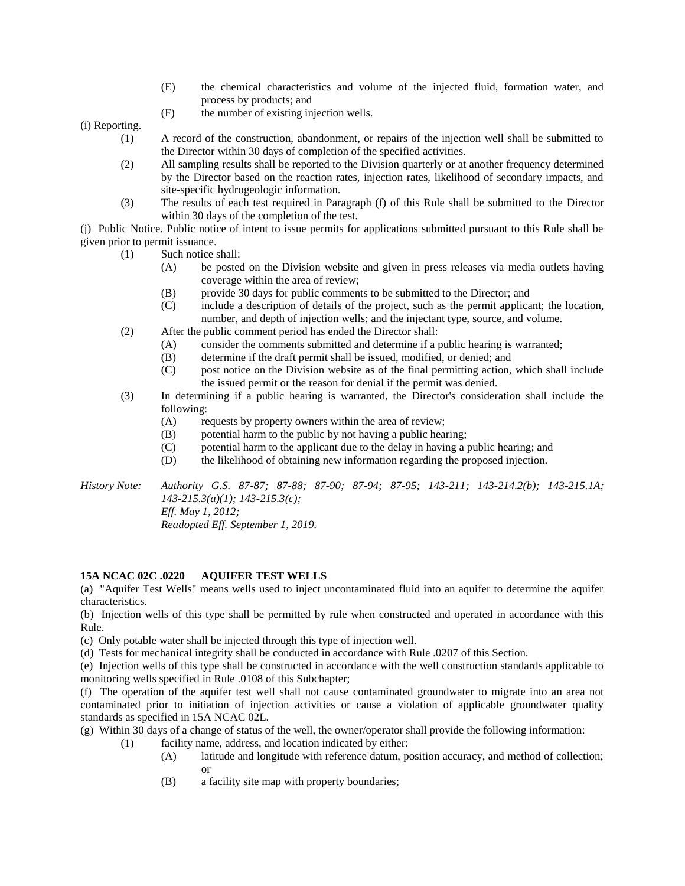- (E) the chemical characteristics and volume of the injected fluid, formation water, and process by products; and
- (F) the number of existing injection wells.

(i) Reporting.

- (1) A record of the construction, abandonment, or repairs of the injection well shall be submitted to the Director within 30 days of completion of the specified activities.
- (2) All sampling results shall be reported to the Division quarterly or at another frequency determined by the Director based on the reaction rates, injection rates, likelihood of secondary impacts, and site-specific hydrogeologic information.
- (3) The results of each test required in Paragraph (f) of this Rule shall be submitted to the Director within 30 days of the completion of the test.

(j) Public Notice. Public notice of intent to issue permits for applications submitted pursuant to this Rule shall be given prior to permit issuance.

- (1) Such notice shall:
	- (A) be posted on the Division website and given in press releases via media outlets having coverage within the area of review;
		- (B) provide 30 days for public comments to be submitted to the Director; and
	- (C) include a description of details of the project, such as the permit applicant; the location, number, and depth of injection wells; and the injectant type, source, and volume.
- (2) After the public comment period has ended the Director shall:
	- (A) consider the comments submitted and determine if a public hearing is warranted;
	- (B) determine if the draft permit shall be issued, modified, or denied; and
	- (C) post notice on the Division website as of the final permitting action, which shall include the issued permit or the reason for denial if the permit was denied.
- (3) In determining if a public hearing is warranted, the Director's consideration shall include the following:
	- (A) requests by property owners within the area of review;
	- (B) potential harm to the public by not having a public hearing;
	- (C) potential harm to the applicant due to the delay in having a public hearing; and
	- (D) the likelihood of obtaining new information regarding the proposed injection.

*History Note: Authority G.S. 87-87; 87-88; 87-90; 87-94; 87-95; 143-211; 143-214.2(b); 143-215.1A; 143-215.3(a)(1); 143-215.3(c); Eff. May 1, 2012; Readopted Eff. September 1, 2019.*

#### **15A NCAC 02C .0220 AQUIFER TEST WELLS**

(a) "Aquifer Test Wells" means wells used to inject uncontaminated fluid into an aquifer to determine the aquifer characteristics.

(b) Injection wells of this type shall be permitted by rule when constructed and operated in accordance with this Rule.

(c) Only potable water shall be injected through this type of injection well.

(d) Tests for mechanical integrity shall be conducted in accordance with Rule .0207 of this Section.

(e) Injection wells of this type shall be constructed in accordance with the well construction standards applicable to monitoring wells specified in Rule .0108 of this Subchapter;

(f) The operation of the aquifer test well shall not cause contaminated groundwater to migrate into an area not contaminated prior to initiation of injection activities or cause a violation of applicable groundwater quality standards as specified in 15A NCAC 02L.

- (g) Within 30 days of a change of status of the well, the owner/operator shall provide the following information:
	- (1) facility name, address, and location indicated by either:
		- (A) latitude and longitude with reference datum, position accuracy, and method of collection; or
		- (B) a facility site map with property boundaries;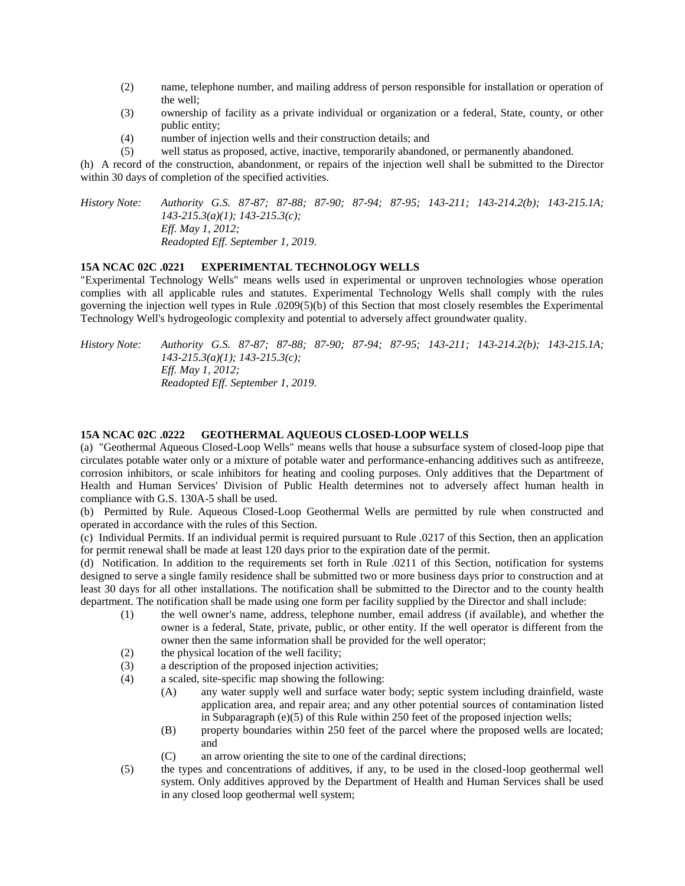- (2) name, telephone number, and mailing address of person responsible for installation or operation of the well;
- (3) ownership of facility as a private individual or organization or a federal, State, county, or other public entity;
- (4) number of injection wells and their construction details; and
- (5) well status as proposed, active, inactive, temporarily abandoned, or permanently abandoned.

(h) A record of the construction, abandonment, or repairs of the injection well shall be submitted to the Director within 30 days of completion of the specified activities.

*History Note: Authority G.S. 87-87; 87-88; 87-90; 87-94; 87-95; 143-211; 143-214.2(b); 143-215.1A; 143-215.3(a)(1); 143-215.3(c); Eff. May 1, 2012; Readopted Eff. September 1, 2019.*

## **15A NCAC 02C .0221 EXPERIMENTAL TECHNOLOGY WELLS**

"Experimental Technology Wells" means wells used in experimental or unproven technologies whose operation complies with all applicable rules and statutes. Experimental Technology Wells shall comply with the rules governing the injection well types in Rule .0209(5)(b) of this Section that most closely resembles the Experimental Technology Well's hydrogeologic complexity and potential to adversely affect groundwater quality.

*History Note: Authority G.S. 87-87; 87-88; 87-90; 87-94; 87-95; 143-211; 143-214.2(b); 143-215.1A; 143-215.3(a)(1); 143-215.3(c); Eff. May 1, 2012; Readopted Eff. September 1, 2019.*

#### **15A NCAC 02C .0222 GEOTHERMAL AQUEOUS CLOSED-LOOP WELLS**

(a) "Geothermal Aqueous Closed-Loop Wells" means wells that house a subsurface system of closed-loop pipe that circulates potable water only or a mixture of potable water and performance-enhancing additives such as antifreeze, corrosion inhibitors, or scale inhibitors for heating and cooling purposes. Only additives that the Department of Health and Human Services' Division of Public Health determines not to adversely affect human health in compliance with G.S. 130A-5 shall be used.

(b) Permitted by Rule. Aqueous Closed-Loop Geothermal Wells are permitted by rule when constructed and operated in accordance with the rules of this Section.

(c) Individual Permits. If an individual permit is required pursuant to Rule .0217 of this Section, then an application for permit renewal shall be made at least 120 days prior to the expiration date of the permit.

(d) Notification. In addition to the requirements set forth in Rule .0211 of this Section, notification for systems designed to serve a single family residence shall be submitted two or more business days prior to construction and at least 30 days for all other installations. The notification shall be submitted to the Director and to the county health department. The notification shall be made using one form per facility supplied by the Director and shall include:

- (1) the well owner's name, address, telephone number, email address (if available), and whether the owner is a federal, State, private, public, or other entity. If the well operator is different from the owner then the same information shall be provided for the well operator;
- (2) the physical location of the well facility;
- (3) a description of the proposed injection activities;
- (4) a scaled, site-specific map showing the following:
	- (A) any water supply well and surface water body; septic system including drainfield, waste application area, and repair area; and any other potential sources of contamination listed in Subparagraph (e)(5) of this Rule within 250 feet of the proposed injection wells;
	- (B) property boundaries within 250 feet of the parcel where the proposed wells are located; and
	- (C) an arrow orienting the site to one of the cardinal directions;
- (5) the types and concentrations of additives, if any, to be used in the closed-loop geothermal well system. Only additives approved by the Department of Health and Human Services shall be used in any closed loop geothermal well system;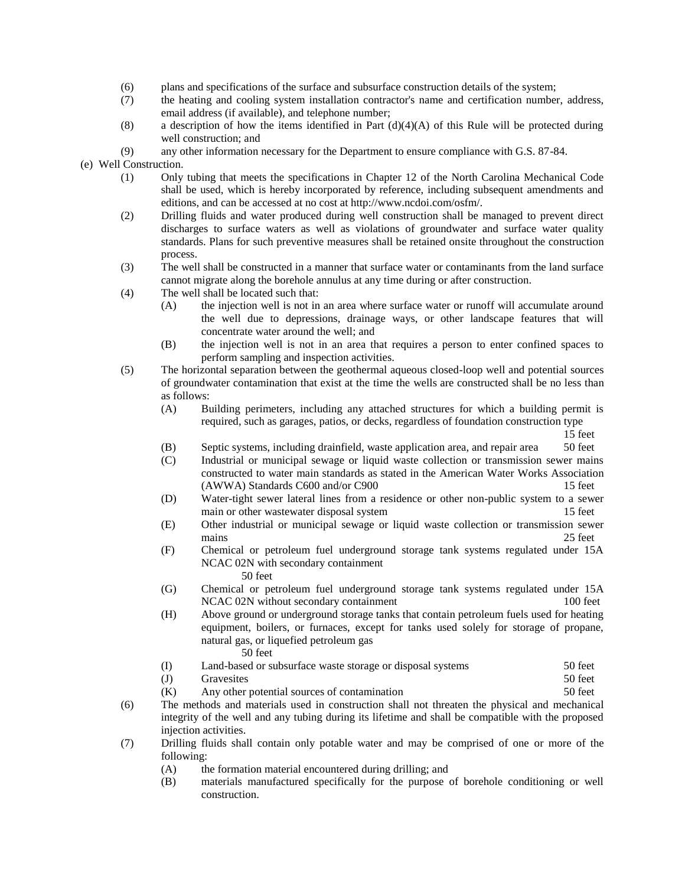- (6) plans and specifications of the surface and subsurface construction details of the system;
- (7) the heating and cooling system installation contractor's name and certification number, address, email address (if available), and telephone number;
- (8) a description of how the items identified in Part  $(d)(4)(A)$  of this Rule will be protected during well construction; and
- (9) any other information necessary for the Department to ensure compliance with G.S. 87-84.

(e) Well Construction.

- (1) Only tubing that meets the specifications in Chapter 12 of the North Carolina Mechanical Code shall be used, which is hereby incorporated by reference, including subsequent amendments and editions, and can be accessed at no cost at http://www.ncdoi.com/osfm/.
- (2) Drilling fluids and water produced during well construction shall be managed to prevent direct discharges to surface waters as well as violations of groundwater and surface water quality standards. Plans for such preventive measures shall be retained onsite throughout the construction process.
- (3) The well shall be constructed in a manner that surface water or contaminants from the land surface cannot migrate along the borehole annulus at any time during or after construction.
- (4) The well shall be located such that:
	- (A) the injection well is not in an area where surface water or runoff will accumulate around the well due to depressions, drainage ways, or other landscape features that will concentrate water around the well; and
	- (B) the injection well is not in an area that requires a person to enter confined spaces to perform sampling and inspection activities.
- (5) The horizontal separation between the geothermal aqueous closed-loop well and potential sources of groundwater contamination that exist at the time the wells are constructed shall be no less than as follows:
	- (A) Building perimeters, including any attached structures for which a building permit is required, such as garages, patios, or decks, regardless of foundation construction type
		- 15 feet
	- (B) Septic systems, including drainfield, waste application area, and repair area 50 feet
	- (C) Industrial or municipal sewage or liquid waste collection or transmission sewer mains constructed to water main standards as stated in the American Water Works Association (AWWA) Standards C600 and/or C900 15 feet
	- (D) Water-tight sewer lateral lines from a residence or other non-public system to a sewer main or other wastewater disposal system 15 feet
	- (E) Other industrial or municipal sewage or liquid waste collection or transmission sewer mains 25 feet
	- (F) Chemical or petroleum fuel underground storage tank systems regulated under 15A NCAC 02N with secondary containment 50 feet
	- (G) Chemical or petroleum fuel underground storage tank systems regulated under 15A NCAC 02N without secondary containment 100 feet
	- (H) Above ground or underground storage tanks that contain petroleum fuels used for heating equipment, boilers, or furnaces, except for tanks used solely for storage of propane, natural gas, or liquefied petroleum gas
		- 50 feet
	- (I) Land-based or subsurface waste storage or disposal systems 50 feet
	- (J) Gravesites 50 feet
	- (K) Any other potential sources of contamination 50 feet
- (6) The methods and materials used in construction shall not threaten the physical and mechanical integrity of the well and any tubing during its lifetime and shall be compatible with the proposed injection activities.
- (7) Drilling fluids shall contain only potable water and may be comprised of one or more of the following:
	- (A) the formation material encountered during drilling; and
	- (B) materials manufactured specifically for the purpose of borehole conditioning or well construction.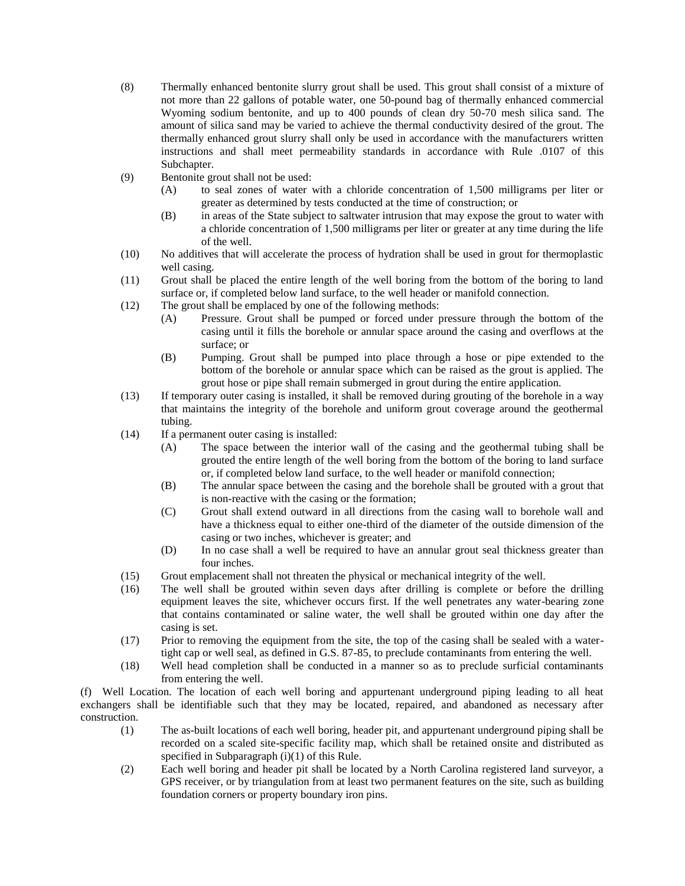- (8) Thermally enhanced bentonite slurry grout shall be used. This grout shall consist of a mixture of not more than 22 gallons of potable water, one 50-pound bag of thermally enhanced commercial Wyoming sodium bentonite, and up to 400 pounds of clean dry 50-70 mesh silica sand. The amount of silica sand may be varied to achieve the thermal conductivity desired of the grout. The thermally enhanced grout slurry shall only be used in accordance with the manufacturers written instructions and shall meet permeability standards in accordance with Rule .0107 of this Subchapter.
- (9) Bentonite grout shall not be used:
	- (A) to seal zones of water with a chloride concentration of 1,500 milligrams per liter or greater as determined by tests conducted at the time of construction; or
	- (B) in areas of the State subject to saltwater intrusion that may expose the grout to water with a chloride concentration of 1,500 milligrams per liter or greater at any time during the life of the well.
- (10) No additives that will accelerate the process of hydration shall be used in grout for thermoplastic well casing.
- (11) Grout shall be placed the entire length of the well boring from the bottom of the boring to land surface or, if completed below land surface, to the well header or manifold connection.
- (12) The grout shall be emplaced by one of the following methods:
	- (A) Pressure. Grout shall be pumped or forced under pressure through the bottom of the casing until it fills the borehole or annular space around the casing and overflows at the surface; or
	- (B) Pumping. Grout shall be pumped into place through a hose or pipe extended to the bottom of the borehole or annular space which can be raised as the grout is applied. The grout hose or pipe shall remain submerged in grout during the entire application.
- (13) If temporary outer casing is installed, it shall be removed during grouting of the borehole in a way that maintains the integrity of the borehole and uniform grout coverage around the geothermal tubing.
- (14) If a permanent outer casing is installed:
	- (A) The space between the interior wall of the casing and the geothermal tubing shall be grouted the entire length of the well boring from the bottom of the boring to land surface or, if completed below land surface, to the well header or manifold connection;
	- (B) The annular space between the casing and the borehole shall be grouted with a grout that is non-reactive with the casing or the formation;
	- (C) Grout shall extend outward in all directions from the casing wall to borehole wall and have a thickness equal to either one-third of the diameter of the outside dimension of the casing or two inches, whichever is greater; and
	- (D) In no case shall a well be required to have an annular grout seal thickness greater than four inches.
- (15) Grout emplacement shall not threaten the physical or mechanical integrity of the well.
- (16) The well shall be grouted within seven days after drilling is complete or before the drilling equipment leaves the site, whichever occurs first. If the well penetrates any water-bearing zone that contains contaminated or saline water, the well shall be grouted within one day after the casing is set.
- (17) Prior to removing the equipment from the site, the top of the casing shall be sealed with a watertight cap or well seal, as defined in G.S. 87-85, to preclude contaminants from entering the well.
- (18) Well head completion shall be conducted in a manner so as to preclude surficial contaminants from entering the well.

(f) Well Location. The location of each well boring and appurtenant underground piping leading to all heat exchangers shall be identifiable such that they may be located, repaired, and abandoned as necessary after construction.

- (1) The as-built locations of each well boring, header pit, and appurtenant underground piping shall be recorded on a scaled site-specific facility map, which shall be retained onsite and distributed as specified in Subparagraph (i)(1) of this Rule.
- (2) Each well boring and header pit shall be located by a North Carolina registered land surveyor, a GPS receiver, or by triangulation from at least two permanent features on the site, such as building foundation corners or property boundary iron pins.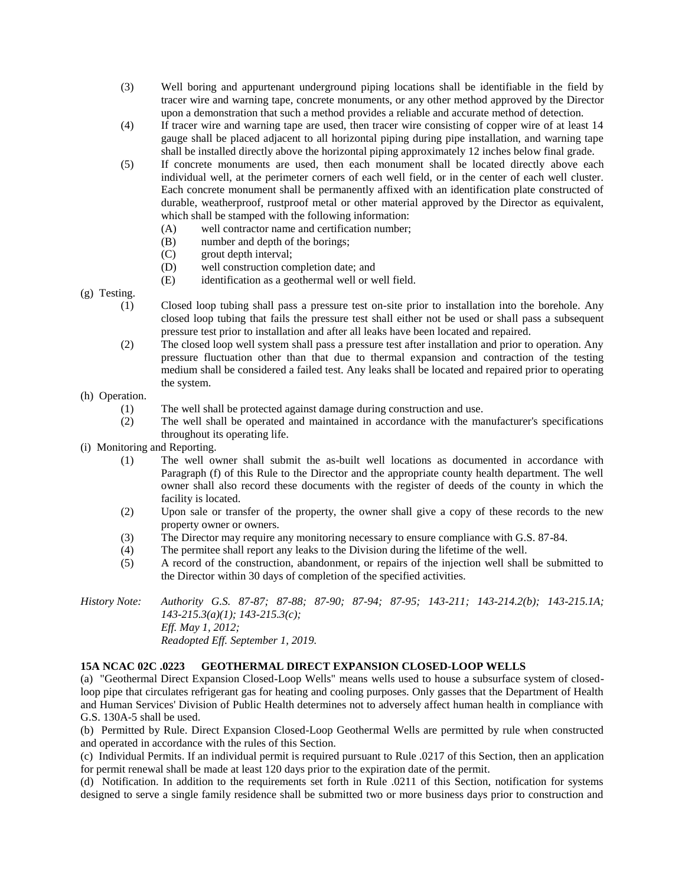- (3) Well boring and appurtenant underground piping locations shall be identifiable in the field by tracer wire and warning tape, concrete monuments, or any other method approved by the Director upon a demonstration that such a method provides a reliable and accurate method of detection.
- (4) If tracer wire and warning tape are used, then tracer wire consisting of copper wire of at least 14 gauge shall be placed adjacent to all horizontal piping during pipe installation, and warning tape shall be installed directly above the horizontal piping approximately 12 inches below final grade.
- (5) If concrete monuments are used, then each monument shall be located directly above each individual well, at the perimeter corners of each well field, or in the center of each well cluster. Each concrete monument shall be permanently affixed with an identification plate constructed of durable, weatherproof, rustproof metal or other material approved by the Director as equivalent, which shall be stamped with the following information:
	- (A) well contractor name and certification number;
	- (B) number and depth of the borings;
	- (C) grout depth interval;
	- (D) well construction completion date; and
	- (E) identification as a geothermal well or well field.

(g) Testing.

- (1) Closed loop tubing shall pass a pressure test on-site prior to installation into the borehole. Any closed loop tubing that fails the pressure test shall either not be used or shall pass a subsequent pressure test prior to installation and after all leaks have been located and repaired.
- (2) The closed loop well system shall pass a pressure test after installation and prior to operation. Any pressure fluctuation other than that due to thermal expansion and contraction of the testing medium shall be considered a failed test. Any leaks shall be located and repaired prior to operating the system.

(h) Operation.

- (1) The well shall be protected against damage during construction and use.
- (2) The well shall be operated and maintained in accordance with the manufacturer's specifications throughout its operating life.
- (i) Monitoring and Reporting.
	- (1) The well owner shall submit the as-built well locations as documented in accordance with Paragraph (f) of this Rule to the Director and the appropriate county health department. The well owner shall also record these documents with the register of deeds of the county in which the facility is located.
	- (2) Upon sale or transfer of the property, the owner shall give a copy of these records to the new property owner or owners.
	- (3) The Director may require any monitoring necessary to ensure compliance with G.S. 87-84.
	- (4) The permitee shall report any leaks to the Division during the lifetime of the well.
	- (5) A record of the construction, abandonment, or repairs of the injection well shall be submitted to the Director within 30 days of completion of the specified activities.
- *History Note: Authority G.S. 87-87; 87-88; 87-90; 87-94; 87-95; 143-211; 143-214.2(b); 143-215.1A; 143-215.3(a)(1); 143-215.3(c); Eff. May 1, 2012; Readopted Eff. September 1, 2019.*

### **15A NCAC 02C .0223 GEOTHERMAL DIRECT EXPANSION CLOSED-LOOP WELLS**

(a) "Geothermal Direct Expansion Closed-Loop Wells" means wells used to house a subsurface system of closedloop pipe that circulates refrigerant gas for heating and cooling purposes. Only gasses that the Department of Health and Human Services' Division of Public Health determines not to adversely affect human health in compliance with G.S. 130A-5 shall be used.

(b) Permitted by Rule. Direct Expansion Closed-Loop Geothermal Wells are permitted by rule when constructed and operated in accordance with the rules of this Section.

(c) Individual Permits. If an individual permit is required pursuant to Rule .0217 of this Section, then an application for permit renewal shall be made at least 120 days prior to the expiration date of the permit.

(d) Notification. In addition to the requirements set forth in Rule .0211 of this Section, notification for systems designed to serve a single family residence shall be submitted two or more business days prior to construction and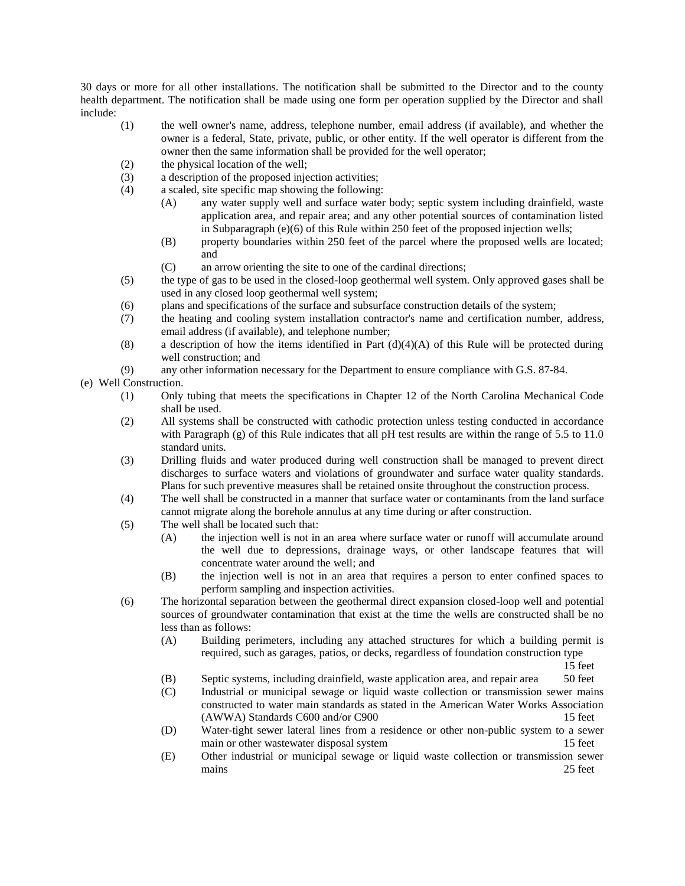30 days or more for all other installations. The notification shall be submitted to the Director and to the county health department. The notification shall be made using one form per operation supplied by the Director and shall include:

- (1) the well owner's name, address, telephone number, email address (if available), and whether the owner is a federal, State, private, public, or other entity. If the well operator is different from the owner then the same information shall be provided for the well operator;
- (2) the physical location of the well;
- (3) a description of the proposed injection activities;
- (4) a scaled, site specific map showing the following:
	- (A) any water supply well and surface water body; septic system including drainfield, waste application area, and repair area; and any other potential sources of contamination listed in Subparagraph (e)(6) of this Rule within 250 feet of the proposed injection wells;
	- (B) property boundaries within 250 feet of the parcel where the proposed wells are located; and
	- (C) an arrow orienting the site to one of the cardinal directions;
- (5) the type of gas to be used in the closed-loop geothermal well system. Only approved gases shall be used in any closed loop geothermal well system;
- (6) plans and specifications of the surface and subsurface construction details of the system;
- (7) the heating and cooling system installation contractor's name and certification number, address, email address (if available), and telephone number;
- (8) a description of how the items identified in Part (d)(4)(A) of this Rule will be protected during well construction; and
- (9) any other information necessary for the Department to ensure compliance with G.S. 87-84.
- (e) Well Construction.
	- (1) Only tubing that meets the specifications in Chapter 12 of the North Carolina Mechanical Code shall be used.
	- (2) All systems shall be constructed with cathodic protection unless testing conducted in accordance with Paragraph  $(g)$  of this Rule indicates that all pH test results are within the range of 5.5 to 11.0 standard units.
	- (3) Drilling fluids and water produced during well construction shall be managed to prevent direct discharges to surface waters and violations of groundwater and surface water quality standards. Plans for such preventive measures shall be retained onsite throughout the construction process.
	- (4) The well shall be constructed in a manner that surface water or contaminants from the land surface cannot migrate along the borehole annulus at any time during or after construction.
	- (5) The well shall be located such that:
		- (A) the injection well is not in an area where surface water or runoff will accumulate around the well due to depressions, drainage ways, or other landscape features that will concentrate water around the well; and
		- (B) the injection well is not in an area that requires a person to enter confined spaces to perform sampling and inspection activities.
	- (6) The horizontal separation between the geothermal direct expansion closed-loop well and potential sources of groundwater contamination that exist at the time the wells are constructed shall be no less than as follows:
		- (A) Building perimeters, including any attached structures for which a building permit is required, such as garages, patios, or decks, regardless of foundation construction type

15 feet

- (B) Septic systems, including drainfield, waste application area, and repair area 50 feet
- (C) Industrial or municipal sewage or liquid waste collection or transmission sewer mains constructed to water main standards as stated in the American Water Works Association (AWWA) Standards C600 and/or C900 15 feet
- (D) Water-tight sewer lateral lines from a residence or other non-public system to a sewer main or other wastewater disposal system 15 feet
- (E) Other industrial or municipal sewage or liquid waste collection or transmission sewer mains 25 feet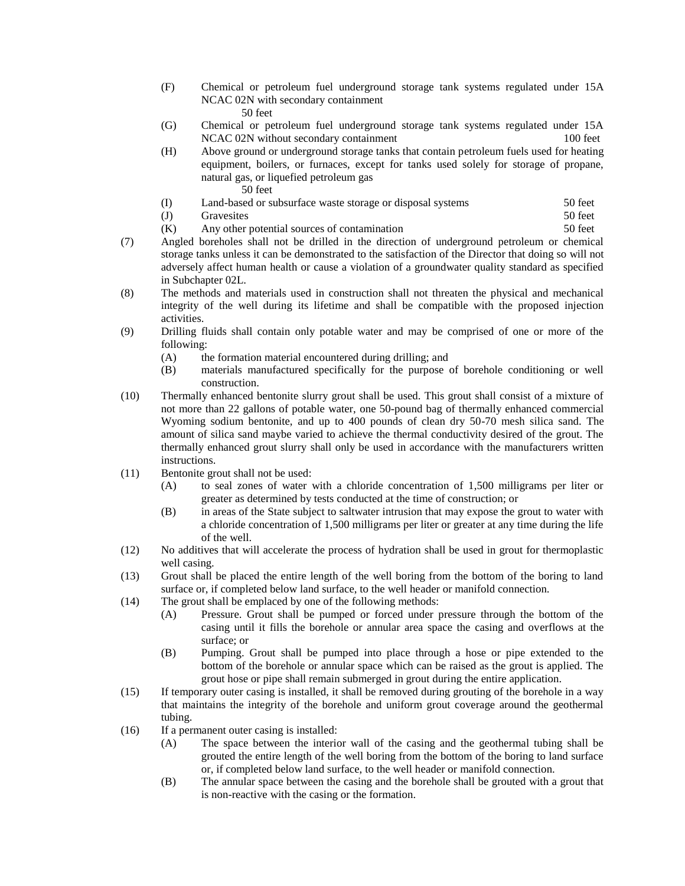- (F) Chemical or petroleum fuel underground storage tank systems regulated under 15A NCAC 02N with secondary containment 50 feet
- (G) Chemical or petroleum fuel underground storage tank systems regulated under 15A NCAC 02N without secondary containment 100 feet
- (H) Above ground or underground storage tanks that contain petroleum fuels used for heating equipment, boilers, or furnaces, except for tanks used solely for storage of propane, natural gas, or liquefied petroleum gas 50 feet
- (I) Land-based or subsurface waste storage or disposal systems 50 feet
- (J) Gravesites 50 feet
- (K) Any other potential sources of contamination 50 feet
- (7) Angled boreholes shall not be drilled in the direction of underground petroleum or chemical storage tanks unless it can be demonstrated to the satisfaction of the Director that doing so will not adversely affect human health or cause a violation of a groundwater quality standard as specified in Subchapter 02L.
- (8) The methods and materials used in construction shall not threaten the physical and mechanical integrity of the well during its lifetime and shall be compatible with the proposed injection activities.
- (9) Drilling fluids shall contain only potable water and may be comprised of one or more of the following:
	- (A) the formation material encountered during drilling; and
	- (B) materials manufactured specifically for the purpose of borehole conditioning or well construction.
- (10) Thermally enhanced bentonite slurry grout shall be used. This grout shall consist of a mixture of not more than 22 gallons of potable water, one 50-pound bag of thermally enhanced commercial Wyoming sodium bentonite, and up to 400 pounds of clean dry 50-70 mesh silica sand. The amount of silica sand maybe varied to achieve the thermal conductivity desired of the grout. The thermally enhanced grout slurry shall only be used in accordance with the manufacturers written instructions.
- (11) Bentonite grout shall not be used:
	- (A) to seal zones of water with a chloride concentration of 1,500 milligrams per liter or greater as determined by tests conducted at the time of construction; or
	- (B) in areas of the State subject to saltwater intrusion that may expose the grout to water with a chloride concentration of 1,500 milligrams per liter or greater at any time during the life of the well.
- (12) No additives that will accelerate the process of hydration shall be used in grout for thermoplastic well casing.
- (13) Grout shall be placed the entire length of the well boring from the bottom of the boring to land surface or, if completed below land surface, to the well header or manifold connection.
- (14) The grout shall be emplaced by one of the following methods:
	- (A) Pressure. Grout shall be pumped or forced under pressure through the bottom of the casing until it fills the borehole or annular area space the casing and overflows at the surface; or
	- (B) Pumping. Grout shall be pumped into place through a hose or pipe extended to the bottom of the borehole or annular space which can be raised as the grout is applied. The grout hose or pipe shall remain submerged in grout during the entire application.
- (15) If temporary outer casing is installed, it shall be removed during grouting of the borehole in a way that maintains the integrity of the borehole and uniform grout coverage around the geothermal tubing.
- (16) If a permanent outer casing is installed:
	- (A) The space between the interior wall of the casing and the geothermal tubing shall be grouted the entire length of the well boring from the bottom of the boring to land surface or, if completed below land surface, to the well header or manifold connection.
	- (B) The annular space between the casing and the borehole shall be grouted with a grout that is non-reactive with the casing or the formation.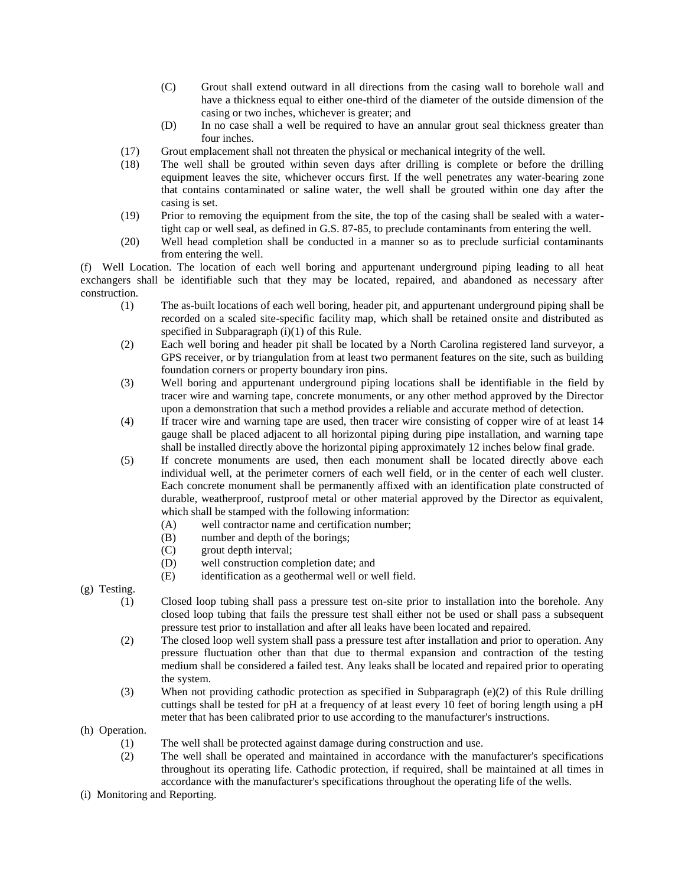- (C) Grout shall extend outward in all directions from the casing wall to borehole wall and have a thickness equal to either one-third of the diameter of the outside dimension of the casing or two inches, whichever is greater; and
- (D) In no case shall a well be required to have an annular grout seal thickness greater than four inches.
- (17) Grout emplacement shall not threaten the physical or mechanical integrity of the well.
- (18) The well shall be grouted within seven days after drilling is complete or before the drilling equipment leaves the site, whichever occurs first. If the well penetrates any water-bearing zone that contains contaminated or saline water, the well shall be grouted within one day after the casing is set.
- (19) Prior to removing the equipment from the site, the top of the casing shall be sealed with a watertight cap or well seal, as defined in G.S. 87-85, to preclude contaminants from entering the well.
- (20) Well head completion shall be conducted in a manner so as to preclude surficial contaminants from entering the well.

(f) Well Location. The location of each well boring and appurtenant underground piping leading to all heat exchangers shall be identifiable such that they may be located, repaired, and abandoned as necessary after construction.

- (1) The as-built locations of each well boring, header pit, and appurtenant underground piping shall be recorded on a scaled site-specific facility map, which shall be retained onsite and distributed as specified in Subparagraph (i)(1) of this Rule.
- (2) Each well boring and header pit shall be located by a North Carolina registered land surveyor, a GPS receiver, or by triangulation from at least two permanent features on the site, such as building foundation corners or property boundary iron pins.
- (3) Well boring and appurtenant underground piping locations shall be identifiable in the field by tracer wire and warning tape, concrete monuments, or any other method approved by the Director upon a demonstration that such a method provides a reliable and accurate method of detection.
- (4) If tracer wire and warning tape are used, then tracer wire consisting of copper wire of at least 14 gauge shall be placed adjacent to all horizontal piping during pipe installation, and warning tape shall be installed directly above the horizontal piping approximately 12 inches below final grade.
- (5) If concrete monuments are used, then each monument shall be located directly above each individual well, at the perimeter corners of each well field, or in the center of each well cluster. Each concrete monument shall be permanently affixed with an identification plate constructed of durable, weatherproof, rustproof metal or other material approved by the Director as equivalent, which shall be stamped with the following information:
	- (A) well contractor name and certification number;
	- (B) number and depth of the borings;
	- (C) grout depth interval;
	- (D) well construction completion date; and
	- (E) identification as a geothermal well or well field.

(g) Testing.

- (1) Closed loop tubing shall pass a pressure test on-site prior to installation into the borehole. Any closed loop tubing that fails the pressure test shall either not be used or shall pass a subsequent pressure test prior to installation and after all leaks have been located and repaired.
- (2) The closed loop well system shall pass a pressure test after installation and prior to operation. Any pressure fluctuation other than that due to thermal expansion and contraction of the testing medium shall be considered a failed test. Any leaks shall be located and repaired prior to operating the system.
- (3) When not providing cathodic protection as specified in Subparagraph (e)(2) of this Rule drilling cuttings shall be tested for pH at a frequency of at least every 10 feet of boring length using a pH meter that has been calibrated prior to use according to the manufacturer's instructions.
- (h) Operation.
	- (1) The well shall be protected against damage during construction and use.
	- (2) The well shall be operated and maintained in accordance with the manufacturer's specifications throughout its operating life. Cathodic protection, if required, shall be maintained at all times in accordance with the manufacturer's specifications throughout the operating life of the wells.
- (i) Monitoring and Reporting.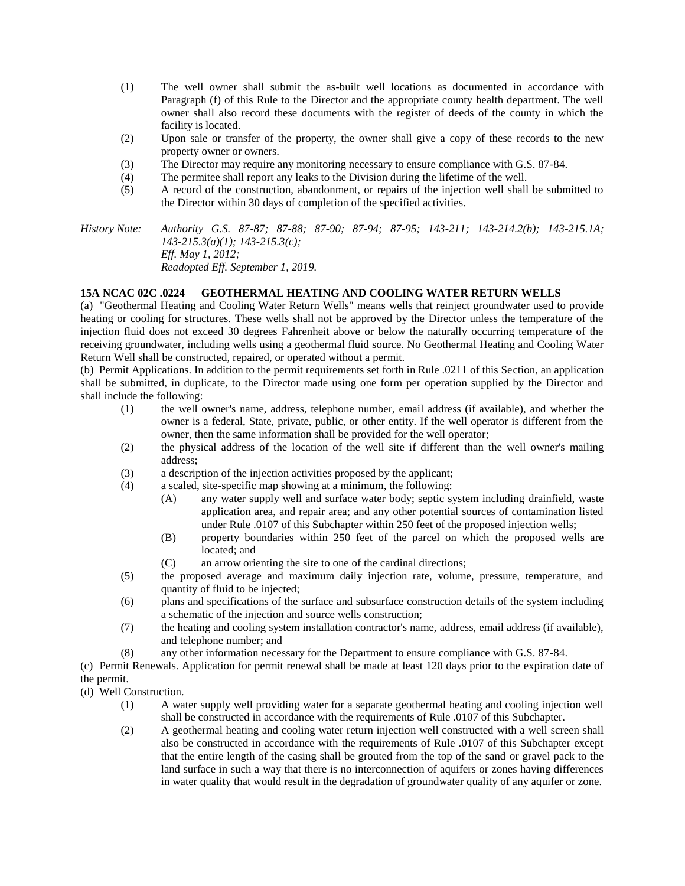- (1) The well owner shall submit the as-built well locations as documented in accordance with Paragraph (f) of this Rule to the Director and the appropriate county health department. The well owner shall also record these documents with the register of deeds of the county in which the facility is located.
- (2) Upon sale or transfer of the property, the owner shall give a copy of these records to the new property owner or owners.
- (3) The Director may require any monitoring necessary to ensure compliance with G.S. 87-84.
- (4) The permitee shall report any leaks to the Division during the lifetime of the well.
- (5) A record of the construction, abandonment, or repairs of the injection well shall be submitted to the Director within 30 days of completion of the specified activities.

*History Note: Authority G.S. 87-87; 87-88; 87-90; 87-94; 87-95; 143-211; 143-214.2(b); 143-215.1A; 143-215.3(a)(1); 143-215.3(c); Eff. May 1, 2012; Readopted Eff. September 1, 2019.*

## **15A NCAC 02C .0224 GEOTHERMAL HEATING AND COOLING WATER RETURN WELLS**

(a) "Geothermal Heating and Cooling Water Return Wells" means wells that reinject groundwater used to provide heating or cooling for structures. These wells shall not be approved by the Director unless the temperature of the injection fluid does not exceed 30 degrees Fahrenheit above or below the naturally occurring temperature of the receiving groundwater, including wells using a geothermal fluid source. No Geothermal Heating and Cooling Water Return Well shall be constructed, repaired, or operated without a permit.

(b) Permit Applications. In addition to the permit requirements set forth in Rule .0211 of this Section, an application shall be submitted, in duplicate, to the Director made using one form per operation supplied by the Director and shall include the following:

- (1) the well owner's name, address, telephone number, email address (if available), and whether the owner is a federal, State, private, public, or other entity. If the well operator is different from the owner, then the same information shall be provided for the well operator;
- (2) the physical address of the location of the well site if different than the well owner's mailing address;
- (3) a description of the injection activities proposed by the applicant;
- (4) a scaled, site-specific map showing at a minimum, the following:
	- (A) any water supply well and surface water body; septic system including drainfield, waste application area, and repair area; and any other potential sources of contamination listed under Rule .0107 of this Subchapter within 250 feet of the proposed injection wells;
	- (B) property boundaries within 250 feet of the parcel on which the proposed wells are located; and
	- (C) an arrow orienting the site to one of the cardinal directions;
- (5) the proposed average and maximum daily injection rate, volume, pressure, temperature, and quantity of fluid to be injected;
- (6) plans and specifications of the surface and subsurface construction details of the system including a schematic of the injection and source wells construction;
- (7) the heating and cooling system installation contractor's name, address, email address (if available), and telephone number; and
- (8) any other information necessary for the Department to ensure compliance with G.S. 87-84.

(c) Permit Renewals. Application for permit renewal shall be made at least 120 days prior to the expiration date of the permit.

- (d) Well Construction.
	- (1) A water supply well providing water for a separate geothermal heating and cooling injection well shall be constructed in accordance with the requirements of Rule .0107 of this Subchapter.
	- (2) A geothermal heating and cooling water return injection well constructed with a well screen shall also be constructed in accordance with the requirements of Rule .0107 of this Subchapter except that the entire length of the casing shall be grouted from the top of the sand or gravel pack to the land surface in such a way that there is no interconnection of aquifers or zones having differences in water quality that would result in the degradation of groundwater quality of any aquifer or zone.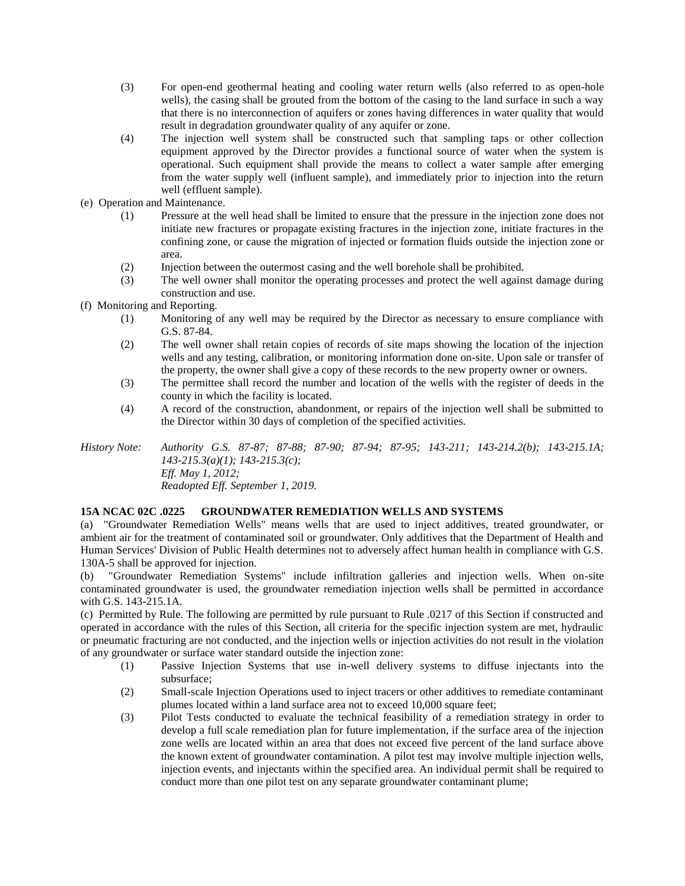- (3) For open-end geothermal heating and cooling water return wells (also referred to as open-hole wells), the casing shall be grouted from the bottom of the casing to the land surface in such a way that there is no interconnection of aquifers or zones having differences in water quality that would result in degradation groundwater quality of any aquifer or zone.
- (4) The injection well system shall be constructed such that sampling taps or other collection equipment approved by the Director provides a functional source of water when the system is operational. Such equipment shall provide the means to collect a water sample after emerging from the water supply well (influent sample), and immediately prior to injection into the return well (effluent sample).
- (e) Operation and Maintenance.
	- (1) Pressure at the well head shall be limited to ensure that the pressure in the injection zone does not initiate new fractures or propagate existing fractures in the injection zone, initiate fractures in the confining zone, or cause the migration of injected or formation fluids outside the injection zone or area.
	- (2) Injection between the outermost casing and the well borehole shall be prohibited.
	- (3) The well owner shall monitor the operating processes and protect the well against damage during construction and use.
- (f) Monitoring and Reporting.
	- (1) Monitoring of any well may be required by the Director as necessary to ensure compliance with G.S. 87-84.
	- (2) The well owner shall retain copies of records of site maps showing the location of the injection wells and any testing, calibration, or monitoring information done on-site. Upon sale or transfer of the property, the owner shall give a copy of these records to the new property owner or owners.
	- (3) The permittee shall record the number and location of the wells with the register of deeds in the county in which the facility is located.
	- (4) A record of the construction, abandonment, or repairs of the injection well shall be submitted to the Director within 30 days of completion of the specified activities.

*History Note: Authority G.S. 87-87; 87-88; 87-90; 87-94; 87-95; 143-211; 143-214.2(b); 143-215.1A; 143-215.3(a)(1); 143-215.3(c); Eff. May 1, 2012; Readopted Eff. September 1, 2019.*

## **15A NCAC 02C .0225 GROUNDWATER REMEDIATION WELLS AND SYSTEMS**

(a) "Groundwater Remediation Wells" means wells that are used to inject additives, treated groundwater, or ambient air for the treatment of contaminated soil or groundwater. Only additives that the Department of Health and Human Services' Division of Public Health determines not to adversely affect human health in compliance with G.S. 130A-5 shall be approved for injection.

(b) "Groundwater Remediation Systems" include infiltration galleries and injection wells. When on-site contaminated groundwater is used, the groundwater remediation injection wells shall be permitted in accordance with G.S. 143-215.1A.

(c) Permitted by Rule. The following are permitted by rule pursuant to Rule .0217 of this Section if constructed and operated in accordance with the rules of this Section, all criteria for the specific injection system are met, hydraulic or pneumatic fracturing are not conducted, and the injection wells or injection activities do not result in the violation of any groundwater or surface water standard outside the injection zone:

- (1) Passive Injection Systems that use in-well delivery systems to diffuse injectants into the subsurface;
- (2) Small-scale Injection Operations used to inject tracers or other additives to remediate contaminant plumes located within a land surface area not to exceed 10,000 square feet;
- (3) Pilot Tests conducted to evaluate the technical feasibility of a remediation strategy in order to develop a full scale remediation plan for future implementation, if the surface area of the injection zone wells are located within an area that does not exceed five percent of the land surface above the known extent of groundwater contamination. A pilot test may involve multiple injection wells, injection events, and injectants within the specified area. An individual permit shall be required to conduct more than one pilot test on any separate groundwater contaminant plume;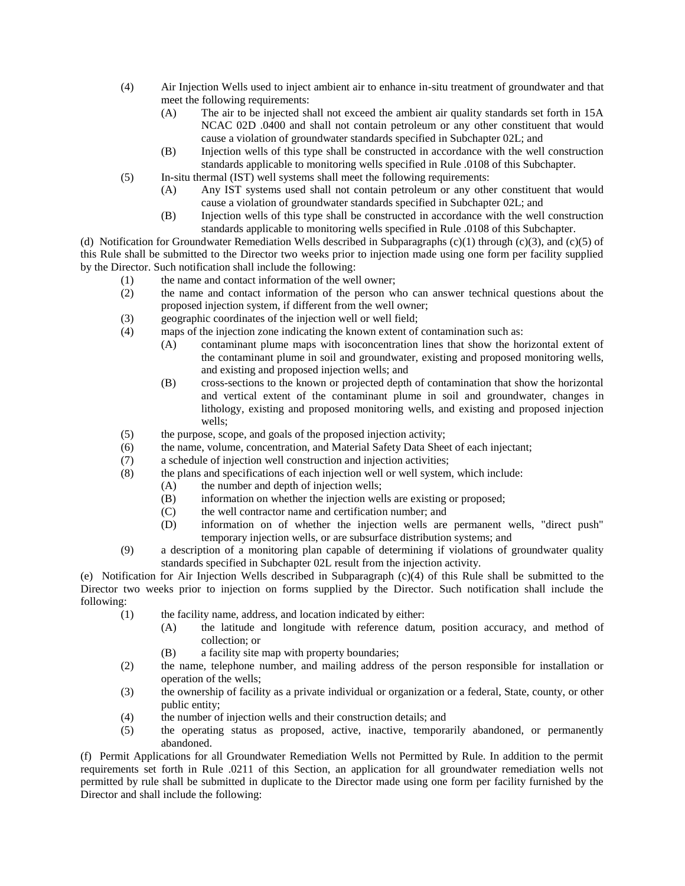- (4) Air Injection Wells used to inject ambient air to enhance in-situ treatment of groundwater and that meet the following requirements:
	- (A) The air to be injected shall not exceed the ambient air quality standards set forth in 15A NCAC 02D .0400 and shall not contain petroleum or any other constituent that would cause a violation of groundwater standards specified in Subchapter 02L; and
	- (B) Injection wells of this type shall be constructed in accordance with the well construction standards applicable to monitoring wells specified in Rule .0108 of this Subchapter.
- (5) In-situ thermal (IST) well systems shall meet the following requirements:
	- (A) Any IST systems used shall not contain petroleum or any other constituent that would cause a violation of groundwater standards specified in Subchapter 02L; and
	- (B) Injection wells of this type shall be constructed in accordance with the well construction standards applicable to monitoring wells specified in Rule .0108 of this Subchapter.

(d) Notification for Groundwater Remediation Wells described in Subparagraphs  $(c)(1)$  through  $(c)(3)$ , and  $(c)(5)$  of this Rule shall be submitted to the Director two weeks prior to injection made using one form per facility supplied by the Director. Such notification shall include the following:

- (1) the name and contact information of the well owner;
- (2) the name and contact information of the person who can answer technical questions about the proposed injection system, if different from the well owner;
- (3) geographic coordinates of the injection well or well field;
- (4) maps of the injection zone indicating the known extent of contamination such as:
	- (A) contaminant plume maps with isoconcentration lines that show the horizontal extent of the contaminant plume in soil and groundwater, existing and proposed monitoring wells, and existing and proposed injection wells; and
	- (B) cross-sections to the known or projected depth of contamination that show the horizontal and vertical extent of the contaminant plume in soil and groundwater, changes in lithology, existing and proposed monitoring wells, and existing and proposed injection wells;
- (5) the purpose, scope, and goals of the proposed injection activity;
- (6) the name, volume, concentration, and Material Safety Data Sheet of each injectant;
- (7) a schedule of injection well construction and injection activities;
- (8) the plans and specifications of each injection well or well system, which include:
	- (A) the number and depth of injection wells;
	- (B) information on whether the injection wells are existing or proposed;
	- (C) the well contractor name and certification number; and
	- (D) information on of whether the injection wells are permanent wells, "direct push" temporary injection wells, or are subsurface distribution systems; and
- (9) a description of a monitoring plan capable of determining if violations of groundwater quality standards specified in Subchapter 02L result from the injection activity.

(e) Notification for Air Injection Wells described in Subparagraph (c)(4) of this Rule shall be submitted to the Director two weeks prior to injection on forms supplied by the Director. Such notification shall include the following:

- (1) the facility name, address, and location indicated by either:
	- (A) the latitude and longitude with reference datum, position accuracy, and method of collection; or
	- (B) a facility site map with property boundaries;
- (2) the name, telephone number, and mailing address of the person responsible for installation or operation of the wells;
- (3) the ownership of facility as a private individual or organization or a federal, State, county, or other public entity;
- (4) the number of injection wells and their construction details; and
- (5) the operating status as proposed, active, inactive, temporarily abandoned, or permanently abandoned.

(f) Permit Applications for all Groundwater Remediation Wells not Permitted by Rule. In addition to the permit requirements set forth in Rule .0211 of this Section, an application for all groundwater remediation wells not permitted by rule shall be submitted in duplicate to the Director made using one form per facility furnished by the Director and shall include the following: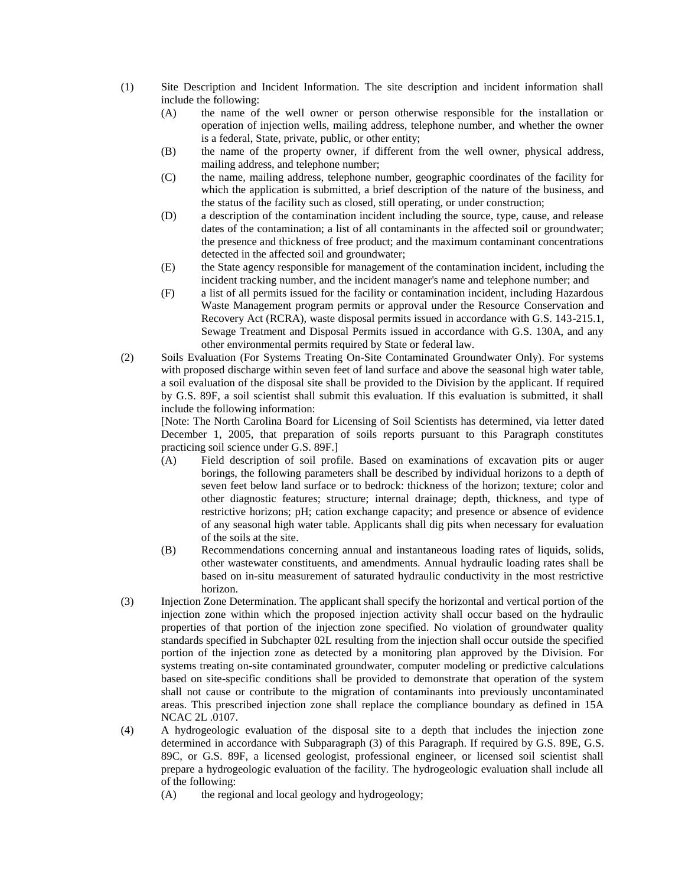- (1) Site Description and Incident Information. The site description and incident information shall include the following:
	- (A) the name of the well owner or person otherwise responsible for the installation or operation of injection wells, mailing address, telephone number, and whether the owner is a federal, State, private, public, or other entity;
	- (B) the name of the property owner, if different from the well owner, physical address, mailing address, and telephone number;
	- (C) the name, mailing address, telephone number, geographic coordinates of the facility for which the application is submitted, a brief description of the nature of the business, and the status of the facility such as closed, still operating, or under construction;
	- (D) a description of the contamination incident including the source, type, cause, and release dates of the contamination; a list of all contaminants in the affected soil or groundwater; the presence and thickness of free product; and the maximum contaminant concentrations detected in the affected soil and groundwater;
	- (E) the State agency responsible for management of the contamination incident, including the incident tracking number, and the incident manager's name and telephone number; and
	- (F) a list of all permits issued for the facility or contamination incident, including Hazardous Waste Management program permits or approval under the Resource Conservation and Recovery Act (RCRA), waste disposal permits issued in accordance with G.S. 143-215.1, Sewage Treatment and Disposal Permits issued in accordance with G.S. 130A, and any other environmental permits required by State or federal law.
- (2) Soils Evaluation (For Systems Treating On-Site Contaminated Groundwater Only). For systems with proposed discharge within seven feet of land surface and above the seasonal high water table, a soil evaluation of the disposal site shall be provided to the Division by the applicant. If required by G.S. 89F, a soil scientist shall submit this evaluation. If this evaluation is submitted, it shall include the following information:

[Note: The North Carolina Board for Licensing of Soil Scientists has determined, via letter dated December 1, 2005, that preparation of soils reports pursuant to this Paragraph constitutes practicing soil science under G.S. 89F.]

- (A) Field description of soil profile. Based on examinations of excavation pits or auger borings, the following parameters shall be described by individual horizons to a depth of seven feet below land surface or to bedrock: thickness of the horizon; texture; color and other diagnostic features; structure; internal drainage; depth, thickness, and type of restrictive horizons; pH; cation exchange capacity; and presence or absence of evidence of any seasonal high water table. Applicants shall dig pits when necessary for evaluation of the soils at the site.
- (B) Recommendations concerning annual and instantaneous loading rates of liquids, solids, other wastewater constituents, and amendments. Annual hydraulic loading rates shall be based on in-situ measurement of saturated hydraulic conductivity in the most restrictive horizon.
- (3) Injection Zone Determination. The applicant shall specify the horizontal and vertical portion of the injection zone within which the proposed injection activity shall occur based on the hydraulic properties of that portion of the injection zone specified. No violation of groundwater quality standards specified in Subchapter 02L resulting from the injection shall occur outside the specified portion of the injection zone as detected by a monitoring plan approved by the Division. For systems treating on-site contaminated groundwater, computer modeling or predictive calculations based on site-specific conditions shall be provided to demonstrate that operation of the system shall not cause or contribute to the migration of contaminants into previously uncontaminated areas. This prescribed injection zone shall replace the compliance boundary as defined in 15A NCAC 2L .0107.
- (4) A hydrogeologic evaluation of the disposal site to a depth that includes the injection zone determined in accordance with Subparagraph (3) of this Paragraph. If required by G.S. 89E, G.S. 89C, or G.S. 89F, a licensed geologist, professional engineer, or licensed soil scientist shall prepare a hydrogeologic evaluation of the facility. The hydrogeologic evaluation shall include all of the following:
	- (A) the regional and local geology and hydrogeology;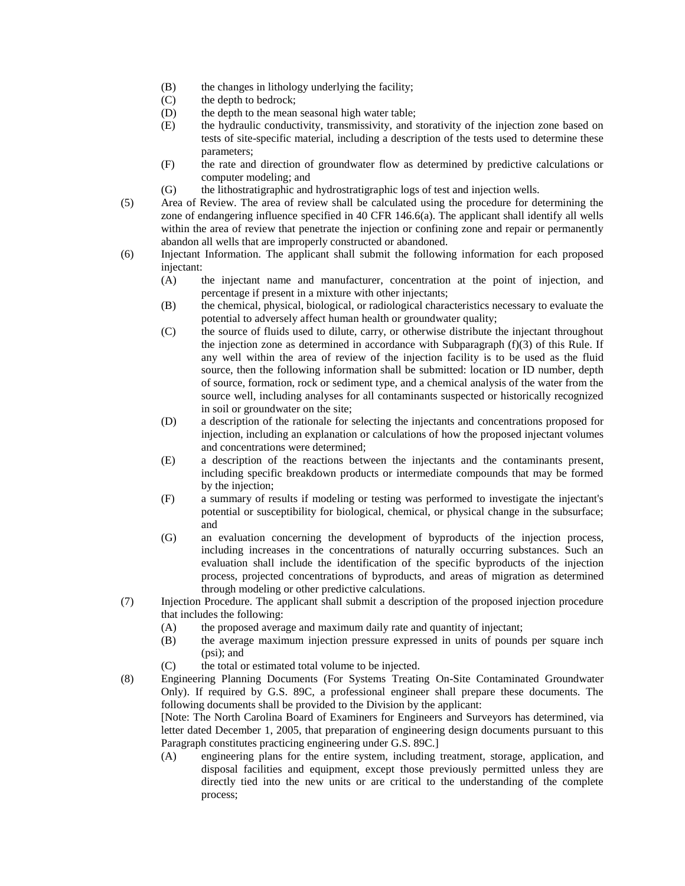- (B) the changes in lithology underlying the facility;
- (C) the depth to bedrock;
- (D) the depth to the mean seasonal high water table;
- (E) the hydraulic conductivity, transmissivity, and storativity of the injection zone based on tests of site-specific material, including a description of the tests used to determine these parameters;
- (F) the rate and direction of groundwater flow as determined by predictive calculations or computer modeling; and
- (G) the lithostratigraphic and hydrostratigraphic logs of test and injection wells.
- (5) Area of Review. The area of review shall be calculated using the procedure for determining the zone of endangering influence specified in 40 CFR 146.6(a). The applicant shall identify all wells within the area of review that penetrate the injection or confining zone and repair or permanently abandon all wells that are improperly constructed or abandoned.
- (6) Injectant Information. The applicant shall submit the following information for each proposed injectant:
	- (A) the injectant name and manufacturer, concentration at the point of injection, and percentage if present in a mixture with other injectants;
	- (B) the chemical, physical, biological, or radiological characteristics necessary to evaluate the potential to adversely affect human health or groundwater quality;
	- (C) the source of fluids used to dilute, carry, or otherwise distribute the injectant throughout the injection zone as determined in accordance with Subparagraph  $(f)(3)$  of this Rule. If any well within the area of review of the injection facility is to be used as the fluid source, then the following information shall be submitted: location or ID number, depth of source, formation, rock or sediment type, and a chemical analysis of the water from the source well, including analyses for all contaminants suspected or historically recognized in soil or groundwater on the site;
	- (D) a description of the rationale for selecting the injectants and concentrations proposed for injection, including an explanation or calculations of how the proposed injectant volumes and concentrations were determined;
	- (E) a description of the reactions between the injectants and the contaminants present, including specific breakdown products or intermediate compounds that may be formed by the injection;
	- (F) a summary of results if modeling or testing was performed to investigate the injectant's potential or susceptibility for biological, chemical, or physical change in the subsurface; and
	- (G) an evaluation concerning the development of byproducts of the injection process, including increases in the concentrations of naturally occurring substances. Such an evaluation shall include the identification of the specific byproducts of the injection process, projected concentrations of byproducts, and areas of migration as determined through modeling or other predictive calculations.
- (7) Injection Procedure. The applicant shall submit a description of the proposed injection procedure that includes the following:
	- (A) the proposed average and maximum daily rate and quantity of injectant;
	- (B) the average maximum injection pressure expressed in units of pounds per square inch (psi); and
	- (C) the total or estimated total volume to be injected.
- (8) Engineering Planning Documents (For Systems Treating On-Site Contaminated Groundwater Only). If required by G.S. 89C, a professional engineer shall prepare these documents. The following documents shall be provided to the Division by the applicant:

[Note: The North Carolina Board of Examiners for Engineers and Surveyors has determined, via letter dated December 1, 2005, that preparation of engineering design documents pursuant to this Paragraph constitutes practicing engineering under G.S. 89C.]

(A) engineering plans for the entire system, including treatment, storage, application, and disposal facilities and equipment, except those previously permitted unless they are directly tied into the new units or are critical to the understanding of the complete process;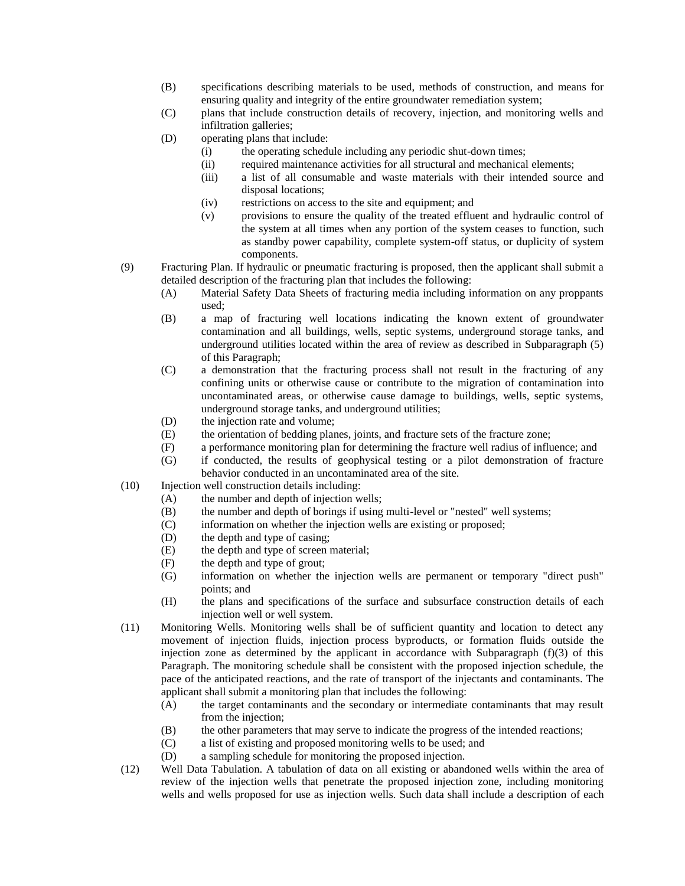- (B) specifications describing materials to be used, methods of construction, and means for ensuring quality and integrity of the entire groundwater remediation system;
- (C) plans that include construction details of recovery, injection, and monitoring wells and infiltration galleries;
- (D) operating plans that include:
	- (i) the operating schedule including any periodic shut-down times;
	- (ii) required maintenance activities for all structural and mechanical elements;
	- (iii) a list of all consumable and waste materials with their intended source and disposal locations;
	- (iv) restrictions on access to the site and equipment; and
	- (v) provisions to ensure the quality of the treated effluent and hydraulic control of the system at all times when any portion of the system ceases to function, such as standby power capability, complete system-off status, or duplicity of system components.
- (9) Fracturing Plan. If hydraulic or pneumatic fracturing is proposed, then the applicant shall submit a detailed description of the fracturing plan that includes the following:
	- (A) Material Safety Data Sheets of fracturing media including information on any proppants used;
	- (B) a map of fracturing well locations indicating the known extent of groundwater contamination and all buildings, wells, septic systems, underground storage tanks, and underground utilities located within the area of review as described in Subparagraph (5) of this Paragraph;
	- (C) a demonstration that the fracturing process shall not result in the fracturing of any confining units or otherwise cause or contribute to the migration of contamination into uncontaminated areas, or otherwise cause damage to buildings, wells, septic systems, underground storage tanks, and underground utilities;
	- (D) the injection rate and volume;
	- (E) the orientation of bedding planes, joints, and fracture sets of the fracture zone;
	- (F) a performance monitoring plan for determining the fracture well radius of influence; and
	- (G) if conducted, the results of geophysical testing or a pilot demonstration of fracture behavior conducted in an uncontaminated area of the site.
- (10) Injection well construction details including:
	- (A) the number and depth of injection wells;
	- (B) the number and depth of borings if using multi-level or "nested" well systems;
	- (C) information on whether the injection wells are existing or proposed;
	- (D) the depth and type of casing;
	- (E) the depth and type of screen material;
	- (F) the depth and type of grout;
	- (G) information on whether the injection wells are permanent or temporary "direct push" points; and
	- (H) the plans and specifications of the surface and subsurface construction details of each injection well or well system.
- (11) Monitoring Wells. Monitoring wells shall be of sufficient quantity and location to detect any movement of injection fluids, injection process byproducts, or formation fluids outside the injection zone as determined by the applicant in accordance with Subparagraph  $(f)(3)$  of this Paragraph. The monitoring schedule shall be consistent with the proposed injection schedule, the pace of the anticipated reactions, and the rate of transport of the injectants and contaminants. The applicant shall submit a monitoring plan that includes the following:
	- (A) the target contaminants and the secondary or intermediate contaminants that may result from the injection;
	- (B) the other parameters that may serve to indicate the progress of the intended reactions;
	- (C) a list of existing and proposed monitoring wells to be used; and
	- (D) a sampling schedule for monitoring the proposed injection.
- (12) Well Data Tabulation. A tabulation of data on all existing or abandoned wells within the area of review of the injection wells that penetrate the proposed injection zone, including monitoring wells and wells proposed for use as injection wells. Such data shall include a description of each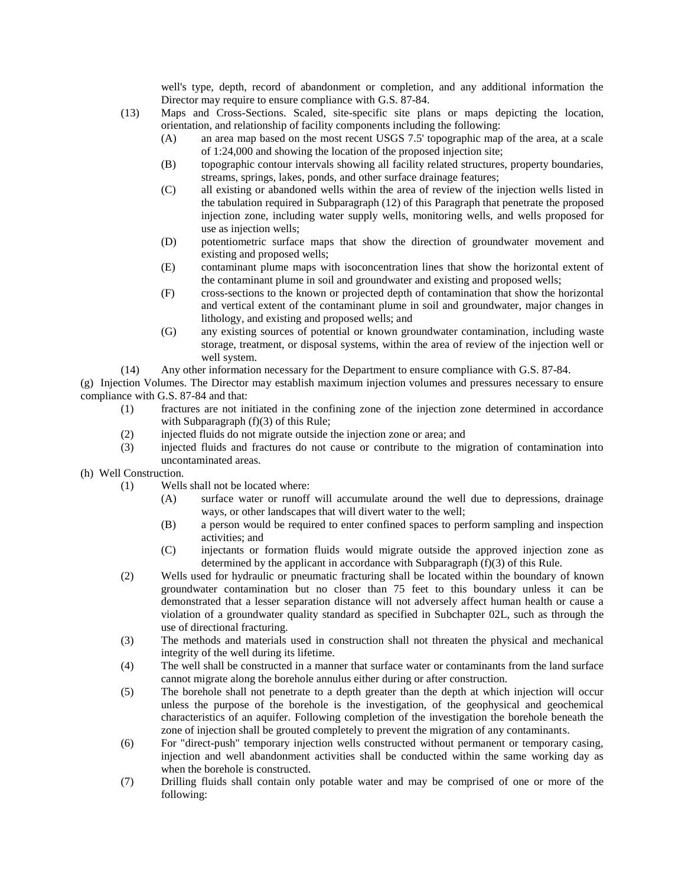well's type, depth, record of abandonment or completion, and any additional information the Director may require to ensure compliance with G.S. 87-84.

- (13) Maps and Cross-Sections. Scaled, site-specific site plans or maps depicting the location, orientation, and relationship of facility components including the following:
	- (A) an area map based on the most recent USGS 7.5' topographic map of the area, at a scale of 1:24,000 and showing the location of the proposed injection site;
	- (B) topographic contour intervals showing all facility related structures, property boundaries, streams, springs, lakes, ponds, and other surface drainage features;
	- (C) all existing or abandoned wells within the area of review of the injection wells listed in the tabulation required in Subparagraph (12) of this Paragraph that penetrate the proposed injection zone, including water supply wells, monitoring wells, and wells proposed for use as injection wells;
	- (D) potentiometric surface maps that show the direction of groundwater movement and existing and proposed wells;
	- (E) contaminant plume maps with isoconcentration lines that show the horizontal extent of the contaminant plume in soil and groundwater and existing and proposed wells;
	- (F) cross-sections to the known or projected depth of contamination that show the horizontal and vertical extent of the contaminant plume in soil and groundwater, major changes in lithology, and existing and proposed wells; and
	- (G) any existing sources of potential or known groundwater contamination, including waste storage, treatment, or disposal systems, within the area of review of the injection well or well system.
- (14) Any other information necessary for the Department to ensure compliance with G.S. 87-84.

(g) Injection Volumes. The Director may establish maximum injection volumes and pressures necessary to ensure compliance with G.S. 87-84 and that:

- (1) fractures are not initiated in the confining zone of the injection zone determined in accordance with Subparagraph (f)(3) of this Rule;
- (2) injected fluids do not migrate outside the injection zone or area; and
- (3) injected fluids and fractures do not cause or contribute to the migration of contamination into uncontaminated areas.
- (h) Well Construction.
	- (1) Wells shall not be located where:
		- (A) surface water or runoff will accumulate around the well due to depressions, drainage ways, or other landscapes that will divert water to the well;
		- (B) a person would be required to enter confined spaces to perform sampling and inspection activities; and
		- (C) injectants or formation fluids would migrate outside the approved injection zone as determined by the applicant in accordance with Subparagraph (f)(3) of this Rule.
	- (2) Wells used for hydraulic or pneumatic fracturing shall be located within the boundary of known groundwater contamination but no closer than 75 feet to this boundary unless it can be demonstrated that a lesser separation distance will not adversely affect human health or cause a violation of a groundwater quality standard as specified in Subchapter 02L, such as through the use of directional fracturing.
	- (3) The methods and materials used in construction shall not threaten the physical and mechanical integrity of the well during its lifetime.
	- (4) The well shall be constructed in a manner that surface water or contaminants from the land surface cannot migrate along the borehole annulus either during or after construction.
	- (5) The borehole shall not penetrate to a depth greater than the depth at which injection will occur unless the purpose of the borehole is the investigation, of the geophysical and geochemical characteristics of an aquifer. Following completion of the investigation the borehole beneath the zone of injection shall be grouted completely to prevent the migration of any contaminants.
	- (6) For "direct-push" temporary injection wells constructed without permanent or temporary casing, injection and well abandonment activities shall be conducted within the same working day as when the borehole is constructed.
	- (7) Drilling fluids shall contain only potable water and may be comprised of one or more of the following: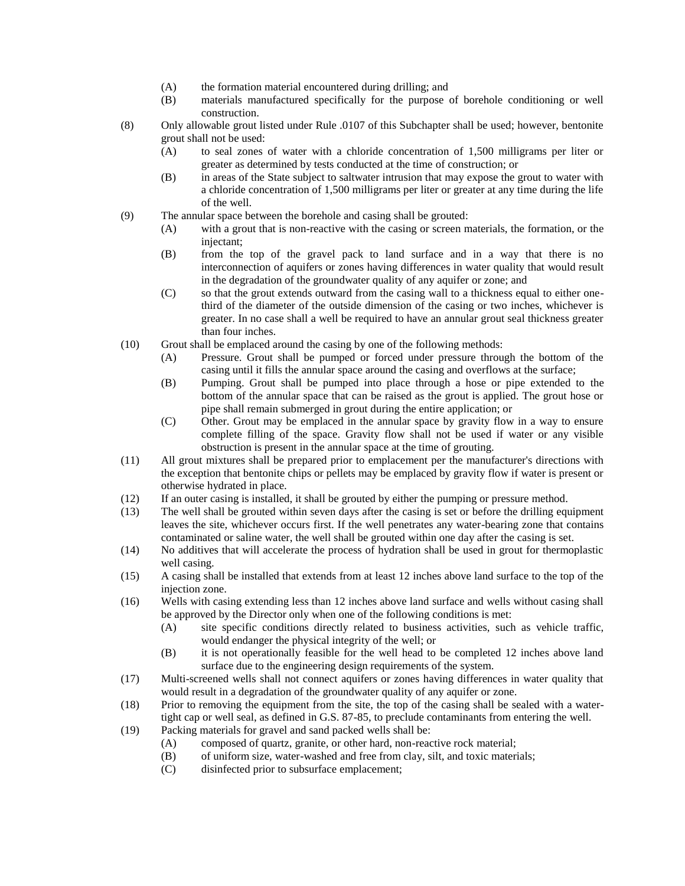- (A) the formation material encountered during drilling; and
- (B) materials manufactured specifically for the purpose of borehole conditioning or well construction.
- (8) Only allowable grout listed under Rule .0107 of this Subchapter shall be used; however, bentonite grout shall not be used:
	- (A) to seal zones of water with a chloride concentration of 1,500 milligrams per liter or greater as determined by tests conducted at the time of construction; or
	- (B) in areas of the State subject to saltwater intrusion that may expose the grout to water with a chloride concentration of 1,500 milligrams per liter or greater at any time during the life of the well.
- (9) The annular space between the borehole and casing shall be grouted:
	- (A) with a grout that is non-reactive with the casing or screen materials, the formation, or the injectant;
	- (B) from the top of the gravel pack to land surface and in a way that there is no interconnection of aquifers or zones having differences in water quality that would result in the degradation of the groundwater quality of any aquifer or zone; and
	- (C) so that the grout extends outward from the casing wall to a thickness equal to either onethird of the diameter of the outside dimension of the casing or two inches, whichever is greater. In no case shall a well be required to have an annular grout seal thickness greater than four inches.
- (10) Grout shall be emplaced around the casing by one of the following methods:
	- (A) Pressure. Grout shall be pumped or forced under pressure through the bottom of the casing until it fills the annular space around the casing and overflows at the surface;
	- (B) Pumping. Grout shall be pumped into place through a hose or pipe extended to the bottom of the annular space that can be raised as the grout is applied. The grout hose or pipe shall remain submerged in grout during the entire application; or
	- (C) Other. Grout may be emplaced in the annular space by gravity flow in a way to ensure complete filling of the space. Gravity flow shall not be used if water or any visible obstruction is present in the annular space at the time of grouting.
- (11) All grout mixtures shall be prepared prior to emplacement per the manufacturer's directions with the exception that bentonite chips or pellets may be emplaced by gravity flow if water is present or otherwise hydrated in place.
- (12) If an outer casing is installed, it shall be grouted by either the pumping or pressure method.
- (13) The well shall be grouted within seven days after the casing is set or before the drilling equipment leaves the site, whichever occurs first. If the well penetrates any water-bearing zone that contains contaminated or saline water, the well shall be grouted within one day after the casing is set.
- (14) No additives that will accelerate the process of hydration shall be used in grout for thermoplastic well casing.
- (15) A casing shall be installed that extends from at least 12 inches above land surface to the top of the injection zone.
- (16) Wells with casing extending less than 12 inches above land surface and wells without casing shall be approved by the Director only when one of the following conditions is met:
	- (A) site specific conditions directly related to business activities, such as vehicle traffic, would endanger the physical integrity of the well; or
	- (B) it is not operationally feasible for the well head to be completed 12 inches above land surface due to the engineering design requirements of the system.
- (17) Multi-screened wells shall not connect aquifers or zones having differences in water quality that would result in a degradation of the groundwater quality of any aquifer or zone.
- (18) Prior to removing the equipment from the site, the top of the casing shall be sealed with a watertight cap or well seal, as defined in G.S. 87-85, to preclude contaminants from entering the well.
- (19) Packing materials for gravel and sand packed wells shall be:
	- (A) composed of quartz, granite, or other hard, non-reactive rock material;
	- (B) of uniform size, water-washed and free from clay, silt, and toxic materials;
	- (C) disinfected prior to subsurface emplacement;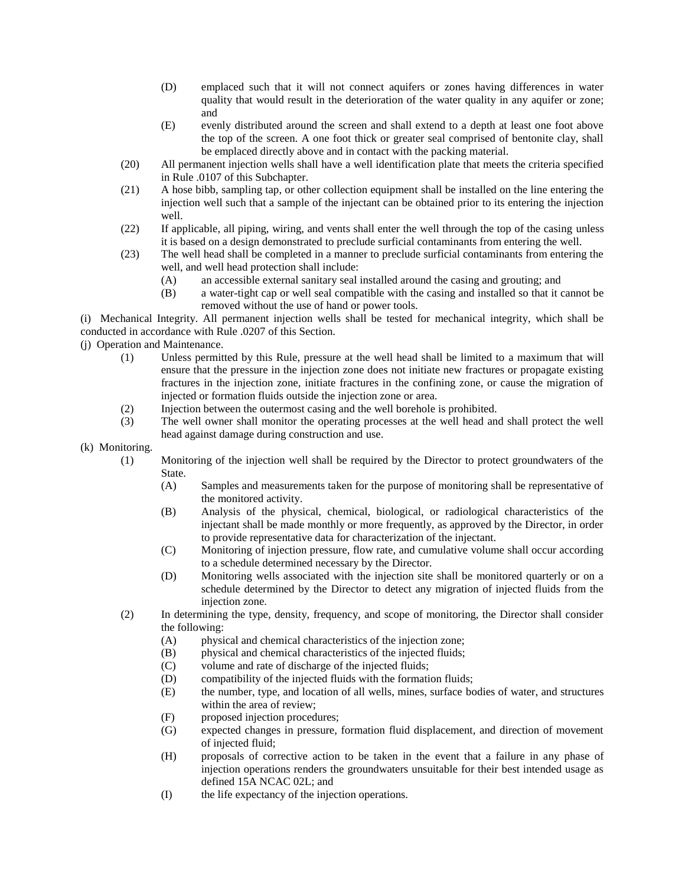- (D) emplaced such that it will not connect aquifers or zones having differences in water quality that would result in the deterioration of the water quality in any aquifer or zone; and
- (E) evenly distributed around the screen and shall extend to a depth at least one foot above the top of the screen. A one foot thick or greater seal comprised of bentonite clay, shall be emplaced directly above and in contact with the packing material.
- (20) All permanent injection wells shall have a well identification plate that meets the criteria specified in Rule .0107 of this Subchapter.
- (21) A hose bibb, sampling tap, or other collection equipment shall be installed on the line entering the injection well such that a sample of the injectant can be obtained prior to its entering the injection well.
- (22) If applicable, all piping, wiring, and vents shall enter the well through the top of the casing unless it is based on a design demonstrated to preclude surficial contaminants from entering the well.
- (23) The well head shall be completed in a manner to preclude surficial contaminants from entering the well, and well head protection shall include:
	- (A) an accessible external sanitary seal installed around the casing and grouting; and
	- (B) a water-tight cap or well seal compatible with the casing and installed so that it cannot be removed without the use of hand or power tools.

(i) Mechanical Integrity. All permanent injection wells shall be tested for mechanical integrity, which shall be conducted in accordance with Rule .0207 of this Section.

(j) Operation and Maintenance.

- (1) Unless permitted by this Rule, pressure at the well head shall be limited to a maximum that will ensure that the pressure in the injection zone does not initiate new fractures or propagate existing fractures in the injection zone, initiate fractures in the confining zone, or cause the migration of injected or formation fluids outside the injection zone or area.
- (2) Injection between the outermost casing and the well borehole is prohibited.
- (3) The well owner shall monitor the operating processes at the well head and shall protect the well head against damage during construction and use.
- (k) Monitoring.
	- (1) Monitoring of the injection well shall be required by the Director to protect groundwaters of the State.
		- (A) Samples and measurements taken for the purpose of monitoring shall be representative of the monitored activity.
		- (B) Analysis of the physical, chemical, biological, or radiological characteristics of the injectant shall be made monthly or more frequently, as approved by the Director, in order to provide representative data for characterization of the injectant.
		- (C) Monitoring of injection pressure, flow rate, and cumulative volume shall occur according to a schedule determined necessary by the Director.
		- (D) Monitoring wells associated with the injection site shall be monitored quarterly or on a schedule determined by the Director to detect any migration of injected fluids from the injection zone.
	- (2) In determining the type, density, frequency, and scope of monitoring, the Director shall consider the following:
		- (A) physical and chemical characteristics of the injection zone;
		- (B) physical and chemical characteristics of the injected fluids;
		- (C) volume and rate of discharge of the injected fluids;
		- (D) compatibility of the injected fluids with the formation fluids;
		- (E) the number, type, and location of all wells, mines, surface bodies of water, and structures within the area of review;
		- (F) proposed injection procedures;
		- (G) expected changes in pressure, formation fluid displacement, and direction of movement of injected fluid;
		- (H) proposals of corrective action to be taken in the event that a failure in any phase of injection operations renders the groundwaters unsuitable for their best intended usage as defined 15A NCAC 02L; and
		- (I) the life expectancy of the injection operations.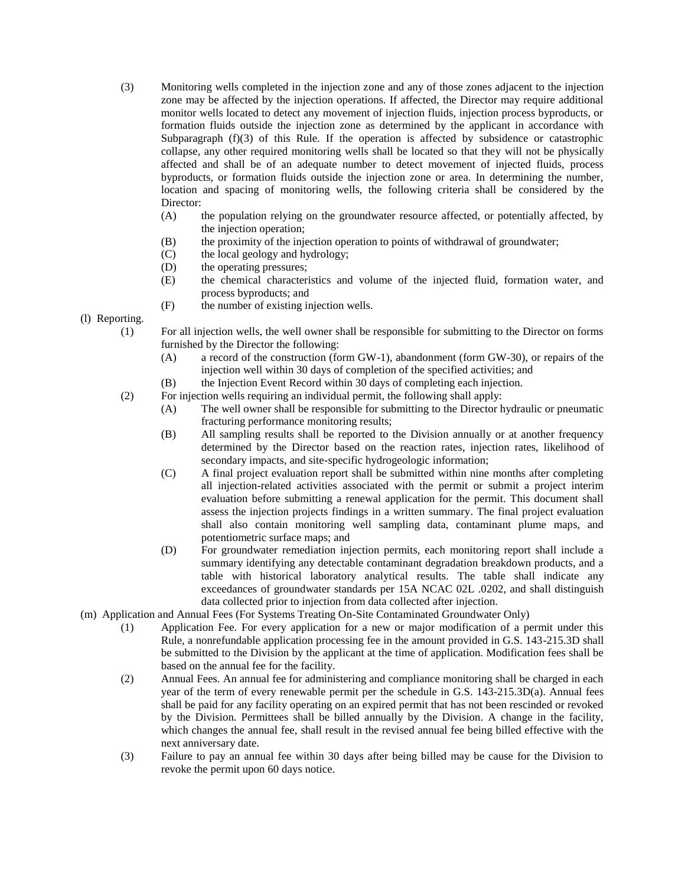- (3) Monitoring wells completed in the injection zone and any of those zones adjacent to the injection zone may be affected by the injection operations. If affected, the Director may require additional monitor wells located to detect any movement of injection fluids, injection process byproducts, or formation fluids outside the injection zone as determined by the applicant in accordance with Subparagraph  $(f)(3)$  of this Rule. If the operation is affected by subsidence or catastrophic collapse, any other required monitoring wells shall be located so that they will not be physically affected and shall be of an adequate number to detect movement of injected fluids, process byproducts, or formation fluids outside the injection zone or area. In determining the number, location and spacing of monitoring wells, the following criteria shall be considered by the Director:
	- (A) the population relying on the groundwater resource affected, or potentially affected, by the injection operation;
	- (B) the proximity of the injection operation to points of withdrawal of groundwater;
	- (C) the local geology and hydrology;
	- (D) the operating pressures;
	- (E) the chemical characteristics and volume of the injected fluid, formation water, and process byproducts; and
	- (F) the number of existing injection wells.
- (l) Reporting.
	- (1) For all injection wells, the well owner shall be responsible for submitting to the Director on forms furnished by the Director the following:
		- (A) a record of the construction (form GW-1), abandonment (form GW-30), or repairs of the injection well within 30 days of completion of the specified activities; and
		- (B) the Injection Event Record within 30 days of completing each injection.
	- (2) For injection wells requiring an individual permit, the following shall apply:
		- (A) The well owner shall be responsible for submitting to the Director hydraulic or pneumatic fracturing performance monitoring results;
		- (B) All sampling results shall be reported to the Division annually or at another frequency determined by the Director based on the reaction rates, injection rates, likelihood of secondary impacts, and site-specific hydrogeologic information;
		- (C) A final project evaluation report shall be submitted within nine months after completing all injection-related activities associated with the permit or submit a project interim evaluation before submitting a renewal application for the permit. This document shall assess the injection projects findings in a written summary. The final project evaluation shall also contain monitoring well sampling data, contaminant plume maps, and potentiometric surface maps; and
		- (D) For groundwater remediation injection permits, each monitoring report shall include a summary identifying any detectable contaminant degradation breakdown products, and a table with historical laboratory analytical results. The table shall indicate any exceedances of groundwater standards per 15A NCAC 02L .0202, and shall distinguish data collected prior to injection from data collected after injection.
- (m) Application and Annual Fees (For Systems Treating On-Site Contaminated Groundwater Only)
	- (1) Application Fee. For every application for a new or major modification of a permit under this Rule, a nonrefundable application processing fee in the amount provided in G.S. 143-215.3D shall be submitted to the Division by the applicant at the time of application. Modification fees shall be based on the annual fee for the facility.
	- (2) Annual Fees. An annual fee for administering and compliance monitoring shall be charged in each year of the term of every renewable permit per the schedule in G.S. 143-215.3D(a). Annual fees shall be paid for any facility operating on an expired permit that has not been rescinded or revoked by the Division. Permittees shall be billed annually by the Division. A change in the facility, which changes the annual fee, shall result in the revised annual fee being billed effective with the next anniversary date.
	- (3) Failure to pay an annual fee within 30 days after being billed may be cause for the Division to revoke the permit upon 60 days notice.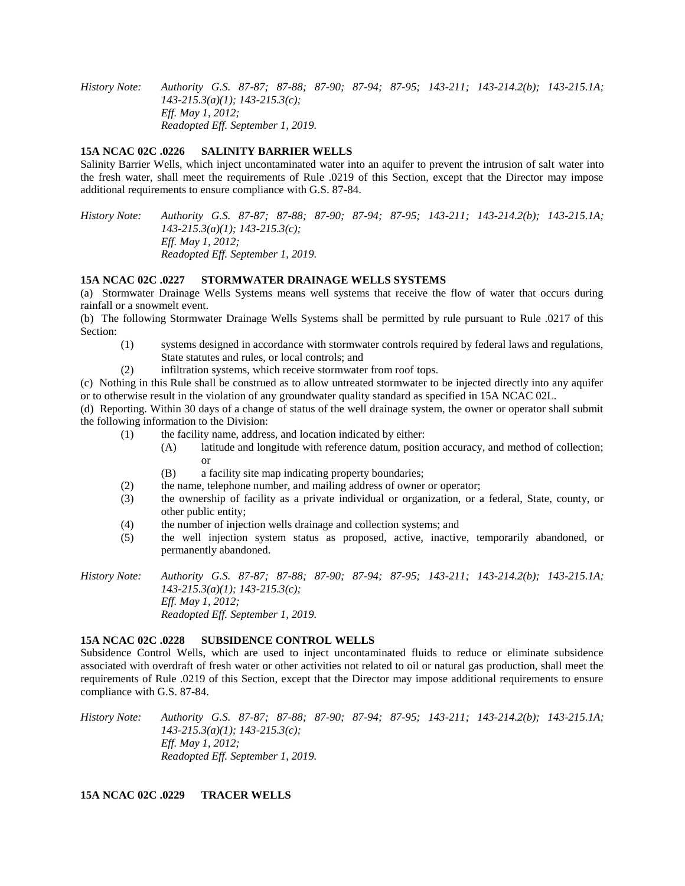*History Note: Authority G.S. 87-87; 87-88; 87-90; 87-94; 87-95; 143-211; 143-214.2(b); 143-215.1A; 143-215.3(a)(1); 143-215.3(c); Eff. May 1, 2012; Readopted Eff. September 1, 2019.*

## **15A NCAC 02C .0226 SALINITY BARRIER WELLS**

Salinity Barrier Wells, which inject uncontaminated water into an aquifer to prevent the intrusion of salt water into the fresh water, shall meet the requirements of Rule .0219 of this Section, except that the Director may impose additional requirements to ensure compliance with G.S. 87-84.

*History Note: Authority G.S. 87-87; 87-88; 87-90; 87-94; 87-95; 143-211; 143-214.2(b); 143-215.1A; 143-215.3(a)(1); 143-215.3(c); Eff. May 1, 2012; Readopted Eff. September 1, 2019.*

#### **15A NCAC 02C .0227 STORMWATER DRAINAGE WELLS SYSTEMS**

(a) Stormwater Drainage Wells Systems means well systems that receive the flow of water that occurs during rainfall or a snowmelt event.

(b) The following Stormwater Drainage Wells Systems shall be permitted by rule pursuant to Rule .0217 of this Section:

- (1) systems designed in accordance with stormwater controls required by federal laws and regulations, State statutes and rules, or local controls; and
- (2) infiltration systems, which receive stormwater from roof tops.

(c) Nothing in this Rule shall be construed as to allow untreated stormwater to be injected directly into any aquifer or to otherwise result in the violation of any groundwater quality standard as specified in 15A NCAC 02L.

(d) Reporting. Within 30 days of a change of status of the well drainage system, the owner or operator shall submit the following information to the Division:

- (1) the facility name, address, and location indicated by either:
	- (A) latitude and longitude with reference datum, position accuracy, and method of collection; or
	- (B) a facility site map indicating property boundaries;
- (2) the name, telephone number, and mailing address of owner or operator;
- (3) the ownership of facility as a private individual or organization, or a federal, State, county, or other public entity;
- (4) the number of injection wells drainage and collection systems; and
- (5) the well injection system status as proposed, active, inactive, temporarily abandoned, or permanently abandoned.

*History Note: Authority G.S. 87-87; 87-88; 87-90; 87-94; 87-95; 143-211; 143-214.2(b); 143-215.1A; 143-215.3(a)(1); 143-215.3(c); Eff. May 1, 2012; Readopted Eff. September 1, 2019.*

#### **15A NCAC 02C .0228 SUBSIDENCE CONTROL WELLS**

Subsidence Control Wells, which are used to inject uncontaminated fluids to reduce or eliminate subsidence associated with overdraft of fresh water or other activities not related to oil or natural gas production, shall meet the requirements of Rule .0219 of this Section, except that the Director may impose additional requirements to ensure compliance with G.S. 87-84.

*History Note: Authority G.S. 87-87; 87-88; 87-90; 87-94; 87-95; 143-211; 143-214.2(b); 143-215.1A; 143-215.3(a)(1); 143-215.3(c); Eff. May 1, 2012; Readopted Eff. September 1, 2019.*

## **15A NCAC 02C .0229 TRACER WELLS**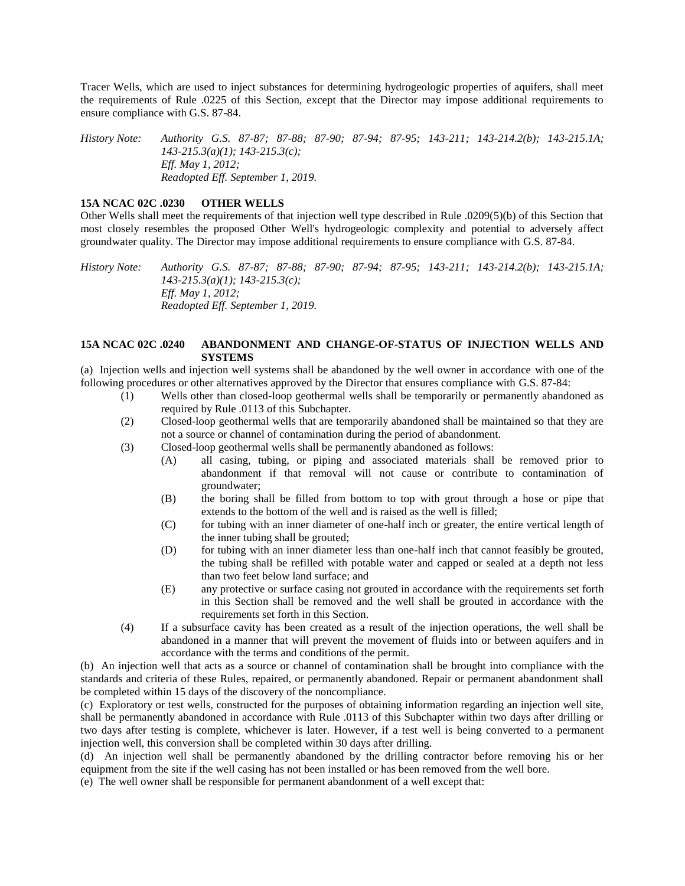Tracer Wells, which are used to inject substances for determining hydrogeologic properties of aquifers, shall meet the requirements of Rule .0225 of this Section, except that the Director may impose additional requirements to ensure compliance with G.S. 87-84.

*History Note: Authority G.S. 87-87; 87-88; 87-90; 87-94; 87-95; 143-211; 143-214.2(b); 143-215.1A; 143-215.3(a)(1); 143-215.3(c); Eff. May 1, 2012; Readopted Eff. September 1, 2019.*

## **15A NCAC 02C .0230 OTHER WELLS**

Other Wells shall meet the requirements of that injection well type described in Rule .0209(5)(b) of this Section that most closely resembles the proposed Other Well's hydrogeologic complexity and potential to adversely affect groundwater quality. The Director may impose additional requirements to ensure compliance with G.S. 87-84.

*History Note: Authority G.S. 87-87; 87-88; 87-90; 87-94; 87-95; 143-211; 143-214.2(b); 143-215.1A; 143-215.3(a)(1); 143-215.3(c); Eff. May 1, 2012; Readopted Eff. September 1, 2019.*

## **15A NCAC 02C .0240 ABANDONMENT AND CHANGE-OF-STATUS OF INJECTION WELLS AND SYSTEMS**

(a) Injection wells and injection well systems shall be abandoned by the well owner in accordance with one of the following procedures or other alternatives approved by the Director that ensures compliance with G.S. 87-84:

- (1) Wells other than closed-loop geothermal wells shall be temporarily or permanently abandoned as required by Rule .0113 of this Subchapter.
- (2) Closed-loop geothermal wells that are temporarily abandoned shall be maintained so that they are not a source or channel of contamination during the period of abandonment.
- (3) Closed-loop geothermal wells shall be permanently abandoned as follows:
	- (A) all casing, tubing, or piping and associated materials shall be removed prior to abandonment if that removal will not cause or contribute to contamination of groundwater;
	- (B) the boring shall be filled from bottom to top with grout through a hose or pipe that extends to the bottom of the well and is raised as the well is filled;
	- (C) for tubing with an inner diameter of one-half inch or greater, the entire vertical length of the inner tubing shall be grouted;
	- (D) for tubing with an inner diameter less than one-half inch that cannot feasibly be grouted, the tubing shall be refilled with potable water and capped or sealed at a depth not less than two feet below land surface; and
	- (E) any protective or surface casing not grouted in accordance with the requirements set forth in this Section shall be removed and the well shall be grouted in accordance with the requirements set forth in this Section.
- (4) If a subsurface cavity has been created as a result of the injection operations, the well shall be abandoned in a manner that will prevent the movement of fluids into or between aquifers and in accordance with the terms and conditions of the permit.

(b) An injection well that acts as a source or channel of contamination shall be brought into compliance with the standards and criteria of these Rules, repaired, or permanently abandoned. Repair or permanent abandonment shall be completed within 15 days of the discovery of the noncompliance.

(c) Exploratory or test wells, constructed for the purposes of obtaining information regarding an injection well site, shall be permanently abandoned in accordance with Rule .0113 of this Subchapter within two days after drilling or two days after testing is complete, whichever is later. However, if a test well is being converted to a permanent injection well, this conversion shall be completed within 30 days after drilling.

(d) An injection well shall be permanently abandoned by the drilling contractor before removing his or her equipment from the site if the well casing has not been installed or has been removed from the well bore.

(e) The well owner shall be responsible for permanent abandonment of a well except that: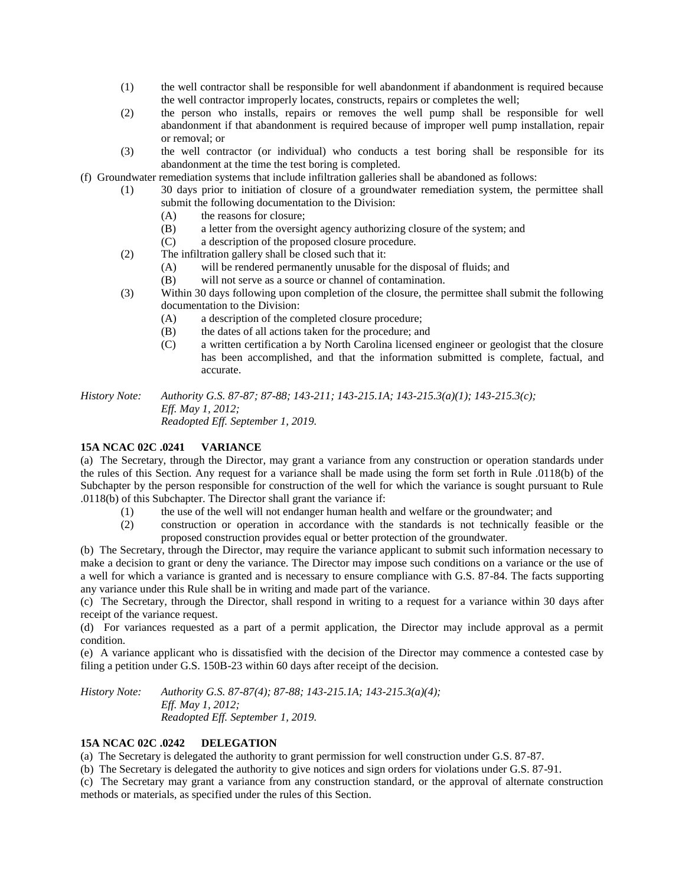- (1) the well contractor shall be responsible for well abandonment if abandonment is required because the well contractor improperly locates, constructs, repairs or completes the well;
- (2) the person who installs, repairs or removes the well pump shall be responsible for well abandonment if that abandonment is required because of improper well pump installation, repair or removal; or
- (3) the well contractor (or individual) who conducts a test boring shall be responsible for its abandonment at the time the test boring is completed.

(f) Groundwater remediation systems that include infiltration galleries shall be abandoned as follows:

- (1) 30 days prior to initiation of closure of a groundwater remediation system, the permittee shall submit the following documentation to the Division:
	- (A) the reasons for closure;
	- (B) a letter from the oversight agency authorizing closure of the system; and
	- (C) a description of the proposed closure procedure.
- (2) The infiltration gallery shall be closed such that it:
	- (A) will be rendered permanently unusable for the disposal of fluids; and
	- (B) will not serve as a source or channel of contamination.
- (3) Within 30 days following upon completion of the closure, the permittee shall submit the following documentation to the Division:
	- (A) a description of the completed closure procedure;
	- (B) the dates of all actions taken for the procedure; and
	- (C) a written certification a by North Carolina licensed engineer or geologist that the closure has been accomplished, and that the information submitted is complete, factual, and accurate.

*History Note: Authority G.S. 87-87; 87-88; 143-211; 143-215.1A; 143-215.3(a)(1); 143-215.3(c); Eff. May 1, 2012; Readopted Eff. September 1, 2019.*

## **15A NCAC 02C .0241 VARIANCE**

(a) The Secretary, through the Director, may grant a variance from any construction or operation standards under the rules of this Section. Any request for a variance shall be made using the form set forth in Rule .0118(b) of the Subchapter by the person responsible for construction of the well for which the variance is sought pursuant to Rule .0118(b) of this Subchapter. The Director shall grant the variance if:

- (1) the use of the well will not endanger human health and welfare or the groundwater; and
- (2) construction or operation in accordance with the standards is not technically feasible or the proposed construction provides equal or better protection of the groundwater.

(b) The Secretary, through the Director, may require the variance applicant to submit such information necessary to make a decision to grant or deny the variance. The Director may impose such conditions on a variance or the use of a well for which a variance is granted and is necessary to ensure compliance with G.S. 87-84. The facts supporting any variance under this Rule shall be in writing and made part of the variance.

(c) The Secretary, through the Director, shall respond in writing to a request for a variance within 30 days after receipt of the variance request.

(d) For variances requested as a part of a permit application, the Director may include approval as a permit condition.

(e) A variance applicant who is dissatisfied with the decision of the Director may commence a contested case by filing a petition under G.S. 150B-23 within 60 days after receipt of the decision.

*History Note: Authority G.S. 87-87(4); 87-88; 143-215.1A; 143-215.3(a)(4); Eff. May 1, 2012; Readopted Eff. September 1, 2019.*

## **15A NCAC 02C .0242 DELEGATION**

(a) The Secretary is delegated the authority to grant permission for well construction under G.S. 87-87.

(b) The Secretary is delegated the authority to give notices and sign orders for violations under G.S. 87-91.

(c) The Secretary may grant a variance from any construction standard, or the approval of alternate construction methods or materials, as specified under the rules of this Section.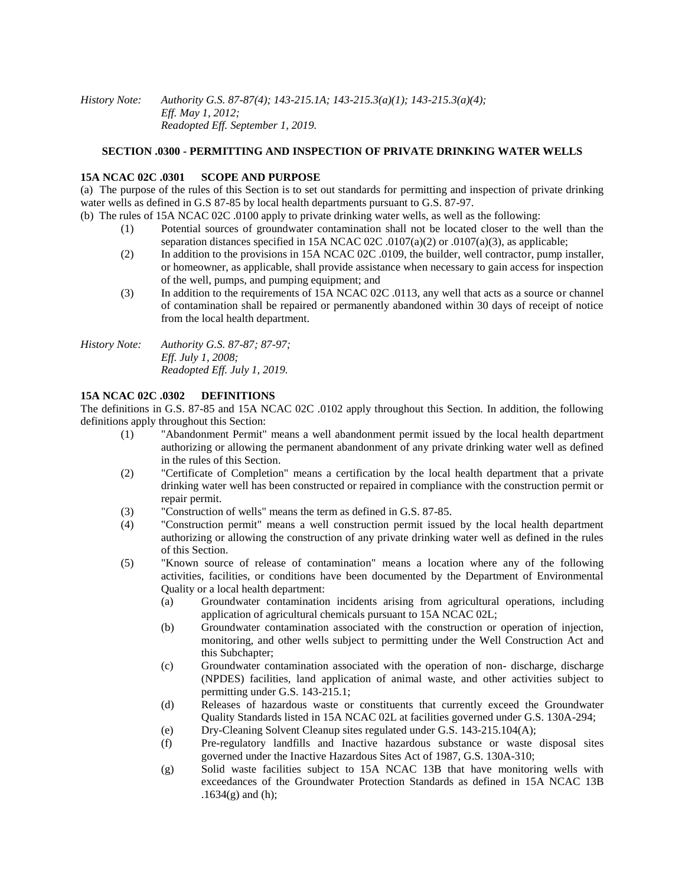*History Note: Authority G.S. 87-87(4); 143-215.1A; 143-215.3(a)(1); 143-215.3(a)(4); Eff. May 1, 2012; Readopted Eff. September 1, 2019.*

## **SECTION .0300 - PERMITTING AND INSPECTION OF PRIVATE DRINKING WATER WELLS**

#### **15A NCAC 02C .0301 SCOPE AND PURPOSE**

(a) The purpose of the rules of this Section is to set out standards for permitting and inspection of private drinking water wells as defined in G.S 87-85 by local health departments pursuant to G.S. 87-97.

- (b) The rules of 15A NCAC 02C .0100 apply to private drinking water wells, as well as the following:
	- (1) Potential sources of groundwater contamination shall not be located closer to the well than the separation distances specified in 15A NCAC 02C .0107(a)(2) or .0107(a)(3), as applicable;
	- (2) In addition to the provisions in 15A NCAC 02C .0109, the builder, well contractor, pump installer, or homeowner, as applicable, shall provide assistance when necessary to gain access for inspection of the well, pumps, and pumping equipment; and
	- (3) In addition to the requirements of 15A NCAC 02C .0113, any well that acts as a source or channel of contamination shall be repaired or permanently abandoned within 30 days of receipt of notice from the local health department.

*History Note: Authority G.S. 87-87; 87-97; Eff. July 1, 2008; Readopted Eff. July 1, 2019.*

## **15A NCAC 02C .0302 DEFINITIONS**

The definitions in G.S. 87-85 and 15A NCAC 02C .0102 apply throughout this Section. In addition, the following definitions apply throughout this Section:

- (1) "Abandonment Permit" means a well abandonment permit issued by the local health department authorizing or allowing the permanent abandonment of any private drinking water well as defined in the rules of this Section.
- (2) "Certificate of Completion" means a certification by the local health department that a private drinking water well has been constructed or repaired in compliance with the construction permit or repair permit.
- (3) "Construction of wells" means the term as defined in G.S. 87-85.
- (4) "Construction permit" means a well construction permit issued by the local health department authorizing or allowing the construction of any private drinking water well as defined in the rules of this Section.
- (5) "Known source of release of contamination" means a location where any of the following activities, facilities, or conditions have been documented by the Department of Environmental Quality or a local health department:
	- (a) Groundwater contamination incidents arising from agricultural operations, including application of agricultural chemicals pursuant to 15A NCAC 02L;
	- (b) Groundwater contamination associated with the construction or operation of injection, monitoring, and other wells subject to permitting under the Well Construction Act and this Subchapter;
	- (c) Groundwater contamination associated with the operation of non- discharge, discharge (NPDES) facilities, land application of animal waste, and other activities subject to permitting under G.S. 143-215.1;
	- (d) Releases of hazardous waste or constituents that currently exceed the Groundwater Quality Standards listed in 15A NCAC 02L at facilities governed under G.S. 130A-294;
	- (e) Dry-Cleaning Solvent Cleanup sites regulated under G.S. 143-215.104(A);
	- (f) Pre-regulatory landfills and Inactive hazardous substance or waste disposal sites governed under the Inactive Hazardous Sites Act of 1987, G.S. 130A-310;
	- (g) Solid waste facilities subject to 15A NCAC 13B that have monitoring wells with exceedances of the Groundwater Protection Standards as defined in 15A NCAC 13B  $.1634(g)$  and (h);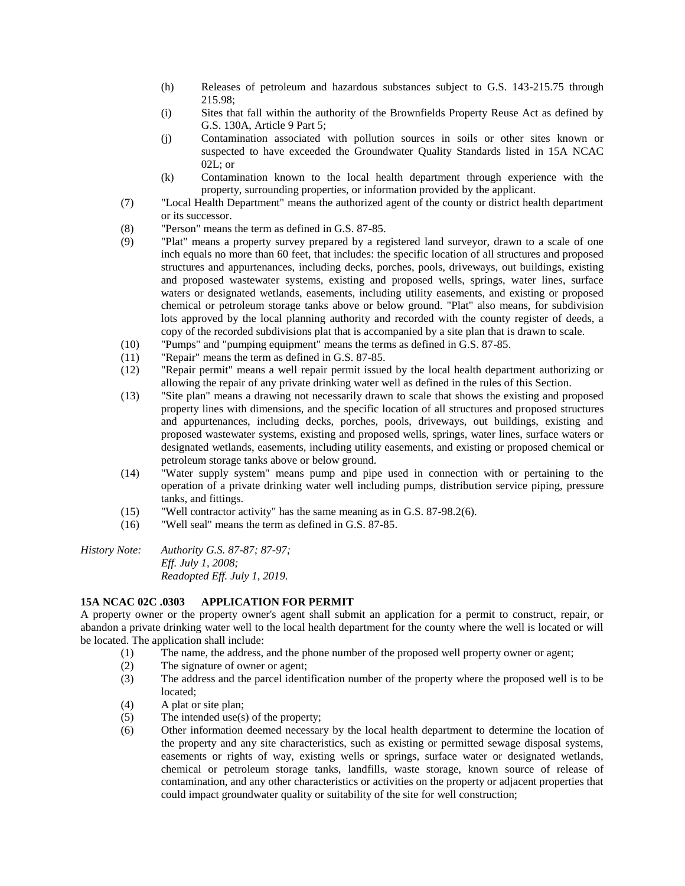- (h) Releases of petroleum and hazardous substances subject to G.S. 143-215.75 through 215.98;
- (i) Sites that fall within the authority of the Brownfields Property Reuse Act as defined by G.S. 130A, Article 9 Part 5;
- (j) Contamination associated with pollution sources in soils or other sites known or suspected to have exceeded the Groundwater Quality Standards listed in 15A NCAC 02L; or
- (k) Contamination known to the local health department through experience with the property, surrounding properties, or information provided by the applicant.
- (7) "Local Health Department" means the authorized agent of the county or district health department or its successor.
- (8) "Person" means the term as defined in G.S. 87-85.
- (9) "Plat" means a property survey prepared by a registered land surveyor, drawn to a scale of one inch equals no more than 60 feet, that includes: the specific location of all structures and proposed structures and appurtenances, including decks, porches, pools, driveways, out buildings, existing and proposed wastewater systems, existing and proposed wells, springs, water lines, surface waters or designated wetlands, easements, including utility easements, and existing or proposed chemical or petroleum storage tanks above or below ground. "Plat" also means, for subdivision lots approved by the local planning authority and recorded with the county register of deeds, a copy of the recorded subdivisions plat that is accompanied by a site plan that is drawn to scale.
- (10) "Pumps" and "pumping equipment" means the terms as defined in G.S. 87-85.
- (11) "Repair" means the term as defined in G.S. 87-85.
- (12) "Repair permit" means a well repair permit issued by the local health department authorizing or allowing the repair of any private drinking water well as defined in the rules of this Section.
- (13) "Site plan" means a drawing not necessarily drawn to scale that shows the existing and proposed property lines with dimensions, and the specific location of all structures and proposed structures and appurtenances, including decks, porches, pools, driveways, out buildings, existing and proposed wastewater systems, existing and proposed wells, springs, water lines, surface waters or designated wetlands, easements, including utility easements, and existing or proposed chemical or petroleum storage tanks above or below ground.
- (14) "Water supply system" means pump and pipe used in connection with or pertaining to the operation of a private drinking water well including pumps, distribution service piping, pressure tanks, and fittings.
- (15) "Well contractor activity" has the same meaning as in G.S. 87-98.2(6).
- (16) "Well seal" means the term as defined in G.S. 87-85.

*History Note: Authority G.S. 87-87; 87-97; Eff. July 1, 2008; Readopted Eff. July 1, 2019.*

#### **15A NCAC 02C .0303 APPLICATION FOR PERMIT**

A property owner or the property owner's agent shall submit an application for a permit to construct, repair, or abandon a private drinking water well to the local health department for the county where the well is located or will be located. The application shall include:

- (1) The name, the address, and the phone number of the proposed well property owner or agent;
- (2) The signature of owner or agent;
- (3) The address and the parcel identification number of the property where the proposed well is to be located;
- (4) A plat or site plan;
- (5) The intended use(s) of the property;
- (6) Other information deemed necessary by the local health department to determine the location of the property and any site characteristics, such as existing or permitted sewage disposal systems, easements or rights of way, existing wells or springs, surface water or designated wetlands, chemical or petroleum storage tanks, landfills, waste storage, known source of release of contamination, and any other characteristics or activities on the property or adjacent properties that could impact groundwater quality or suitability of the site for well construction;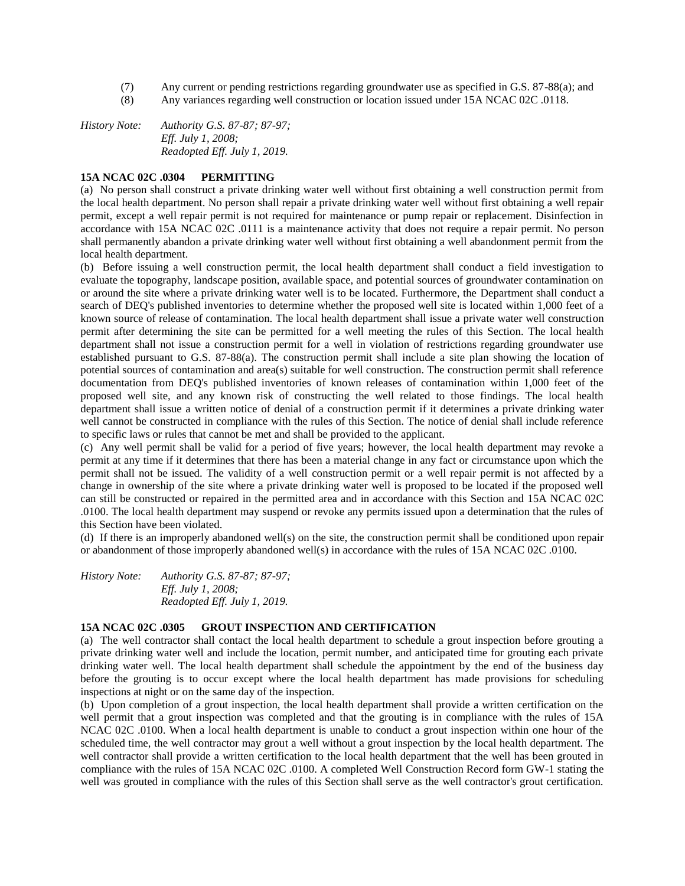- (7) Any current or pending restrictions regarding groundwater use as specified in G.S. 87-88(a); and
- (8) Any variances regarding well construction or location issued under 15A NCAC 02C .0118.

*History Note: Authority G.S. 87-87; 87-97; Eff. July 1, 2008; Readopted Eff. July 1, 2019.*

## **15A NCAC 02C .0304 PERMITTING**

(a) No person shall construct a private drinking water well without first obtaining a well construction permit from the local health department. No person shall repair a private drinking water well without first obtaining a well repair permit, except a well repair permit is not required for maintenance or pump repair or replacement. Disinfection in accordance with 15A NCAC 02C .0111 is a maintenance activity that does not require a repair permit. No person shall permanently abandon a private drinking water well without first obtaining a well abandonment permit from the local health department.

(b) Before issuing a well construction permit, the local health department shall conduct a field investigation to evaluate the topography, landscape position, available space, and potential sources of groundwater contamination on or around the site where a private drinking water well is to be located. Furthermore, the Department shall conduct a search of DEQ's published inventories to determine whether the proposed well site is located within 1,000 feet of a known source of release of contamination. The local health department shall issue a private water well construction permit after determining the site can be permitted for a well meeting the rules of this Section. The local health department shall not issue a construction permit for a well in violation of restrictions regarding groundwater use established pursuant to G.S. 87-88(a). The construction permit shall include a site plan showing the location of potential sources of contamination and area(s) suitable for well construction. The construction permit shall reference documentation from DEQ's published inventories of known releases of contamination within 1,000 feet of the proposed well site, and any known risk of constructing the well related to those findings. The local health department shall issue a written notice of denial of a construction permit if it determines a private drinking water well cannot be constructed in compliance with the rules of this Section. The notice of denial shall include reference to specific laws or rules that cannot be met and shall be provided to the applicant.

(c) Any well permit shall be valid for a period of five years; however, the local health department may revoke a permit at any time if it determines that there has been a material change in any fact or circumstance upon which the permit shall not be issued. The validity of a well construction permit or a well repair permit is not affected by a change in ownership of the site where a private drinking water well is proposed to be located if the proposed well can still be constructed or repaired in the permitted area and in accordance with this Section and 15A NCAC 02C .0100. The local health department may suspend or revoke any permits issued upon a determination that the rules of this Section have been violated.

(d) If there is an improperly abandoned well(s) on the site, the construction permit shall be conditioned upon repair or abandonment of those improperly abandoned well(s) in accordance with the rules of 15A NCAC 02C .0100.

*History Note: Authority G.S. 87-87; 87-97; Eff. July 1, 2008; Readopted Eff. July 1, 2019.*

## **15A NCAC 02C .0305 GROUT INSPECTION AND CERTIFICATION**

(a) The well contractor shall contact the local health department to schedule a grout inspection before grouting a private drinking water well and include the location, permit number, and anticipated time for grouting each private drinking water well. The local health department shall schedule the appointment by the end of the business day before the grouting is to occur except where the local health department has made provisions for scheduling inspections at night or on the same day of the inspection.

(b) Upon completion of a grout inspection, the local health department shall provide a written certification on the well permit that a grout inspection was completed and that the grouting is in compliance with the rules of 15A NCAC 02C .0100. When a local health department is unable to conduct a grout inspection within one hour of the scheduled time, the well contractor may grout a well without a grout inspection by the local health department. The well contractor shall provide a written certification to the local health department that the well has been grouted in compliance with the rules of 15A NCAC 02C .0100. A completed Well Construction Record form GW-1 stating the well was grouted in compliance with the rules of this Section shall serve as the well contractor's grout certification.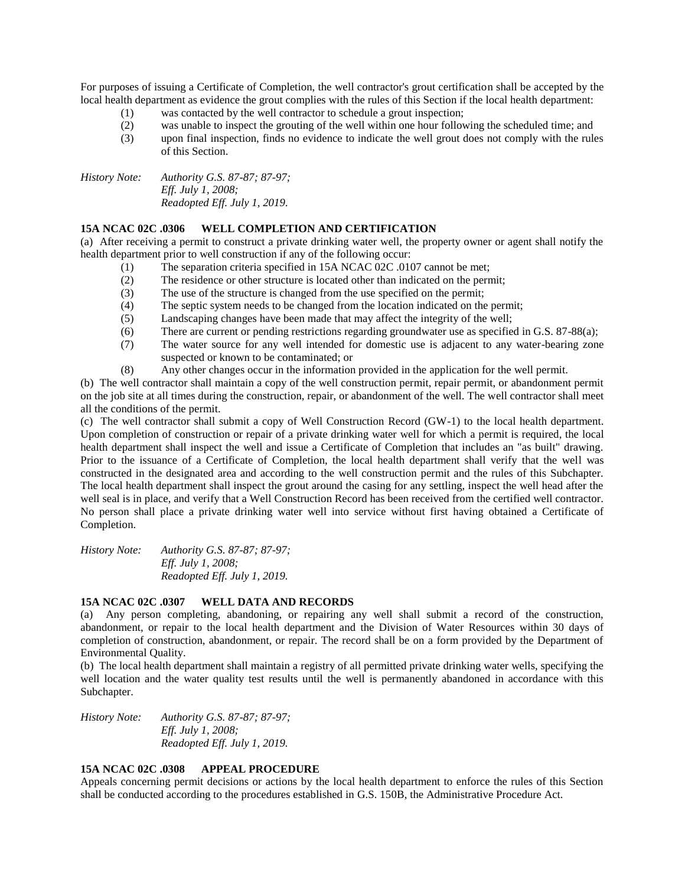For purposes of issuing a Certificate of Completion, the well contractor's grout certification shall be accepted by the local health department as evidence the grout complies with the rules of this Section if the local health department:

- (1) was contacted by the well contractor to schedule a grout inspection;
- (2) was unable to inspect the grouting of the well within one hour following the scheduled time; and
- (3) upon final inspection, finds no evidence to indicate the well grout does not comply with the rules of this Section.

*History Note: Authority G.S. 87-87; 87-97; Eff. July 1, 2008; Readopted Eff. July 1, 2019.*

## **15A NCAC 02C .0306 WELL COMPLETION AND CERTIFICATION**

(a) After receiving a permit to construct a private drinking water well, the property owner or agent shall notify the health department prior to well construction if any of the following occur:

- $(1)$  The separation criteria specified in 15A NCAC 02C .0107 cannot be met;
- (2) The residence or other structure is located other than indicated on the permit;
- (3) The use of the structure is changed from the use specified on the permit;
- (4) The septic system needs to be changed from the location indicated on the permit;
- (5) Landscaping changes have been made that may affect the integrity of the well;
- (6) There are current or pending restrictions regarding groundwater use as specified in G.S. 87-88(a);
- (7) The water source for any well intended for domestic use is adjacent to any water-bearing zone suspected or known to be contaminated; or
- (8) Any other changes occur in the information provided in the application for the well permit.

(b) The well contractor shall maintain a copy of the well construction permit, repair permit, or abandonment permit on the job site at all times during the construction, repair, or abandonment of the well. The well contractor shall meet all the conditions of the permit.

(c) The well contractor shall submit a copy of Well Construction Record (GW-1) to the local health department. Upon completion of construction or repair of a private drinking water well for which a permit is required, the local health department shall inspect the well and issue a Certificate of Completion that includes an "as built" drawing. Prior to the issuance of a Certificate of Completion, the local health department shall verify that the well was constructed in the designated area and according to the well construction permit and the rules of this Subchapter. The local health department shall inspect the grout around the casing for any settling, inspect the well head after the well seal is in place, and verify that a Well Construction Record has been received from the certified well contractor. No person shall place a private drinking water well into service without first having obtained a Certificate of Completion.

*History Note: Authority G.S. 87-87; 87-97; Eff. July 1, 2008; Readopted Eff. July 1, 2019.*

#### **15A NCAC 02C .0307 WELL DATA AND RECORDS**

(a) Any person completing, abandoning, or repairing any well shall submit a record of the construction, abandonment, or repair to the local health department and the Division of Water Resources within 30 days of completion of construction, abandonment, or repair. The record shall be on a form provided by the Department of Environmental Quality.

(b) The local health department shall maintain a registry of all permitted private drinking water wells, specifying the well location and the water quality test results until the well is permanently abandoned in accordance with this Subchapter.

*History Note: Authority G.S. 87-87; 87-97; Eff. July 1, 2008; Readopted Eff. July 1, 2019.*

## **15A NCAC 02C .0308 APPEAL PROCEDURE**

Appeals concerning permit decisions or actions by the local health department to enforce the rules of this Section shall be conducted according to the procedures established in G.S. 150B, the Administrative Procedure Act.